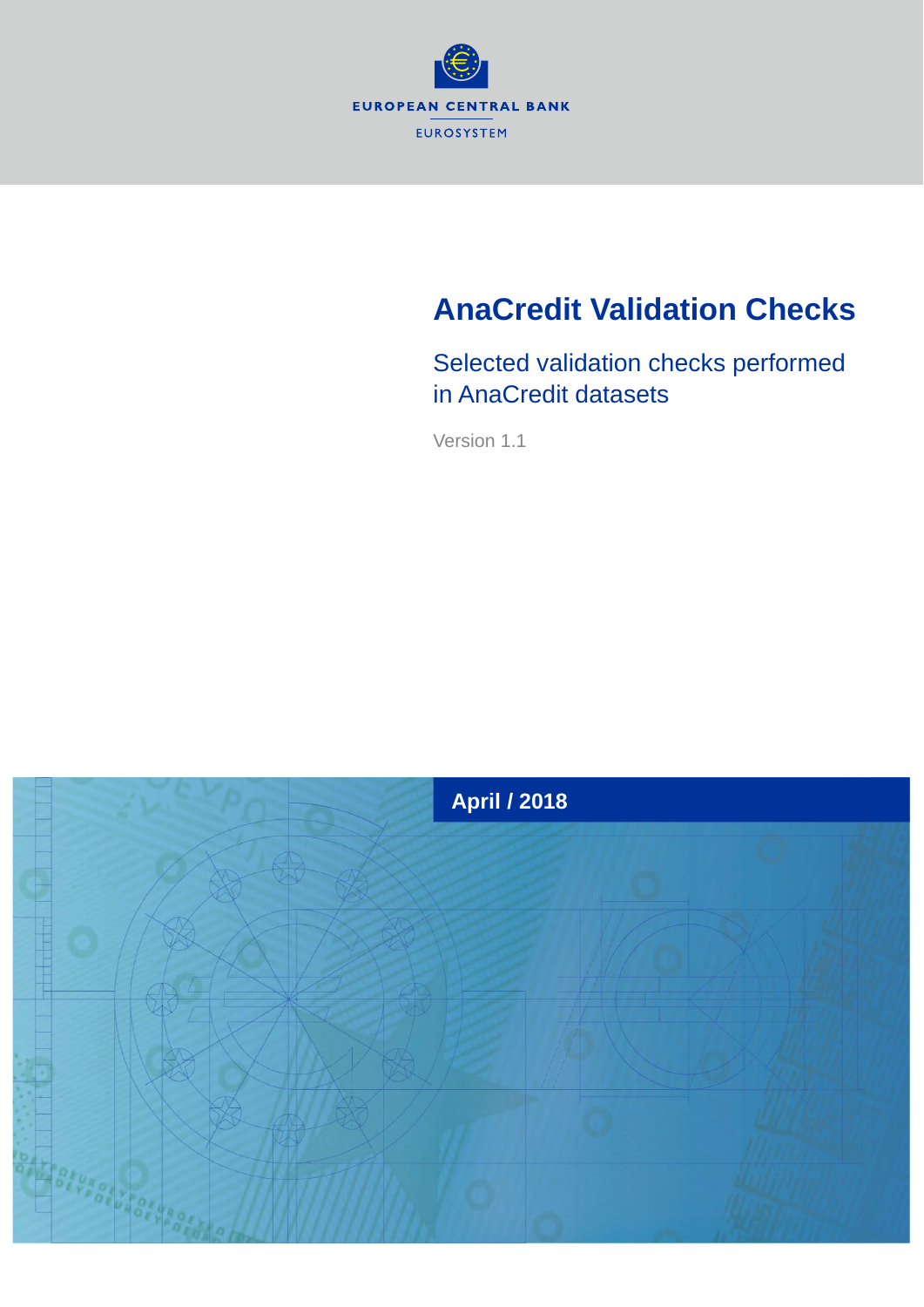

# **AnaCredit Validation Checks**

Selected validation checks performed in AnaCredit datasets

Version 1.1

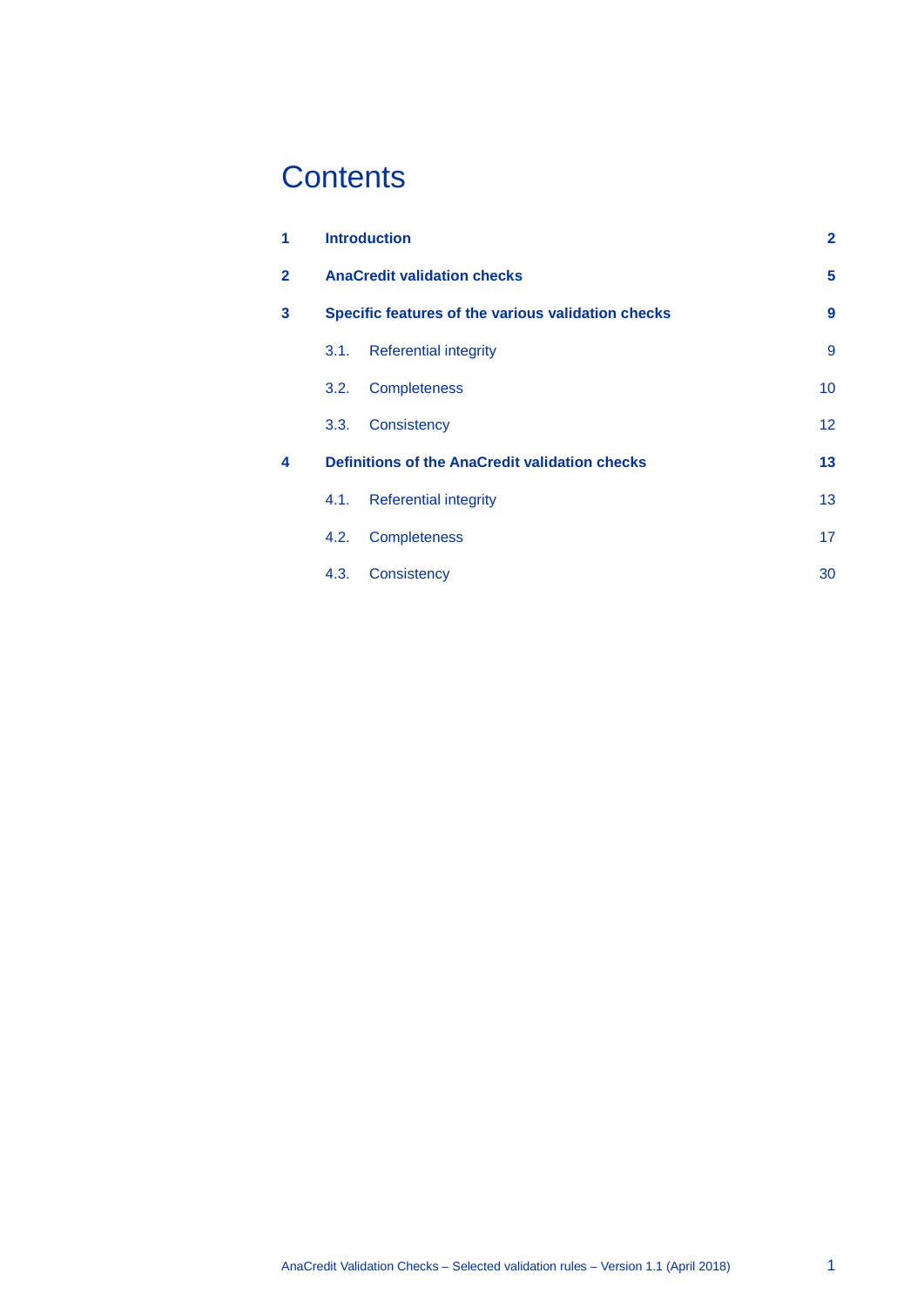## **Contents**

| 1              |      | <b>Introduction</b>                                | $\mathbf{2}$    |
|----------------|------|----------------------------------------------------|-----------------|
| $\overline{2}$ |      | <b>AnaCredit validation checks</b>                 | 5               |
| 3              |      | Specific features of the various validation checks | 9               |
|                | 3.1. | <b>Referential integrity</b>                       | 9               |
|                | 3.2. | Completeness                                       | 10              |
|                | 3.3. | Consistency                                        | 12 <sup>2</sup> |
| 4              |      | Definitions of the AnaCredit validation checks     | 13              |
|                | 4.1. | <b>Referential integrity</b>                       | 13              |
|                | 4.2. | Completeness                                       | 17              |
|                | 4.3. | Consistency                                        | 30              |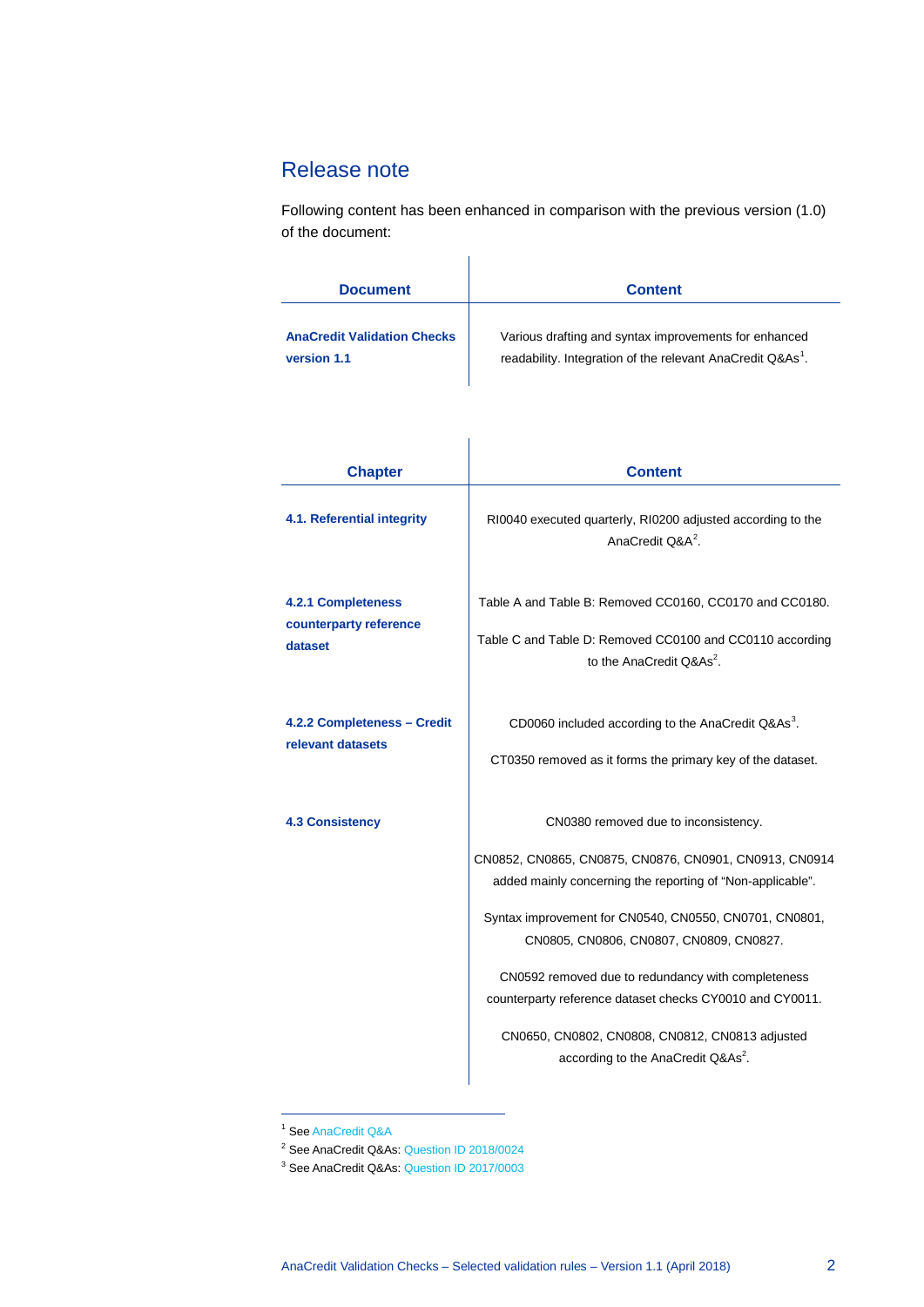## <span id="page-2-0"></span>Release note

Following content has been enhanced in comparison with the previous version (1.0) of the document:

| <b>Document</b>                    | <b>Content</b>                                                         |
|------------------------------------|------------------------------------------------------------------------|
| <b>AnaCredit Validation Checks</b> | Various drafting and syntax improvements for enhanced                  |
| version 1.1                        | readability. Integration of the relevant AnaCredit Q&As <sup>1</sup> . |

<span id="page-2-1"></span>

| <b>Chapter</b>                                                 | <b>Content</b>                                                                                                                                                                                                                                                                                                                                                                                                                                                                           |
|----------------------------------------------------------------|------------------------------------------------------------------------------------------------------------------------------------------------------------------------------------------------------------------------------------------------------------------------------------------------------------------------------------------------------------------------------------------------------------------------------------------------------------------------------------------|
| 4.1. Referential integrity                                     | RI0040 executed quarterly, RI0200 adjusted according to the<br>AnaCredit Q&A <sup>2</sup>                                                                                                                                                                                                                                                                                                                                                                                                |
| <b>4.2.1 Completeness</b><br>counterparty reference<br>dataset | Table A and Table B: Removed CC0160, CC0170 and CC0180.<br>Table C and Table D: Removed CC0100 and CC0110 according<br>to the AnaCredit $\textsf{O}8\textsf{As}^2$ .                                                                                                                                                                                                                                                                                                                     |
| 4.2.2 Completeness - Credit<br>relevant datasets               | CD0060 included according to the AnaCredit Q&As <sup>3</sup> .<br>CT0350 removed as it forms the primary key of the dataset.                                                                                                                                                                                                                                                                                                                                                             |
| <b>4.3 Consistency</b>                                         | CN0380 removed due to inconsistency.<br>CN0852, CN0865, CN0875, CN0876, CN0901, CN0913, CN0914<br>added mainly concerning the reporting of "Non-applicable".<br>Syntax improvement for CN0540, CN0550, CN0701, CN0801,<br>CN0805, CN0806, CN0807, CN0809, CN0827.<br>CN0592 removed due to redundancy with completeness<br>counterparty reference dataset checks CY0010 and CY0011.<br>CN0650, CN0802, CN0808, CN0812, CN0813 adjusted<br>according to the AnaCredit Q&As <sup>2</sup> . |

<sup>1</sup> Se[e AnaCredit Q&A](https://www.ecb.europa.eu/stats/money_credit_banking/anacredit/questions/html/index.en.html)

-

<span id="page-2-4"></span><span id="page-2-3"></span><span id="page-2-2"></span><sup>3</sup> See AnaCredit Q&As[: Question ID 2017/0003](https://www.ecb.europa.eu/stats/money_credit_banking/anacredit/questions/html/ecb.anaq.170809.0003.en.html)

<sup>2</sup> See AnaCredit Q&As[: Question ID 2018/0024](https://www.ecb.europa.eu/stats/money_credit_banking/anacredit/questions/html/ecb.anaq.180124.0024.en.html)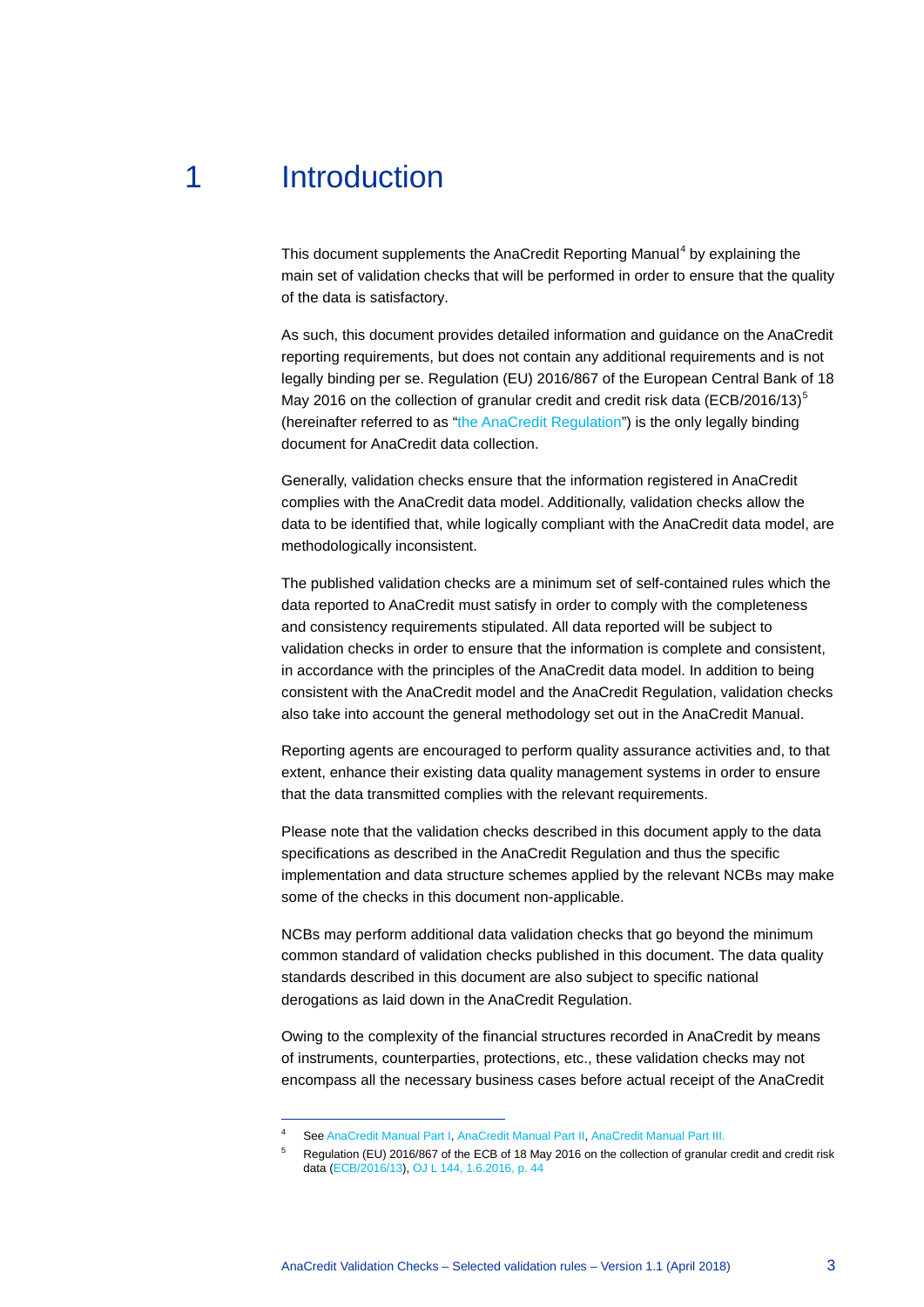## 1 Introduction

-

This document supplements the AnaCredit Reporting Manual<sup>[4](#page-3-0)</sup> by explaining the main set of validation checks that will be performed in order to ensure that the quality of the data is satisfactory.

As such, this document provides detailed information and guidance on the AnaCredit reporting requirements, but does not contain any additional requirements and is not legally binding per se. Regulation (EU) 2016/867 of the European Central Bank of 18 May 2016 on the collection of granular credit and credit risk data (ECB/2016/13) $<sup>5</sup>$  $<sup>5</sup>$  $<sup>5</sup>$ </sup> (hereinafter referred to as ["the AnaCredit Regulation"](https://www.ecb.europa.eu/ecb/legal/pdf/celex_32016r0867_en_txt.pdf)) is the only legally binding document for AnaCredit data collection.

Generally, validation checks ensure that the information registered in AnaCredit complies with the AnaCredit data model. Additionally, validation checks allow the data to be identified that, while logically compliant with the AnaCredit data model, are methodologically inconsistent.

The published validation checks are a minimum set of self-contained rules which the data reported to AnaCredit must satisfy in order to comply with the completeness and consistency requirements stipulated. All data reported will be subject to validation checks in order to ensure that the information is complete and consistent, in accordance with the principles of the AnaCredit data model. In addition to being consistent with the AnaCredit model and the AnaCredit Regulation, validation checks also take into account the general methodology set out in the AnaCredit Manual.

Reporting agents are encouraged to perform quality assurance activities and, to that extent, enhance their existing data quality management systems in order to ensure that the data transmitted complies with the relevant requirements.

Please note that the validation checks described in this document apply to the data specifications as described in the AnaCredit Regulation and thus the specific implementation and data structure schemes applied by the relevant NCBs may make some of the checks in this document non-applicable.

NCBs may perform additional data validation checks that go beyond the minimum common standard of validation checks published in this document. The data quality standards described in this document are also subject to specific national derogations as laid down in the AnaCredit Regulation.

Owing to the complexity of the financial structures recorded in AnaCredit by means of instruments, counterparties, protections, etc., these validation checks may not encompass all the necessary business cases before actual receipt of the AnaCredit

<span id="page-3-1"></span><span id="page-3-0"></span>Se[e AnaCredit Manual Part I,](https://www.ecb.europa.eu/stats/money/aggregates/anacredit/shared/pdf/AnaCredit_Manual_Part_I_General_Methodology.pdf) [AnaCredit Manual Part II,](https://www.ecb.europa.eu/stats/money/aggregates/anacredit/shared/pdf/AnaCredit_Manual_Part_II_Datasets_and_data_attributes.pdf) [AnaCredit Manual Part III.](https://www.ecb.europa.eu/pub/pdf/other/AnaCredit_Manual_Part_III_Case_studies.en.pdf?101d9755fe45c1f070fbf1f7afef9651)

<sup>5</sup> Regulation (EU) 2016/867 of the ECB of 18 May 2016 on the collection of granular credit and credit risk data [\(ECB/2016/13\)](https://www.ecb.europa.eu/ecb/legal/pdf/celex_32016r0867_en_txt.pdf)[, OJ L 144, 1.6.2016, p. 44](http://eur-lex.europa.eu/legal-content/EN/TXT/PDF/?uri=CELEX:32016R0867&from=EN)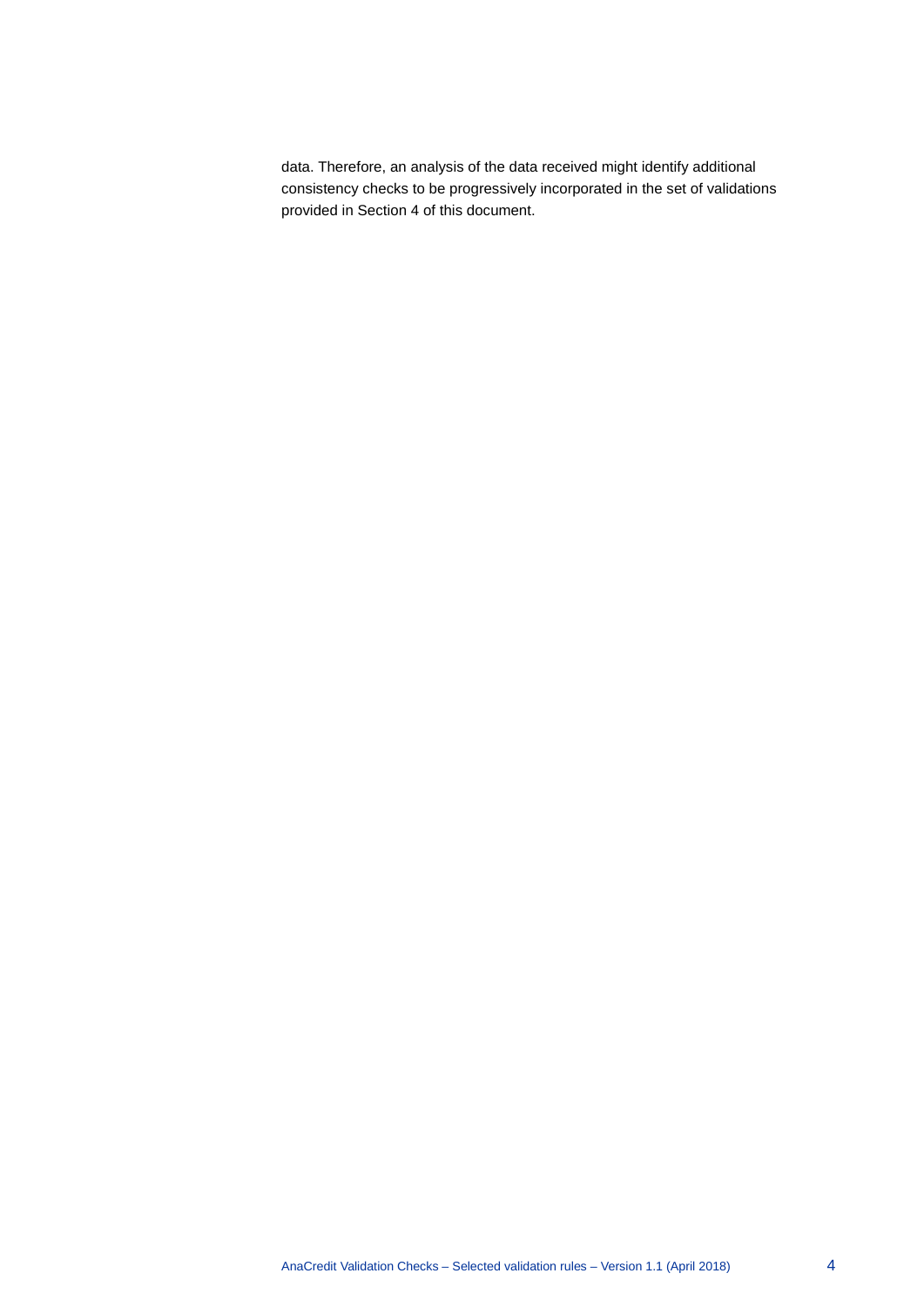data. Therefore, an analysis of the data received might identify additional consistency checks to be progressively incorporated in the set of validations provided in Section [4](#page-13-0) of this document.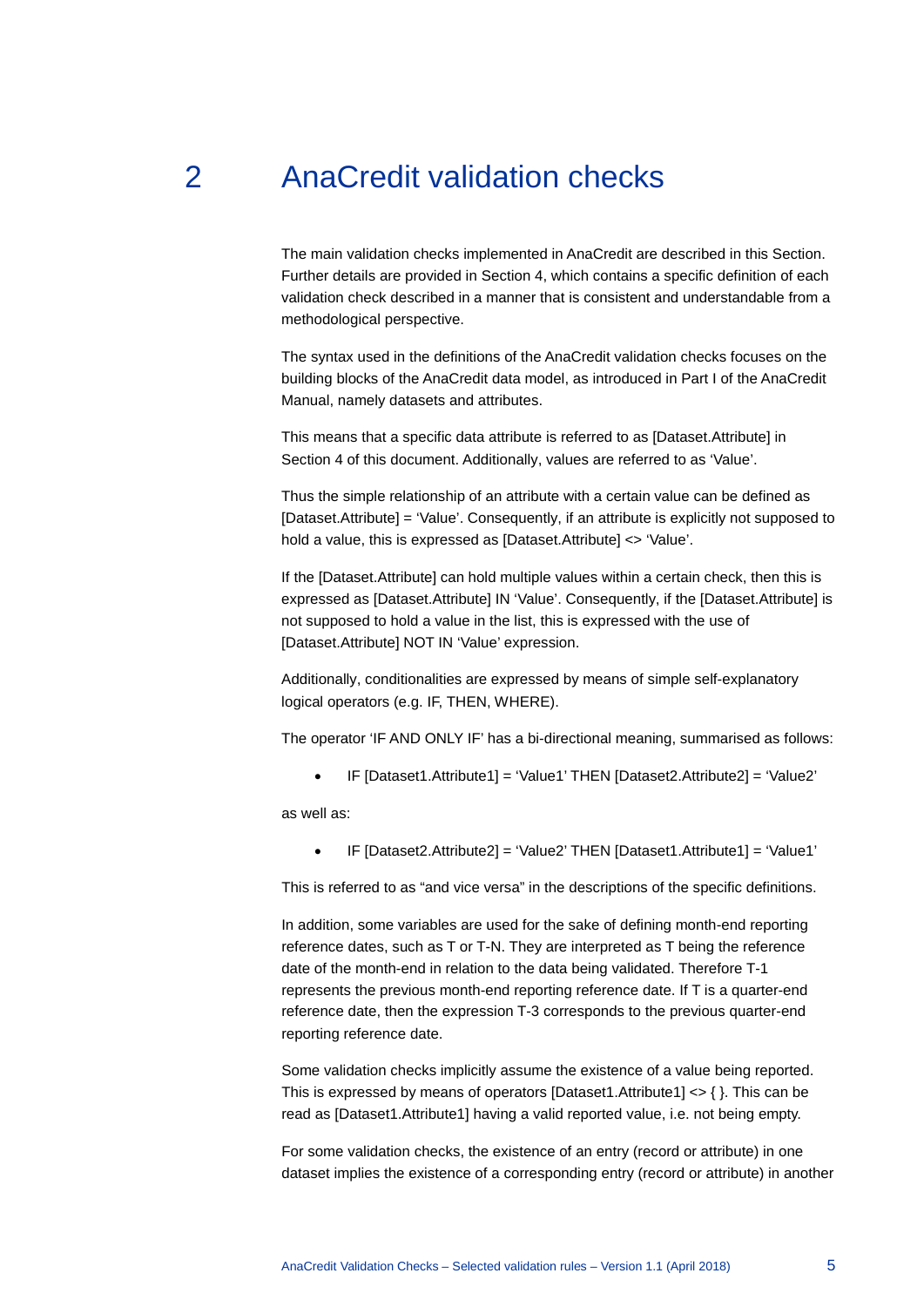## 2 AnaCredit validation checks

<span id="page-5-0"></span>The main validation checks implemented in AnaCredit are described in this Section. Further details are provided in Sectio[n 4,](#page-13-0) which contains a specific definition of each validation check described in a manner that is consistent and understandable from a methodological perspective.

The syntax used in the definitions of the AnaCredit validation checks focuses on the building blocks of the AnaCredit data model, as introduced in Part I of the AnaCredit Manual, namely datasets and attributes.

This means that a specific data attribute is referred to as [Dataset.Attribute] in Section [4](#page-13-0) of this document. Additionally, values are referred to as 'Value'.

Thus the simple relationship of an attribute with a certain value can be defined as [Dataset.Attribute] = 'Value'. Consequently, if an attribute is explicitly not supposed to hold a value, this is expressed as [Dataset.Attribute] <> 'Value'.

If the [Dataset.Attribute] can hold multiple values within a certain check, then this is expressed as [Dataset.Attribute] IN 'Value'. Consequently, if the [Dataset.Attribute] is not supposed to hold a value in the list, this is expressed with the use of [Dataset.Attribute] NOT IN 'Value' expression.

Additionally, conditionalities are expressed by means of simple self-explanatory logical operators (e.g. IF, THEN, WHERE).

The operator 'IF AND ONLY IF' has a bi-directional meaning, summarised as follows:

• IF [Dataset1.Attribute1] = 'Value1' THEN [Dataset2.Attribute2] = 'Value2'

as well as:

• IF [Dataset2.Attribute2] = 'Value2' THEN [Dataset1.Attribute1] = 'Value1'

This is referred to as "and vice versa" in the descriptions of the specific definitions.

In addition, some variables are used for the sake of defining month-end reporting reference dates, such as T or T-N. They are interpreted as T being the reference date of the month-end in relation to the data being validated. Therefore T-1 represents the previous month-end reporting reference date. If T is a quarter-end reference date, then the expression T-3 corresponds to the previous quarter-end reporting reference date.

Some validation checks implicitly assume the existence of a value being reported. This is expressed by means of operators [Dataset1.Attribute1] <> { }. This can be read as [Dataset1.Attribute1] having a valid reported value, i.e. not being empty.

For some validation checks, the existence of an entry (record or attribute) in one dataset implies the existence of a corresponding entry (record or attribute) in another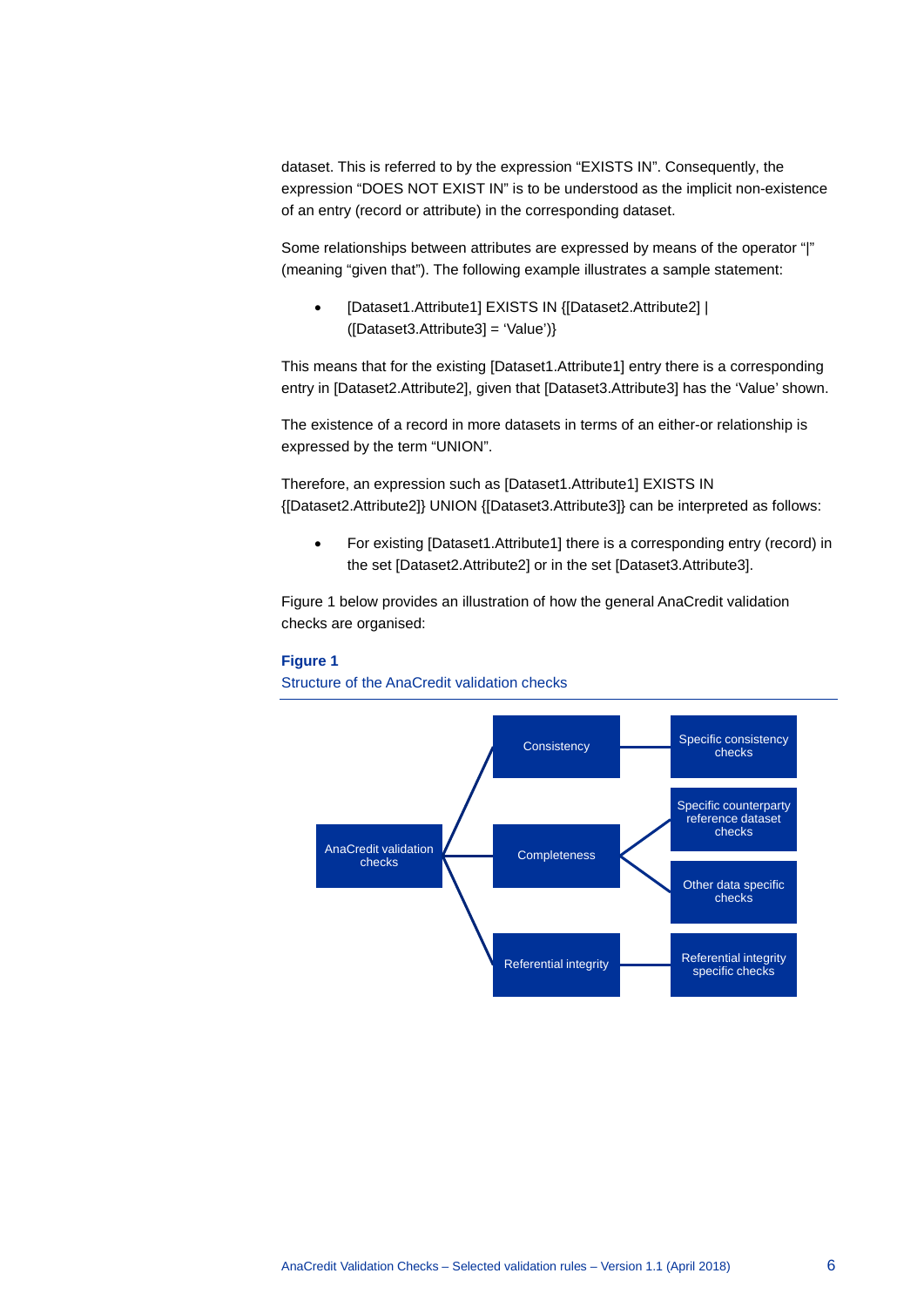dataset. This is referred to by the expression "EXISTS IN". Consequently, the expression "DOES NOT EXIST IN" is to be understood as the implicit non-existence of an entry (record or attribute) in the corresponding dataset.

Some relationships between attributes are expressed by means of the operator "|" (meaning "given that"). The following example illustrates a sample statement:

• [Dataset1.Attribute1] EXISTS IN {[Dataset2.Attribute2] | ([Dataset3.Attribute3] = 'Value')}

This means that for the existing [Dataset1.Attribute1] entry there is a corresponding entry in [Dataset2.Attribute2], given that [Dataset3.Attribute3] has the 'Value' shown.

The existence of a record in more datasets in terms of an either-or relationship is expressed by the term "UNION".

Therefore, an expression such as [Dataset1.Attribute1] EXISTS IN {[Dataset2.Attribute2]} UNION {[Dataset3.Attribute3]} can be interpreted as follows:

• For existing [Dataset1.Attribute1] there is a corresponding entry (record) in the set [Dataset2.Attribute2] or in the set [Dataset3.Attribute3].

Figure 1 below provides an illustration of how the general AnaCredit validation checks are organised:

#### **Figure 1**

Structure of the AnaCredit validation checks

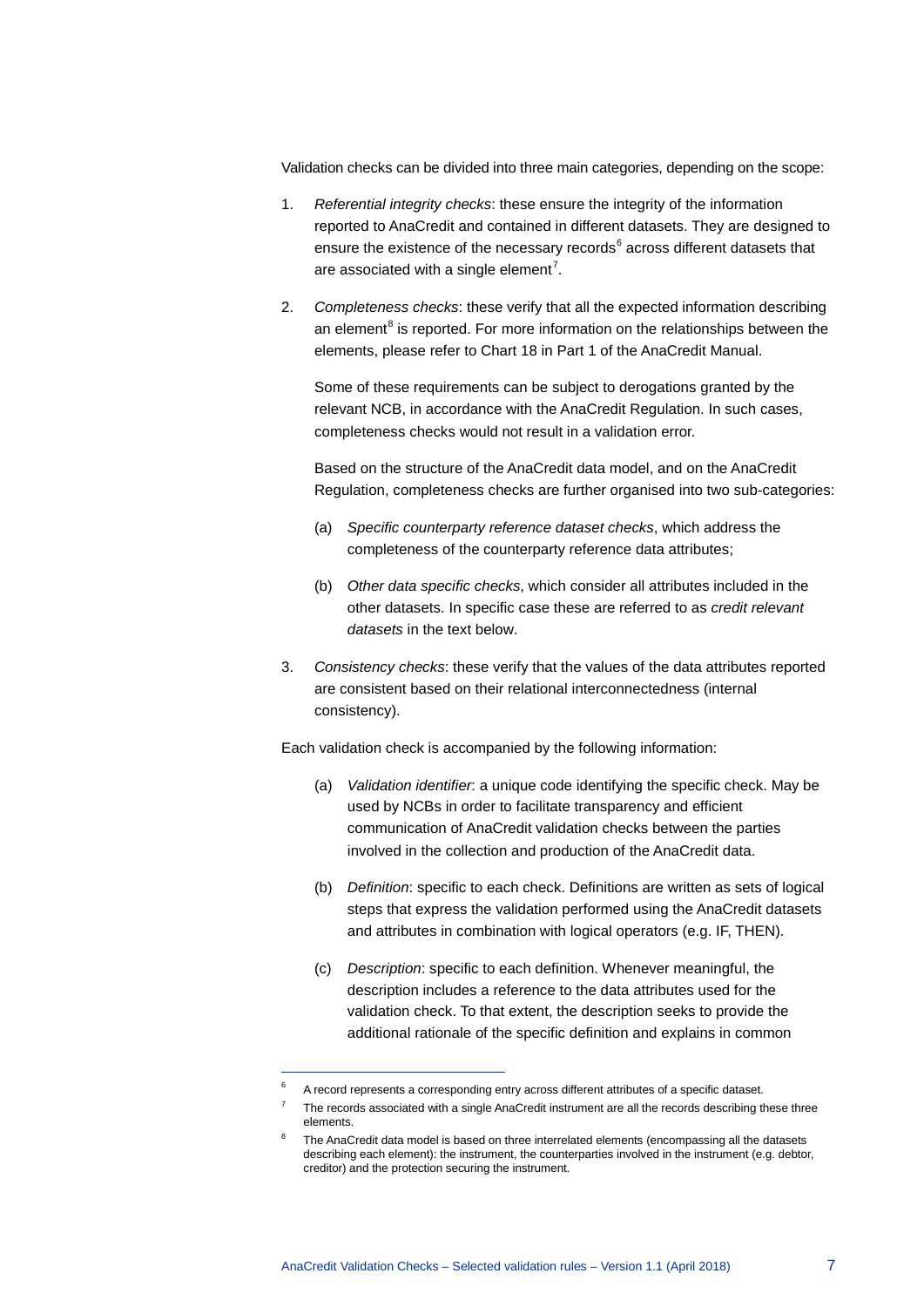Validation checks can be divided into three main categories, depending on the scope:

- 1. *Referential integrity checks*: these ensure the integrity of the information reported to AnaCredit and contained in different datasets. They are designed to ensure the existence of the necessary records $6$  across different datasets that are associated with a single element<sup>[7](#page-7-1)</sup>.
- 2. *Completeness checks*: these verify that all the expected information describing an element<sup>[8](#page-7-2)</sup> is reported. For more information on the relationships between the elements, please refer to Chart 18 in Part 1 of the AnaCredit Manual.

Some of these requirements can be subject to derogations granted by the relevant NCB, in accordance with the AnaCredit Regulation. In such cases, completeness checks would not result in a validation error.

Based on the structure of the AnaCredit data model, and on the AnaCredit Regulation, completeness checks are further organised into two sub-categories:

- (a) *Specific counterparty reference dataset checks*, which address the completeness of the counterparty reference data attributes;
- (b) *Other data specific checks*, which consider all attributes included in the other datasets. In specific case these are referred to as *credit relevant datasets* in the text below.
- 3. *Consistency checks*: these verify that the values of the data attributes reported are consistent based on their relational interconnectedness (internal consistency).

Each validation check is accompanied by the following information:

- (a) *Validation identifier*: a unique code identifying the specific check. May be used by NCBs in order to facilitate transparency and efficient communication of AnaCredit validation checks between the parties involved in the collection and production of the AnaCredit data.
- (b) *Definition*: specific to each check. Definitions are written as sets of logical steps that express the validation performed using the AnaCredit datasets and attributes in combination with logical operators (e.g. IF, THEN).
- (c) *Description*: specific to each definition. Whenever meaningful, the description includes a reference to the data attributes used for the validation check. To that extent, the description seeks to provide the additional rationale of the specific definition and explains in common

-

<span id="page-7-0"></span><sup>6</sup> A record represents a corresponding entry across different attributes of a specific dataset.

<span id="page-7-1"></span><sup>7</sup> The records associated with a single AnaCredit instrument are all the records describing these three elements.

<span id="page-7-2"></span><sup>8</sup> The AnaCredit data model is based on three interrelated elements (encompassing all the datasets describing each element): the instrument, the counterparties involved in the instrument (e.g. debtor, creditor) and the protection securing the instrument.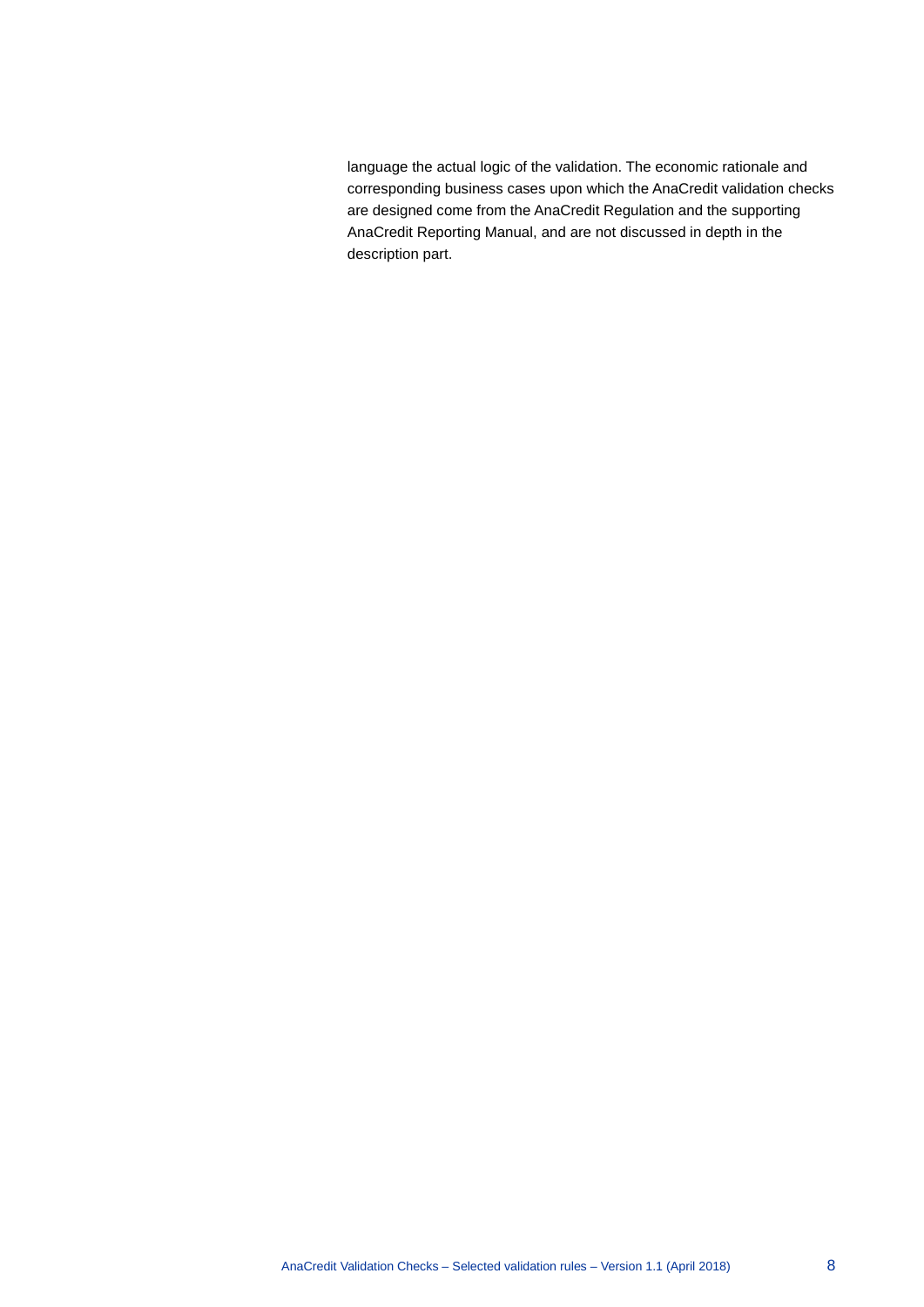language the actual logic of the validation. The economic rationale and corresponding business cases upon which the AnaCredit validation checks are designed come from the AnaCredit Regulation and the supporting AnaCredit Reporting Manual, and are not discussed in depth in the description part.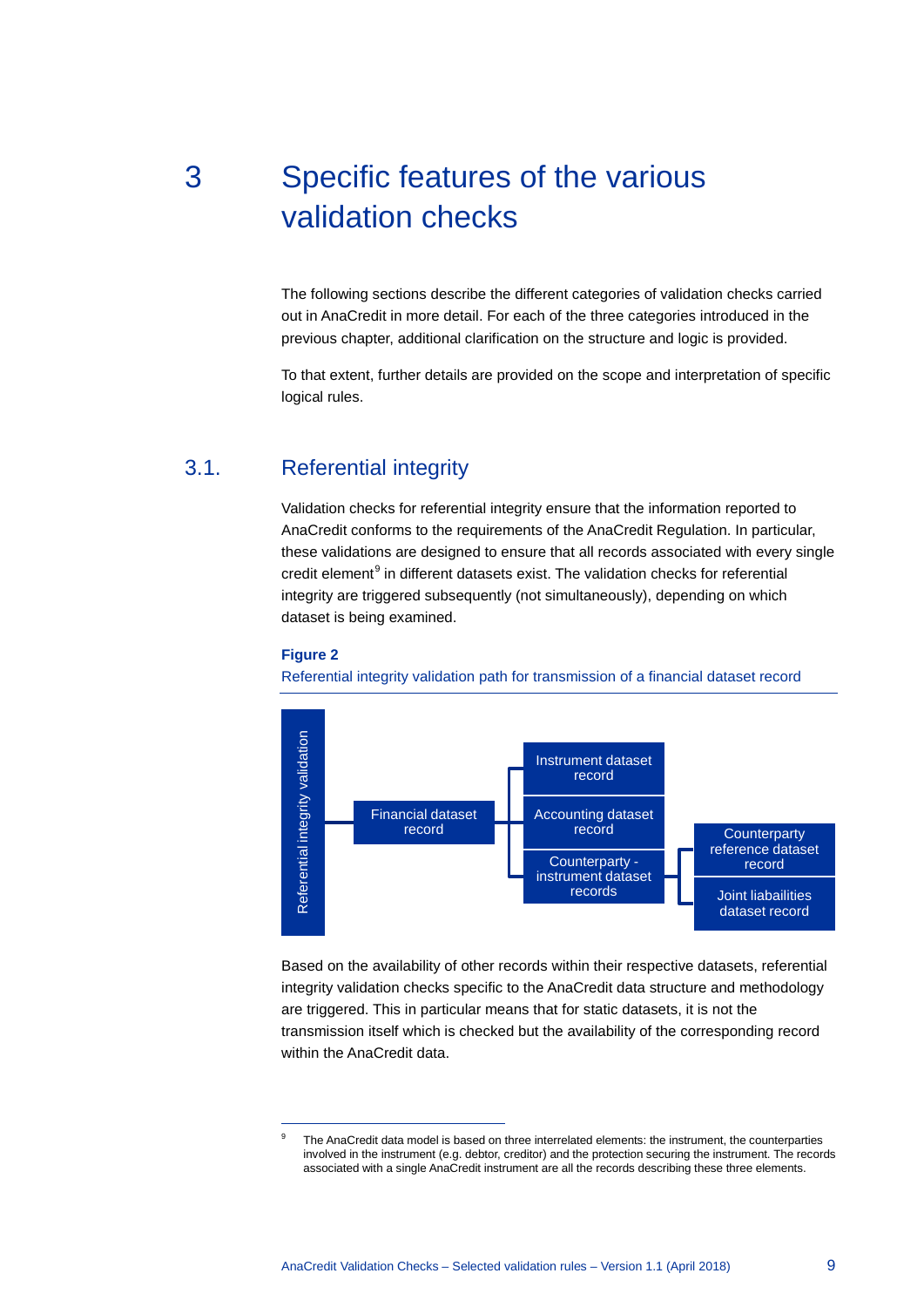# <span id="page-9-0"></span>3 Specific features of the various validation checks

The following sections describe the different categories of validation checks carried out in AnaCredit in more detail. For each of the three categories introduced in the previous chapter, additional clarification on the structure and logic is provided.

<span id="page-9-1"></span>To that extent, further details are provided on the scope and interpretation of specific logical rules.

### 3.1. Referential integrity

Validation checks for referential integrity ensure that the information reported to AnaCredit conforms to the requirements of the AnaCredit Regulation. In particular, these validations are designed to ensure that all records associated with every single  $c$ redit element $<sup>9</sup>$  $<sup>9</sup>$  $<sup>9</sup>$  in different datasets exist. The validation checks for referential</sup> integrity are triggered subsequently (not simultaneously), depending on which dataset is being examined.



<span id="page-9-2"></span>-

Referential integrity validation path for transmission of a financial dataset record



Based on the availability of other records within their respective datasets, referential integrity validation checks specific to the AnaCredit data structure and methodology are triggered. This in particular means that for static datasets, it is not the transmission itself which is checked but the availability of the corresponding record within the AnaCredit data.

The AnaCredit data model is based on three interrelated elements: the instrument, the counterparties involved in the instrument (e.g. debtor, creditor) and the protection securing the instrument. The records associated with a single AnaCredit instrument are all the records describing these three elements.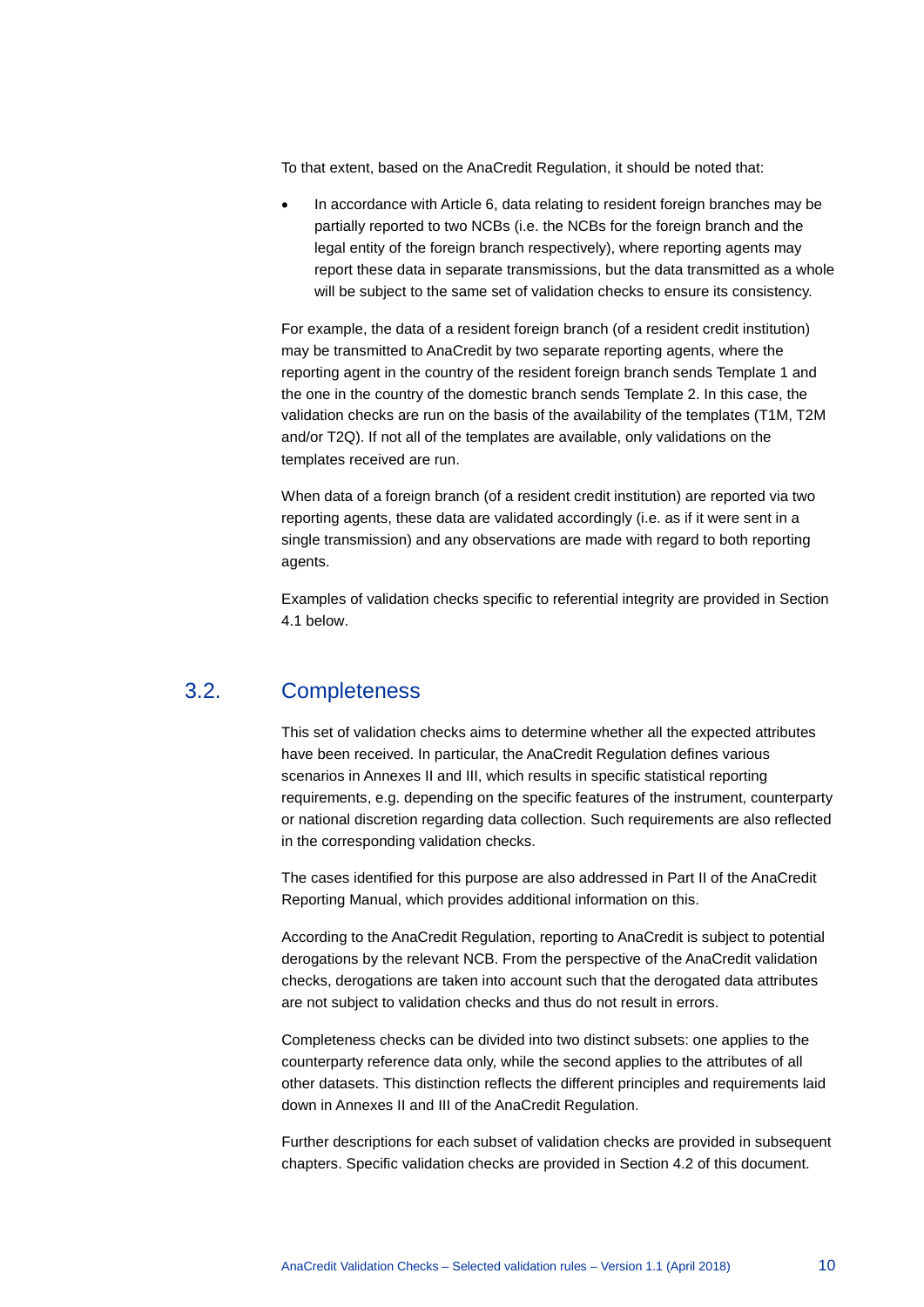To that extent, based on the AnaCredit Regulation, it should be noted that:

• In accordance with Article 6, data relating to resident foreign branches may be partially reported to two NCBs (i.e. the NCBs for the foreign branch and the legal entity of the foreign branch respectively), where reporting agents may report these data in separate transmissions, but the data transmitted as a whole will be subject to the same set of validation checks to ensure its consistency.

For example, the data of a resident foreign branch (of a resident credit institution) may be transmitted to AnaCredit by two separate reporting agents, where the reporting agent in the country of the resident foreign branch sends Template 1 and the one in the country of the domestic branch sends Template 2. In this case, the validation checks are run on the basis of the availability of the templates (T1M, T2M and/or T2Q). If not all of the templates are available, only validations on the templates received are run.

When data of a foreign branch (of a resident credit institution) are reported via two reporting agents, these data are validated accordingly (i.e. as if it were sent in a single transmission) and any observations are made with regard to both reporting agents.

<span id="page-10-0"></span>Examples of validation checks specific to referential integrity are provided in Section [4.1](#page-13-1) below.

#### 3.2. Completeness

This set of validation checks aims to determine whether all the expected attributes have been received. In particular, the AnaCredit Regulation defines various scenarios in Annexes II and III, which results in specific statistical reporting requirements, e.g. depending on the specific features of the instrument, counterparty or national discretion regarding data collection. Such requirements are also reflected in the corresponding validation checks.

The cases identified for this purpose are also addressed in Part II of the AnaCredit Reporting Manual, which provides additional information on this.

According to the AnaCredit Regulation, reporting to AnaCredit is subject to potential derogations by the relevant NCB. From the perspective of the AnaCredit validation checks, derogations are taken into account such that the derogated data attributes are not subject to validation checks and thus do not result in errors.

Completeness checks can be divided into two distinct subsets: one applies to the counterparty reference data only, while the second applies to the attributes of all other datasets. This distinction reflects the different principles and requirements laid down in Annexes II and III of the AnaCredit Regulation.

Further descriptions for each subset of validation checks are provided in subsequent chapters. Specific validation checks are provided in Section [4.2](#page-17-0) of this document.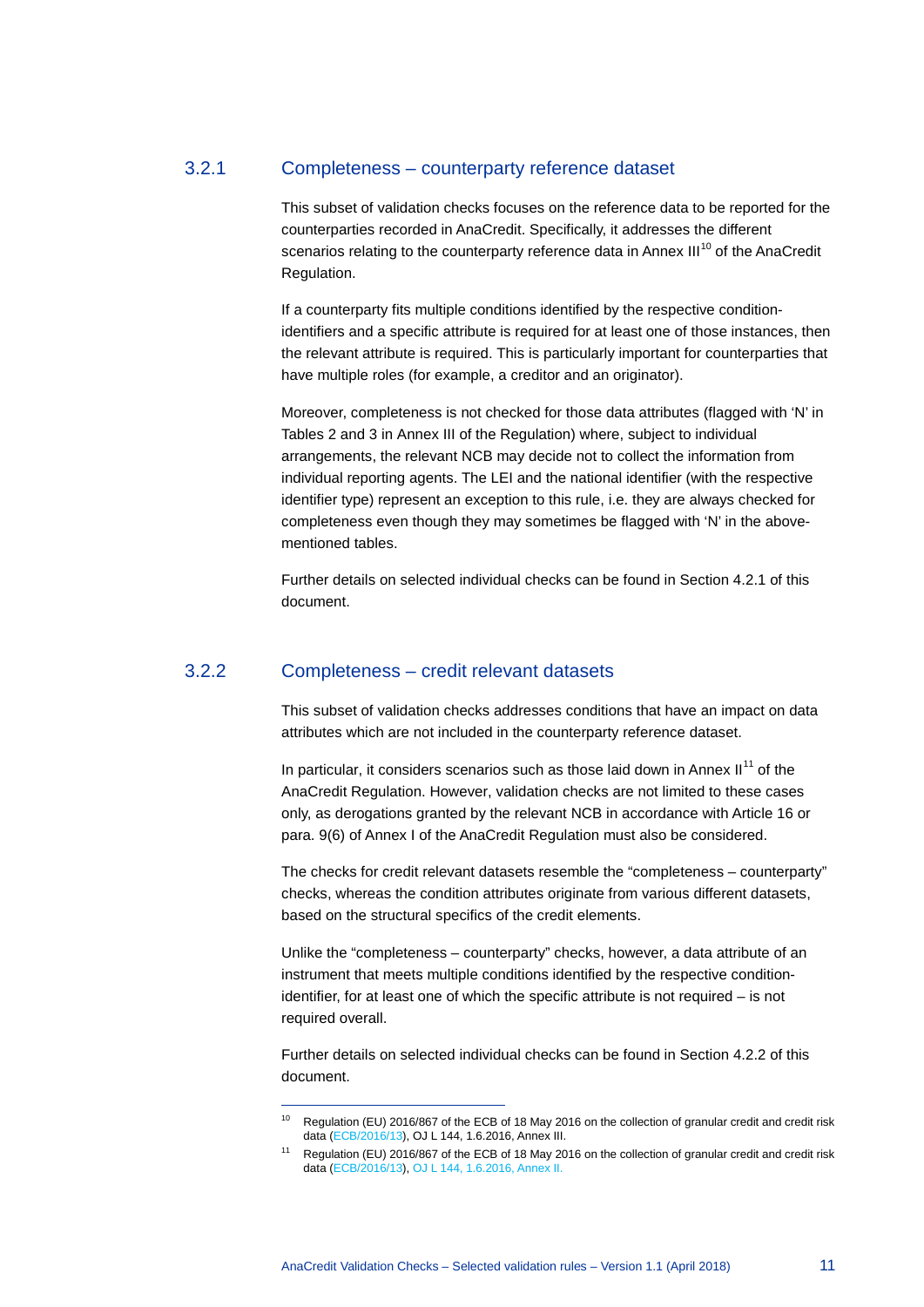#### 3.2.1 Completeness – counterparty reference dataset

This subset of validation checks focuses on the reference data to be reported for the counterparties recorded in AnaCredit. Specifically, it addresses the different scenarios relating to the counterparty reference data in Annex  $III^{10}$  $III^{10}$  $III^{10}$  of the AnaCredit Regulation.

If a counterparty fits multiple conditions identified by the respective conditionidentifiers and a specific attribute is required for at least one of those instances, then the relevant attribute is required. This is particularly important for counterparties that have multiple roles (for example, a creditor and an originator).

Moreover, completeness is not checked for those data attributes (flagged with 'N' in Tables 2 and 3 in Annex III of the Regulation) where, subject to individual arrangements, the relevant NCB may decide not to collect the information from individual reporting agents. The LEI and the national identifier (with the respective identifier type) represent an exception to this rule, i.e. they are always checked for completeness even though they may sometimes be flagged with 'N' in the abovementioned tables.

Further details on selected individual checks can be found in Sectio[n 4.2.1](#page-17-1) of this document.

#### 3.2.2 Completeness – credit relevant datasets

-

This subset of validation checks addresses conditions that have an impact on data attributes which are not included in the counterparty reference dataset.

In particular, it considers scenarios such as those laid down in Annex  $II<sup>11</sup>$  $II<sup>11</sup>$  $II<sup>11</sup>$  of the AnaCredit Regulation. However, validation checks are not limited to these cases only, as derogations granted by the relevant NCB in accordance with Article 16 or para. 9(6) of Annex I of the AnaCredit Regulation must also be considered.

The checks for credit relevant datasets resemble the "completeness – counterparty" checks, whereas the condition attributes originate from various different datasets, based on the structural specifics of the credit elements.

Unlike the "completeness – counterparty" checks, however, a data attribute of an instrument that meets multiple conditions identified by the respective conditionidentifier, for at least one of which the specific attribute is not required – is not required overall.

Further details on selected individual checks can be found in Sectio[n 4.2.2](#page-26-0) of this document.

<span id="page-11-0"></span><sup>10</sup> Regulation (EU) 2016/867 of the ECB of 18 May 2016 on the collection of granular credit and credit risk data [\(ECB/2016/13\),](https://www.ecb.europa.eu/ecb/legal/pdf/celex_32016r0867_en_txt.pdf) OJ L 144, 1.6.2016, Annex III.

<span id="page-11-1"></span>Regulation (EU) 2016/867 of the ECB of 18 May 2016 on the collection of granular credit and credit risk data [\(ECB/2016/13\)](https://www.ecb.europa.eu/ecb/legal/pdf/celex_32016r0867_en_txt.pdf)[, OJ L 144, 1.6.2016,](http://eur-lex.europa.eu/legal-content/EN/TXT/PDF/?uri=CELEX:32016R0867&from=EN) Annex II.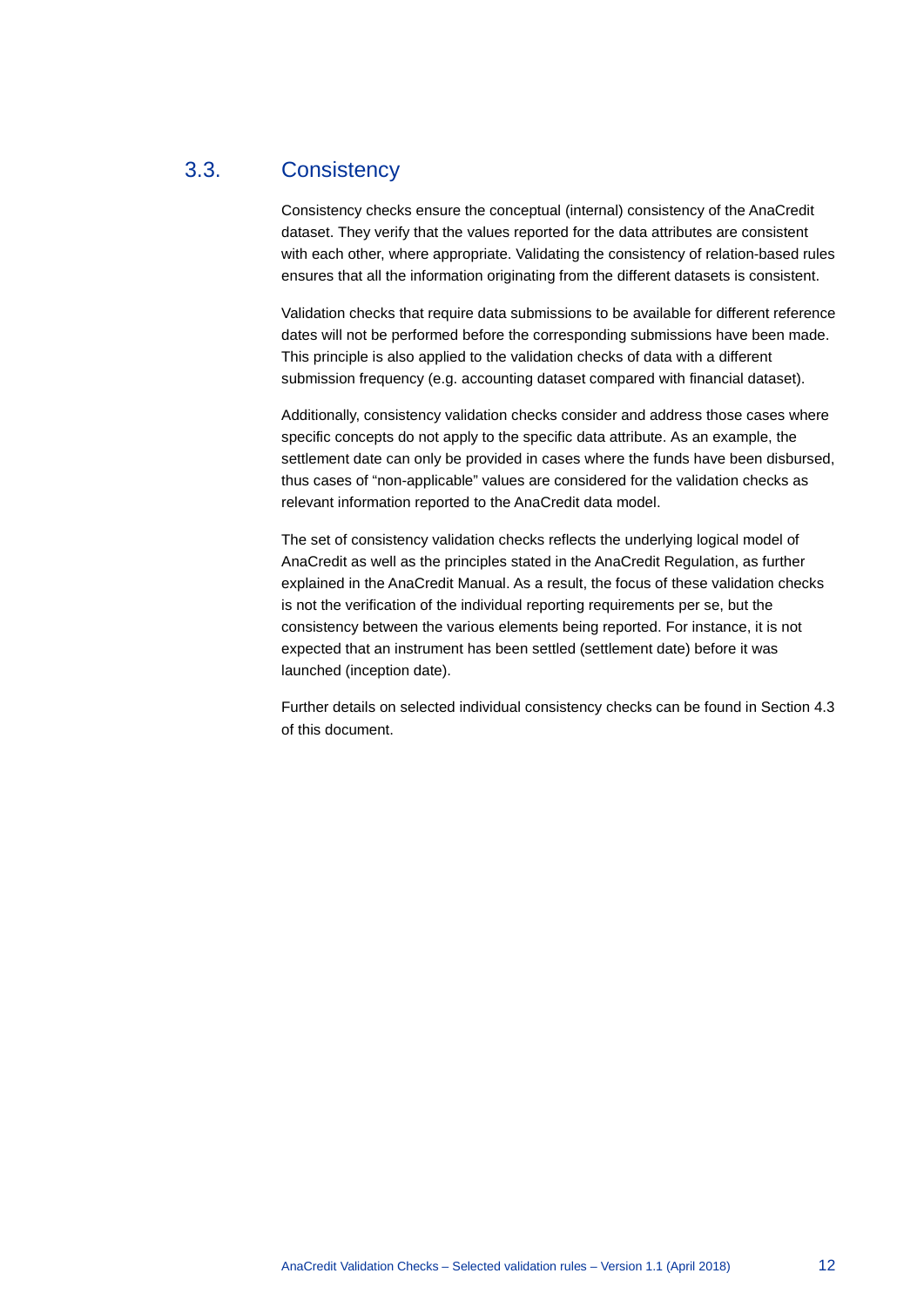### 3.3. Consistency

<span id="page-12-0"></span>Consistency checks ensure the conceptual (internal) consistency of the AnaCredit dataset. They verify that the values reported for the data attributes are consistent with each other, where appropriate. Validating the consistency of relation-based rules ensures that all the information originating from the different datasets is consistent.

Validation checks that require data submissions to be available for different reference dates will not be performed before the corresponding submissions have been made. This principle is also applied to the validation checks of data with a different submission frequency (e.g. accounting dataset compared with financial dataset).

Additionally, consistency validation checks consider and address those cases where specific concepts do not apply to the specific data attribute. As an example, the settlement date can only be provided in cases where the funds have been disbursed, thus cases of "non-applicable" values are considered for the validation checks as relevant information reported to the AnaCredit data model.

The set of consistency validation checks reflects the underlying logical model of AnaCredit as well as the principles stated in the AnaCredit Regulation, as further explained in the AnaCredit Manual. As a result, the focus of these validation checks is not the verification of the individual reporting requirements per se, but the consistency between the various elements being reported. For instance, it is not expected that an instrument has been settled (settlement date) before it was launched (inception date).

Further details on selected individual consistency checks can be found in Sectio[n 4.3](#page-30-0) of this document.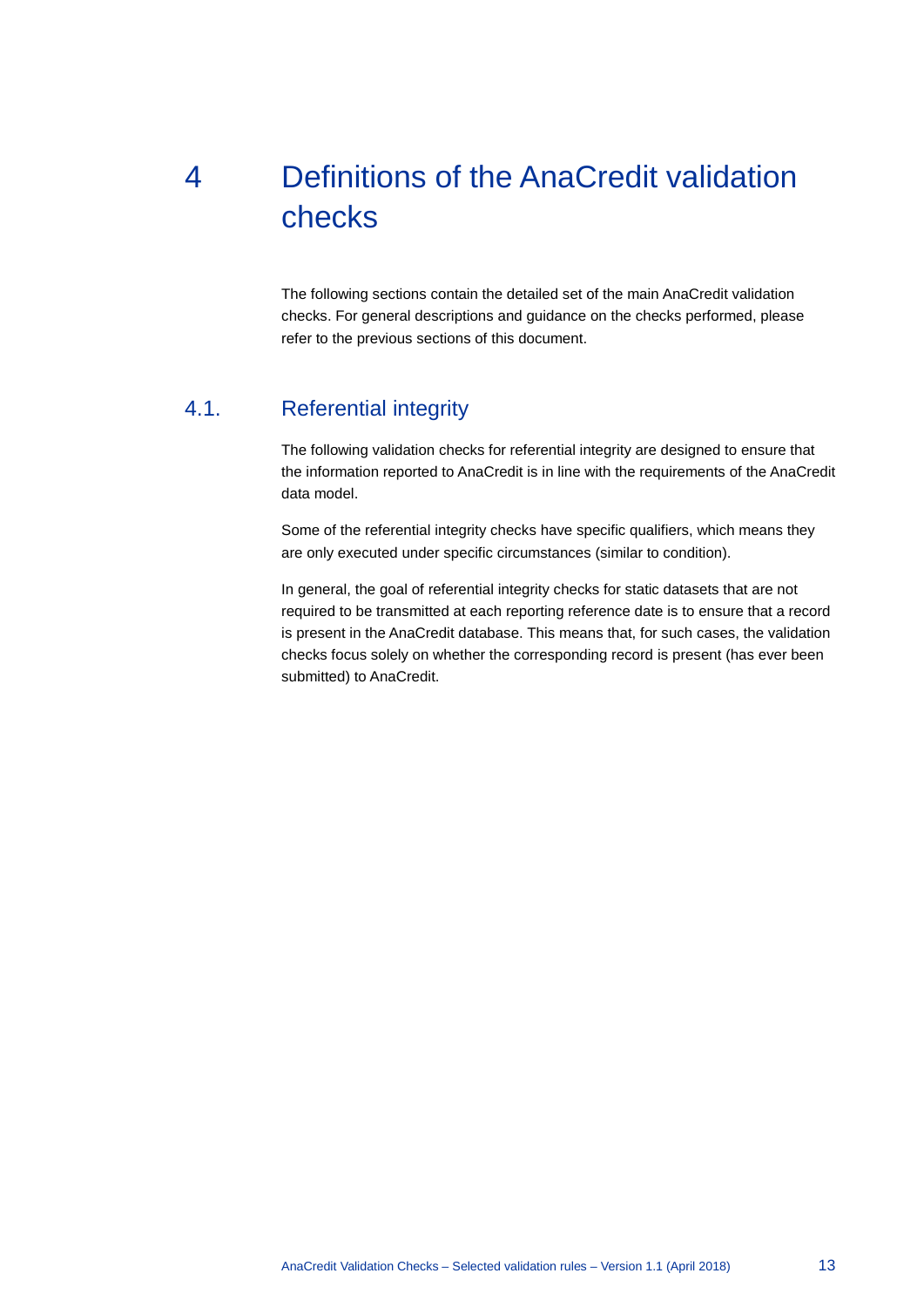# <span id="page-13-0"></span>4 Definitions of the AnaCredit validation checks

<span id="page-13-1"></span>The following sections contain the detailed set of the main AnaCredit validation checks. For general descriptions and guidance on the checks performed, please refer to the previous sections of this document.

## 4.1. Referential integrity

The following validation checks for referential integrity are designed to ensure that the information reported to AnaCredit is in line with the requirements of the AnaCredit data model.

Some of the referential integrity checks have specific qualifiers, which means they are only executed under specific circumstances (similar to condition).

In general, the goal of referential integrity checks for static datasets that are not required to be transmitted at each reporting reference date is to ensure that a record is present in the AnaCredit database. This means that, for such cases, the validation checks focus solely on whether the corresponding record is present (has ever been submitted) to AnaCredit.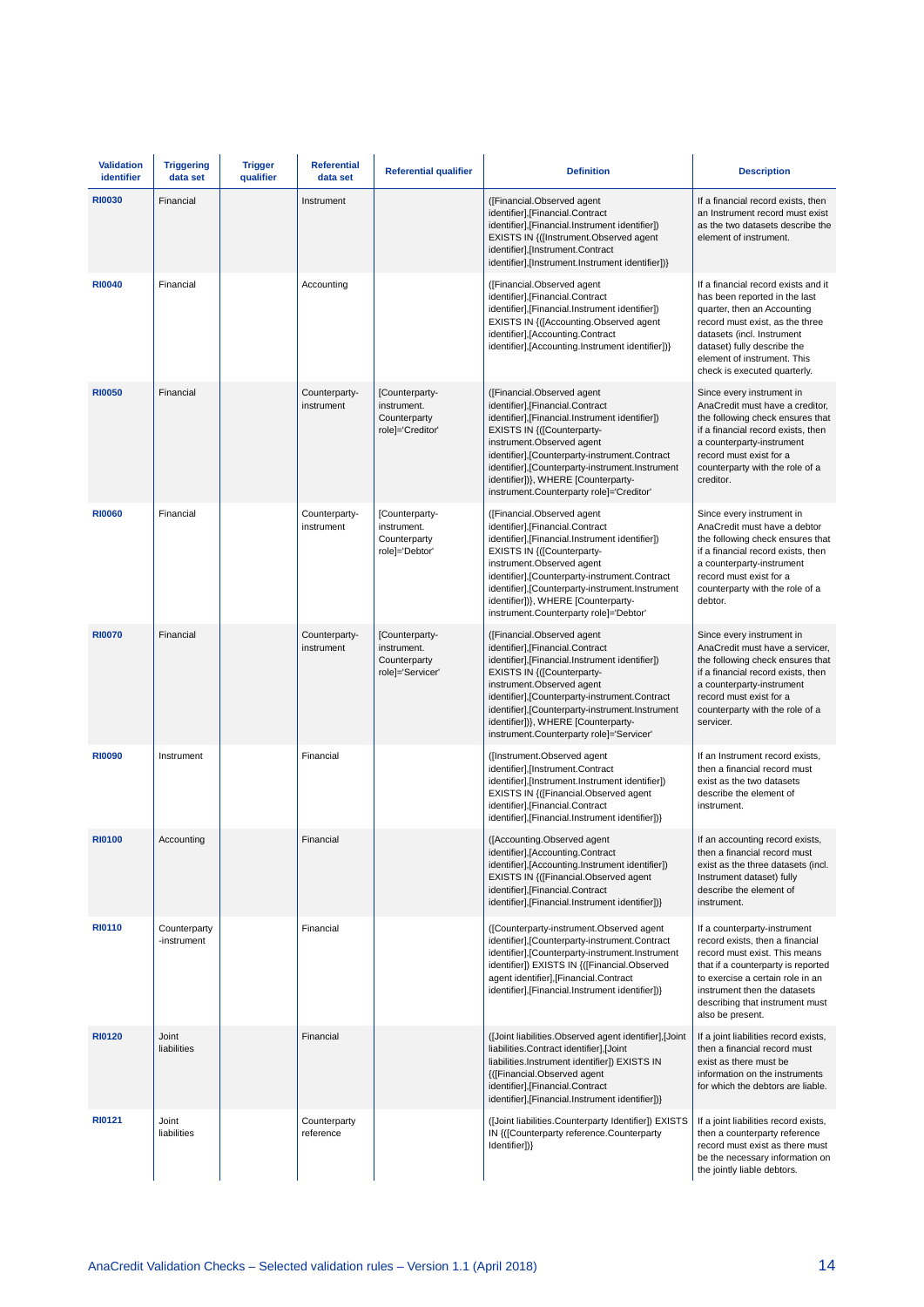| <b>Validation</b><br>identifier | <b>Triggering</b><br>data set | <b>Trigger</b><br>qualifier | <b>Referential</b><br>data set | <b>Referential qualifier</b>                                      | <b>Definition</b>                                                                                                                                                                                                                                                                                                                                                   | <b>Description</b>                                                                                                                                                                                                                                                 |  |  |
|---------------------------------|-------------------------------|-----------------------------|--------------------------------|-------------------------------------------------------------------|---------------------------------------------------------------------------------------------------------------------------------------------------------------------------------------------------------------------------------------------------------------------------------------------------------------------------------------------------------------------|--------------------------------------------------------------------------------------------------------------------------------------------------------------------------------------------------------------------------------------------------------------------|--|--|
| <b>RI0030</b>                   | Financial                     |                             | Instrument                     |                                                                   | ([Financial.Observed agent<br>identifier], [Financial.Contract<br>identifier], [Financial.Instrument identifier])<br>EXISTS IN {([Instrument.Observed agent<br>identifier],[Instrument.Contract<br>identifier],[Instrument.Instrument identifier])}                                                                                                                 | If a financial record exists, then<br>an Instrument record must exist<br>as the two datasets describe the<br>element of instrument.                                                                                                                                |  |  |
| <b>RI0040</b>                   | Financial                     |                             | Accounting                     |                                                                   | ([Financial.Observed agent<br>identifier], [Financial.Contract<br>identifier], [Financial.Instrument identifier])<br>EXISTS IN {([Accounting.Observed agent<br>identifier], [Accounting.Contract<br>identifier],[Accounting.Instrument identifier])}                                                                                                                | If a financial record exists and it<br>has been reported in the last<br>quarter, then an Accounting<br>record must exist, as the three<br>datasets (incl. Instrument<br>dataset) fully describe the<br>element of instrument. This<br>check is executed quarterly. |  |  |
| <b>RI0050</b>                   | Financial                     |                             | Counterparty-<br>instrument    | [Counterparty-<br>instrument.<br>Counterparty<br>role]='Creditor' | ([Financial.Observed agent<br>identifier], [Financial.Contract<br>identifier], [Financial.Instrument identifier])<br>EXISTS IN {([Counterparty-<br>instrument.Observed agent<br>identifier],[Counterparty-instrument.Contract<br>identifier],[Counterparty-instrument.Instrument<br>identifier])}, WHERE [Counterparty-<br>instrument.Counterparty role]='Creditor' | Since every instrument in<br>AnaCredit must have a creditor,<br>the following check ensures that<br>if a financial record exists, then<br>a counterparty-instrument<br>record must exist for a<br>counterparty with the role of a<br>creditor.                     |  |  |
| <b>RI0060</b>                   | Financial                     |                             | Counterparty-<br>instrument    | [Counterparty-<br>instrument.<br>Counterparty<br>role]='Debtor'   | ([Financial.Observed agent<br>identifier], [Financial.Contract<br>identifier], [Financial.Instrument identifier])<br>EXISTS IN {([Counterparty-<br>instrument.Observed agent<br>identifier],[Counterparty-instrument.Contract<br>identifier],[Counterparty-instrument.Instrument<br>identifier])}, WHERE [Counterparty-<br>instrument.Counterparty role]='Debtor'   | Since every instrument in<br>AnaCredit must have a debtor<br>the following check ensures that<br>if a financial record exists, then<br>a counterparty-instrument<br>record must exist for a<br>counterparty with the role of a<br>debtor.                          |  |  |
| <b>RI0070</b>                   | Financial                     |                             | Counterparty-<br>instrument    | [Counterparty-<br>instrument.<br>Counterparty<br>role]='Servicer' | ([Financial.Observed agent<br>identifier], [Financial.Contract<br>identifier], [Financial.Instrument identifier])<br>EXISTS IN {([Counterparty-<br>instrument.Observed agent<br>identifier],[Counterparty-instrument.Contract<br>identifier],[Counterparty-instrument.Instrument<br>identifier])}, WHERE [Counterparty-<br>instrument.Counterparty role]='Servicer' | Since every instrument in<br>AnaCredit must have a servicer,<br>the following check ensures that<br>if a financial record exists, then<br>a counterparty-instrument<br>record must exist for a<br>counterparty with the role of a<br>servicer.                     |  |  |
| <b>RI0090</b>                   | Instrument                    |                             | Financial                      |                                                                   | ([Instrument.Observed agent<br>identifier],[Instrument.Contract<br>identifier],[Instrument.Instrument identifier])<br>EXISTS IN {([Financial.Observed agent<br>identifier],[Financial.Contract<br>identifier], [Financial. Instrument identifier])}                                                                                                                 | If an Instrument record exists.<br>then a financial record must<br>exist as the two datasets<br>describe the element of<br>instrument.                                                                                                                             |  |  |
| <b>RI0100</b>                   | Accounting                    |                             | Financial                      |                                                                   | ([Accounting.Observed agent<br>identifier], [Accounting.Contract<br>identifier],[Accounting.Instrument identifier])<br>EXISTS IN {([Financial.Observed agent<br>identifier],[Financial.Contract<br>identifier], [Financial.Instrument identifier])}                                                                                                                 | If an accounting record exists,<br>then a financial record must<br>exist as the three datasets (incl.<br>Instrument dataset) fully<br>describe the element of<br>instrument.                                                                                       |  |  |
| <b>RI0110</b>                   | Counterparty<br>-instrument   |                             | Financial                      |                                                                   | ([Counterparty-instrument.Observed agent<br>identifier],[Counterparty-instrument.Contract<br>identifier],[Counterparty-instrument.Instrument<br>identifier]) EXISTS IN {([Financial.Observed<br>agent identifier],[Financial.Contract<br>identifier],[Financial.Instrument identifier])}                                                                            | If a counterparty-instrument<br>record exists, then a financial<br>record must exist. This means<br>that if a counterparty is reported<br>to exercise a certain role in an<br>instrument then the datasets<br>describing that instrument must<br>also be present.  |  |  |
| <b>RI0120</b>                   | Joint<br>liabilities          |                             | Financial                      |                                                                   | (Joint liabilities.Observed agent identifier], Joint<br>liabilities.Contract identifier],[Joint<br>liabilities.Instrument identifier]) EXISTS IN<br>{([Financial.Observed agent<br>identifier], [Financial.Contract<br>identifier], [Financial.Instrument identifier])}                                                                                             | If a joint liabilities record exists,<br>then a financial record must<br>exist as there must be<br>information on the instruments<br>for which the debtors are liable.                                                                                             |  |  |
| RI0121                          | Joint<br>liabilities          |                             | Counterparty<br>reference      |                                                                   | (Joint liabilities.Counterparty Identifier]) EXISTS<br>IN {([Counterparty reference.Counterparty<br>Identifier])}                                                                                                                                                                                                                                                   | If a joint liabilities record exists,<br>then a counterparty reference<br>record must exist as there must<br>be the necessary information on<br>the jointly liable debtors.                                                                                        |  |  |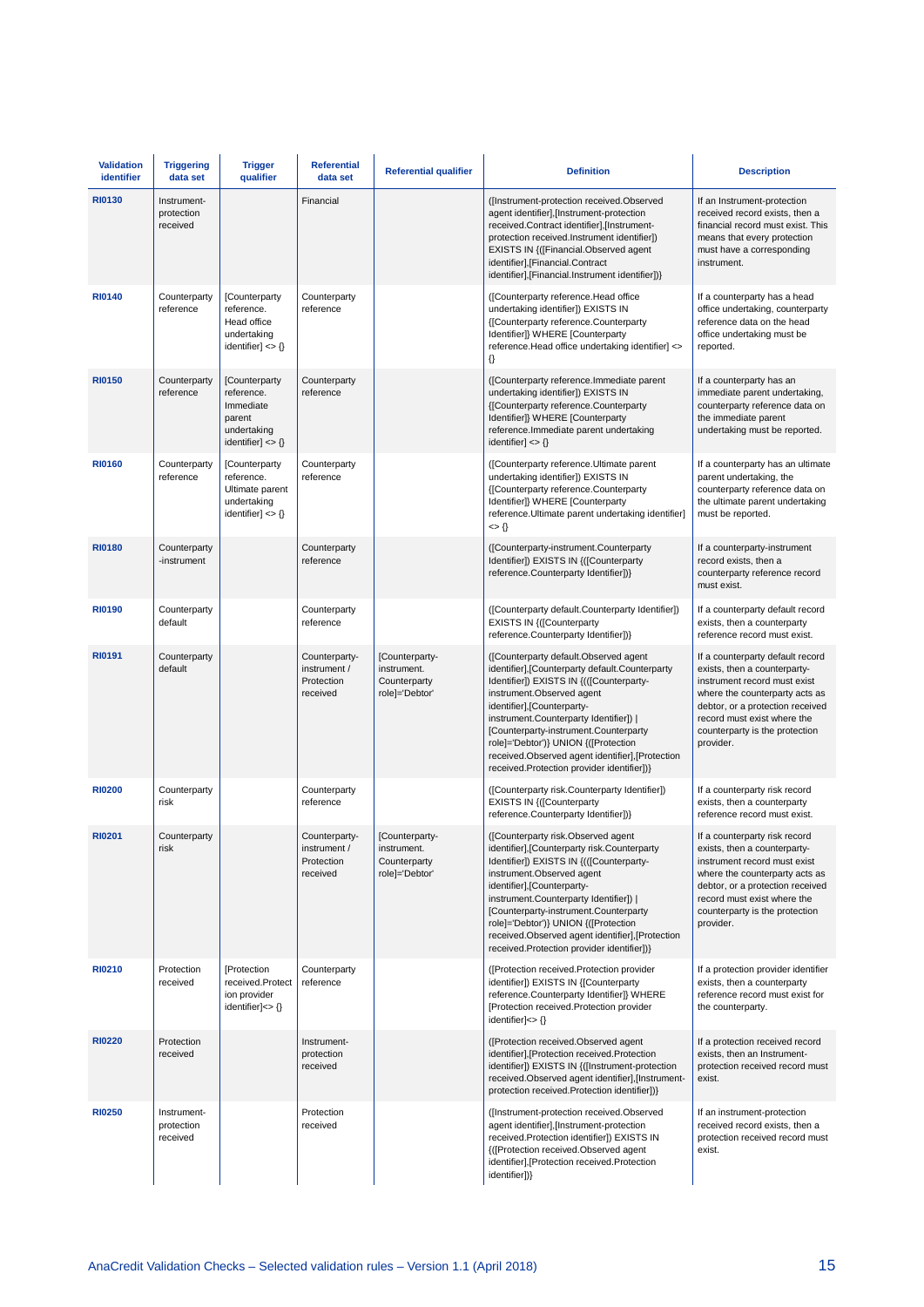| <b>Validation</b><br>identifier | <b>Triggering</b><br>data set         | <b>Trigger</b><br>qualifier                                                                        | <b>Referential</b><br>data set                          | <b>Referential qualifier</b>                                    | <b>Definition</b>                                                                                                                                                                                                                                                                                                                                                                                                              | <b>Description</b>                                                                                                                                                                                                                                   |
|---------------------------------|---------------------------------------|----------------------------------------------------------------------------------------------------|---------------------------------------------------------|-----------------------------------------------------------------|--------------------------------------------------------------------------------------------------------------------------------------------------------------------------------------------------------------------------------------------------------------------------------------------------------------------------------------------------------------------------------------------------------------------------------|------------------------------------------------------------------------------------------------------------------------------------------------------------------------------------------------------------------------------------------------------|
| <b>RI0130</b>                   | Instrument-<br>protection<br>received |                                                                                                    | Financial                                               |                                                                 | ([Instrument-protection received.Observed<br>agent identifier],[Instrument-protection<br>received.Contract identifier],[Instrument-<br>protection received.Instrument identifier])<br>EXISTS IN {([Financial.Observed agent<br>identifier],[Financial.Contract<br>identifier],[Financial.Instrument identifier])}                                                                                                              | If an Instrument-protection<br>received record exists, then a<br>financial record must exist. This<br>means that every protection<br>must have a corresponding<br>instrument.                                                                        |
| <b>RI0140</b>                   | Counterparty<br>reference             | [Counterparty<br>reference.<br>Head office<br>undertaking<br>identifier] $\langle \rangle$         | Counterparty<br>reference                               |                                                                 | ([Counterparty reference.Head office<br>undertaking identifier]) EXISTS IN<br>{[Counterparty reference.Counterparty<br>Identifier]} WHERE [Counterparty<br>reference.Head office undertaking identifier] <><br>€                                                                                                                                                                                                               | If a counterparty has a head<br>office undertaking, counterparty<br>reference data on the head<br>office undertaking must be<br>reported.                                                                                                            |
| <b>RI0150</b>                   | Counterparty<br>reference             | [Counterparty<br>reference.<br>Immediate<br>parent<br>undertaking<br>identifier] $\langle \rangle$ | Counterparty<br>reference                               |                                                                 | ([Counterparty reference.Immediate parent<br>undertaking identifier]) EXISTS IN<br>{[Counterparty reference.Counterparty<br>Identifier]} WHERE [Counterparty<br>reference.Immediate parent undertaking<br>$identifier] \ll \{\}$                                                                                                                                                                                               | If a counterparty has an<br>immediate parent undertaking,<br>counterparty reference data on<br>the immediate parent<br>undertaking must be reported.                                                                                                 |
| <b>RI0160</b>                   | Counterparty<br>reference             | [Counterparty<br>reference.<br>Ultimate parent<br>undertaking<br>identifier] $\langle \rangle$     | Counterparty<br>reference                               |                                                                 | ([Counterparty reference.Ultimate parent<br>undertaking identifier]) EXISTS IN<br>{[Counterparty reference.Counterparty<br>Identifier]} WHERE [Counterparty<br>reference. Ultimate parent undertaking identifier]<br>$\iff$ {}                                                                                                                                                                                                 | If a counterparty has an ultimate<br>parent undertaking, the<br>counterparty reference data on<br>the ultimate parent undertaking<br>must be reported.                                                                                               |
| <b>RI0180</b>                   | Counterparty<br>-instrument           |                                                                                                    | Counterparty<br>reference                               |                                                                 | ([Counterparty-instrument.Counterparty<br>Identifier]) EXISTS IN {([Counterparty<br>reference.Counterparty Identifier])}                                                                                                                                                                                                                                                                                                       | If a counterparty-instrument<br>record exists, then a<br>counterparty reference record<br>must exist.                                                                                                                                                |
| <b>RI0190</b>                   | Counterparty<br>default               |                                                                                                    | Counterparty<br>reference                               |                                                                 | ([Counterparty default.Counterparty Identifier])<br><b>EXISTS IN {([Counterparty</b><br>reference.Counterparty Identifier])}                                                                                                                                                                                                                                                                                                   | If a counterparty default record<br>exists, then a counterparty<br>reference record must exist.                                                                                                                                                      |
| <b>RI0191</b>                   | Counterparty<br>default               |                                                                                                    | Counterparty-<br>instrument /<br>Protection<br>received | [Counterparty-<br>instrument.<br>Counterparty<br>role]='Debtor' | ([Counterparty default.Observed agent<br>identifier], [Counterparty default. Counterparty<br>Identifier]) EXISTS IN {(([Counterparty-<br>instrument.Observed agent<br>identifier], [Counterparty-<br>instrument.Counterparty Identifier])  <br>[Counterparty-instrument.Counterparty<br>role]='Debtor')} UNION {([Protection<br>received.Observed agent identifier], [Protection<br>received.Protection provider identifier])} | If a counterparty default record<br>exists, then a counterparty-<br>instrument record must exist<br>where the counterparty acts as<br>debtor, or a protection received<br>record must exist where the<br>counterparty is the protection<br>provider. |
| <b>RI0200</b>                   | Counterparty<br>risk                  |                                                                                                    | Counterparty<br>reference                               |                                                                 | ([Counterparty risk.Counterparty Identifier])<br><b>EXISTS IN {([Counterparty</b><br>reference.Counterparty Identifier])}                                                                                                                                                                                                                                                                                                      | If a counterparty risk record<br>exists, then a counterparty<br>reference record must exist.                                                                                                                                                         |
| <b>RI0201</b>                   | Counterparty<br>risk                  |                                                                                                    | Counterparty-<br>instrument /<br>Protection<br>received | [Counterparty-<br>instrument.<br>Counterparty<br>role]='Debtor' | ([Counterparty risk.Observed agent<br>identifier], [Counterparty risk.Counterparty<br>Identifier]) EXISTS IN {(([Counterparty-<br>instrument.Observed agent<br>identifier], [Counterparty-<br>instrument.Counterparty Identifier])  <br>[Counterparty-instrument.Counterparty<br>role]='Debtor')} UNION {([Protection<br>received.Observed agent identifier].[Protection<br>received.Protection provider identifier])}         | If a counterparty risk record<br>exists, then a counterparty-<br>instrument record must exist<br>where the counterparty acts as<br>debtor, or a protection received<br>record must exist where the<br>counterparty is the protection<br>provider.    |
| <b>RI0210</b>                   | Protection<br>received                | [Protection<br>received.Protect<br>ion provider<br>identifier] $\langle \rangle$                   | Counterparty<br>reference                               |                                                                 | ([Protection received.Protection provider<br>identifier]) EXISTS IN {[Counterparty<br>reference.Counterparty Identifier]} WHERE<br>[Protection received.Protection provider<br>identifier] $\langle \rangle$                                                                                                                                                                                                                   | If a protection provider identifier<br>exists, then a counterparty<br>reference record must exist for<br>the counterparty.                                                                                                                           |
| <b>RI0220</b>                   | Protection<br>received                |                                                                                                    | Instrument-<br>protection<br>received                   |                                                                 | ([Protection received.Observed agent<br>identifier],[Protection received.Protection<br>identifier]) EXISTS IN {([Instrument-protection<br>received.Observed agent identifier],[Instrument-<br>protection received.Protection identifier])}                                                                                                                                                                                     | If a protection received record<br>exists, then an Instrument-<br>protection received record must<br>exist.                                                                                                                                          |
| <b>RI0250</b>                   | Instrument-<br>protection<br>received |                                                                                                    | Protection<br>received                                  |                                                                 | ([Instrument-protection received.Observed<br>agent identifier],[Instrument-protection<br>received.Protection identifier]) EXISTS IN<br>{([Protection received.Observed agent<br>identifier],[Protection received.Protection<br>identifier])}                                                                                                                                                                                   | If an instrument-protection<br>received record exists, then a<br>protection received record must<br>exist.                                                                                                                                           |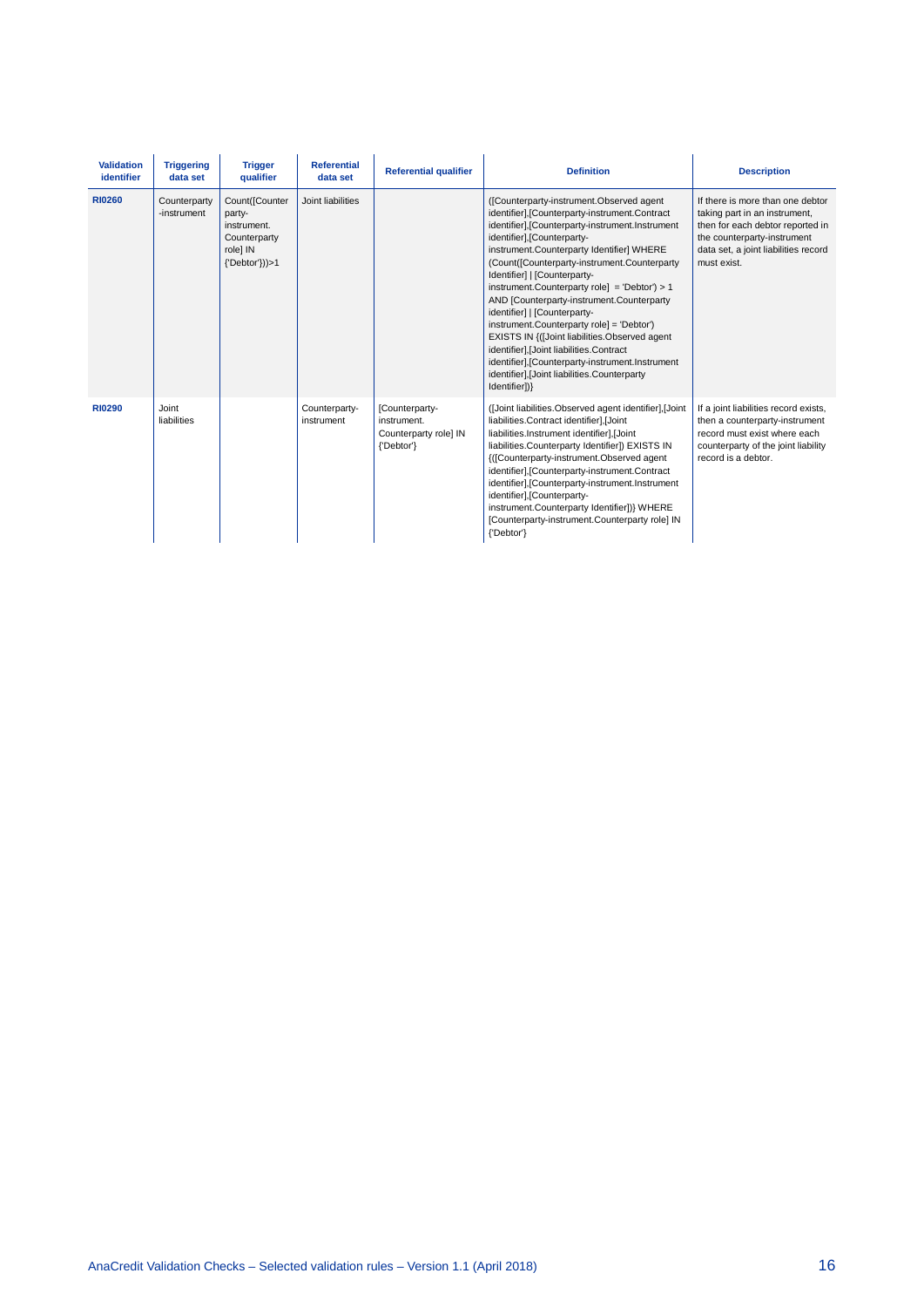| <b>Validation</b><br>identifier | <b>Triggering</b><br>data set | <b>Trigger</b><br>qualifier                                                           | <b>Referential</b><br>data set | <b>Referential qualifier</b>                                         | <b>Definition</b>                                                                                                                                                                                                                                                                                                                                                                                                                                                                                                                                                                                                                                                                                     | <b>Description</b>                                                                                                                                                                          |
|---------------------------------|-------------------------------|---------------------------------------------------------------------------------------|--------------------------------|----------------------------------------------------------------------|-------------------------------------------------------------------------------------------------------------------------------------------------------------------------------------------------------------------------------------------------------------------------------------------------------------------------------------------------------------------------------------------------------------------------------------------------------------------------------------------------------------------------------------------------------------------------------------------------------------------------------------------------------------------------------------------------------|---------------------------------------------------------------------------------------------------------------------------------------------------------------------------------------------|
| <b>RI0260</b>                   | Counterparty<br>-instrument   | Count([Counter<br>party-<br>instrument.<br>Counterparty<br>role] IN<br>{'Debtor'}))>1 | Joint liabilities              |                                                                      | ([Counterparty-instrument.Observed agent<br>identifier],[Counterparty-instrument.Contract<br>identifier],[Counterparty-instrument.Instrument<br>identifier], [Counterparty-<br>instrument.Counterparty Identifier] WHERE<br>(Count([Counterparty-instrument.Counterparty<br>Identifier]   [Counterparty-<br>instrument.Counterparty role] = 'Debtor') > 1<br>AND [Counterparty-instrument.Counterparty<br>identifier]   [Counterparty-<br>instrument.Counterparty role] = 'Debtor')<br>EXISTS IN {(Joint liabilities.Observed agent<br>identifier], [Joint liabilities.Contract<br>identifier], [Counterparty-instrument. Instrument<br>identifier], [Joint liabilities.Counterparty<br>Identifier])} | If there is more than one debtor<br>taking part in an instrument,<br>then for each debtor reported in<br>the counterparty-instrument<br>data set, a joint liabilities record<br>must exist. |
| <b>RI0290</b>                   | Joint<br>liabilities          |                                                                                       | Counterparty-<br>instrument    | [Counterparty-<br>instrument.<br>Counterparty role] IN<br>{'Debtor'} | (Joint liabilities.Observed agent identifier], Joint<br>liabilities.Contract identifier],[Joint<br>liabilities.Instrument identifier],[Joint<br>liabilities.Counterparty Identifier]) EXISTS IN<br>{([Counterparty-instrument.Observed agent<br>identifier],[Counterparty-instrument.Contract<br>identifier],[Counterparty-instrument.Instrument<br>identifier],[Counterparty-<br>instrument.Counterparty Identifier])} WHERE<br>[Counterparty-instrument.Counterparty role] IN<br>{'Debtor'}                                                                                                                                                                                                         | If a joint liabilities record exists,<br>then a counterparty-instrument<br>record must exist where each<br>counterparty of the joint liability<br>record is a debtor.                       |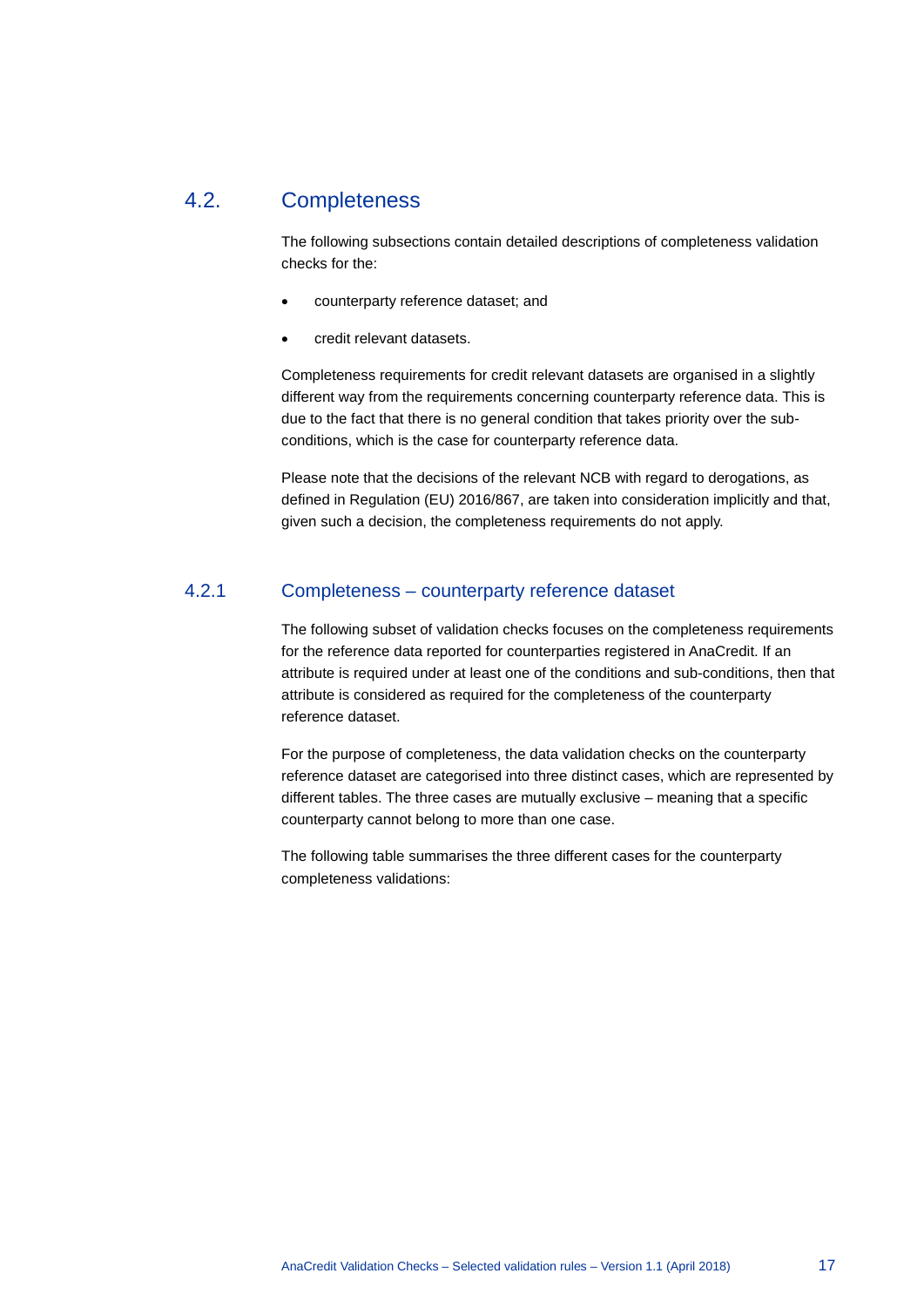### 4.2. Completeness

<span id="page-17-0"></span>The following subsections contain detailed descriptions of completeness validation checks for the:

- counterparty reference dataset; and
- credit relevant datasets.

Completeness requirements for credit relevant datasets are organised in a slightly different way from the requirements concerning counterparty reference data. This is due to the fact that there is no general condition that takes priority over the subconditions, which is the case for counterparty reference data.

<span id="page-17-1"></span>Please note that the decisions of the relevant NCB with regard to derogations, as defined in Regulation (EU) 2016/867, are taken into consideration implicitly and that, given such a decision, the completeness requirements do not apply.

#### 4.2.1 Completeness – counterparty reference dataset

The following subset of validation checks focuses on the completeness requirements for the reference data reported for counterparties registered in AnaCredit. If an attribute is required under at least one of the conditions and sub-conditions, then that attribute is considered as required for the completeness of the counterparty reference dataset.

For the purpose of completeness, the data validation checks on the counterparty reference dataset are categorised into three distinct cases, which are represented by different tables. The three cases are mutually exclusive – meaning that a specific counterparty cannot belong to more than one case.

The following table summarises the three different cases for the counterparty completeness validations: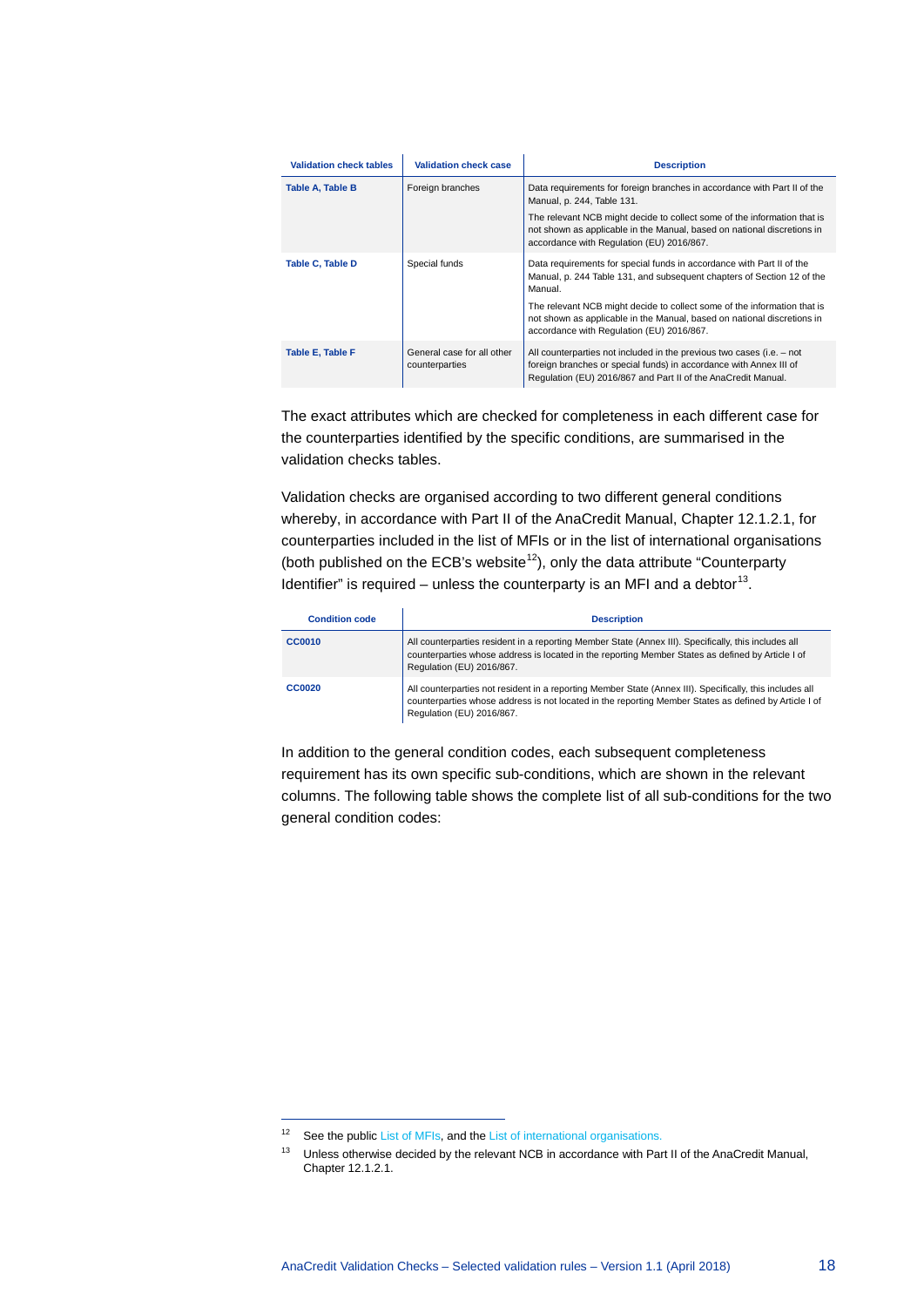| <b>Validation check tables</b> | <b>Validation check case</b>                 | <b>Description</b>                                                                                                                                                                                           |  |  |  |  |  |
|--------------------------------|----------------------------------------------|--------------------------------------------------------------------------------------------------------------------------------------------------------------------------------------------------------------|--|--|--|--|--|
| <b>Table A, Table B</b>        | Foreign branches                             | Data requirements for foreign branches in accordance with Part II of the<br>Manual, p. 244, Table 131.                                                                                                       |  |  |  |  |  |
|                                |                                              | The relevant NCB might decide to collect some of the information that is<br>not shown as applicable in the Manual, based on national discretions in<br>accordance with Regulation (EU) 2016/867.             |  |  |  |  |  |
| Table C, Table D               | Special funds                                | Data requirements for special funds in accordance with Part II of the<br>Manual, p. 244 Table 131, and subsequent chapters of Section 12 of the<br>Manual.                                                   |  |  |  |  |  |
|                                |                                              | The relevant NCB might decide to collect some of the information that is<br>not shown as applicable in the Manual, based on national discretions in<br>accordance with Regulation (EU) 2016/867.             |  |  |  |  |  |
| Table E, Table F               | General case for all other<br>counterparties | All counterparties not included in the previous two cases (i.e. – not<br>foreign branches or special funds) in accordance with Annex III of<br>Regulation (EU) 2016/867 and Part II of the AnaCredit Manual. |  |  |  |  |  |

The exact attributes which are checked for completeness in each different case for the counterparties identified by the specific conditions, are summarised in the validation checks tables.

Validation checks are organised according to two different general conditions whereby, in accordance with Part II of the AnaCredit Manual, Chapter 12.1.2.1, for counterparties included in the list of MFIs or in the list of international organisations (both published on the ECB's website<sup>[12](#page-18-0)</sup>), only the data attribute "Counterparty Identifier" is required – unless the counterparty is an MFI and a debtor<sup>[13](#page-18-1)</sup>.

| <b>Condition code</b> | <b>Description</b>                                                                                                                                                                                                                             |
|-----------------------|------------------------------------------------------------------------------------------------------------------------------------------------------------------------------------------------------------------------------------------------|
| <b>CC0010</b>         | All counterparties resident in a reporting Member State (Annex III). Specifically, this includes all<br>counterparties whose address is located in the reporting Member States as defined by Article I of<br>Regulation (EU) 2016/867.         |
| <b>CC0020</b>         | All counterparties not resident in a reporting Member State (Annex III). Specifically, this includes all<br>counterparties whose address is not located in the reporting Member States as defined by Article I of<br>Regulation (EU) 2016/867. |

In addition to the general condition codes, each subsequent completeness requirement has its own specific sub-conditions, which are shown in the relevant columns. The following table shows the complete list of all sub-conditions for the two general condition codes:

-

<span id="page-18-1"></span><span id="page-18-0"></span><sup>12</sup> See the publi[c List of MFIs,](https://www.ecb.europa.eu/stats/financial_corporations/list_of_financial_institutions/html/index.en.html) and th[e List of international organisations.](https://www.ecb.europa.eu/stats/money/aggregates/anacredit/shared/pdf/List_of_International_Organisations.xlsx)

 $13$  Unless otherwise decided by the relevant NCB in accordance with Part II of the AnaCredit Manual, Chapter 12.1.2.1.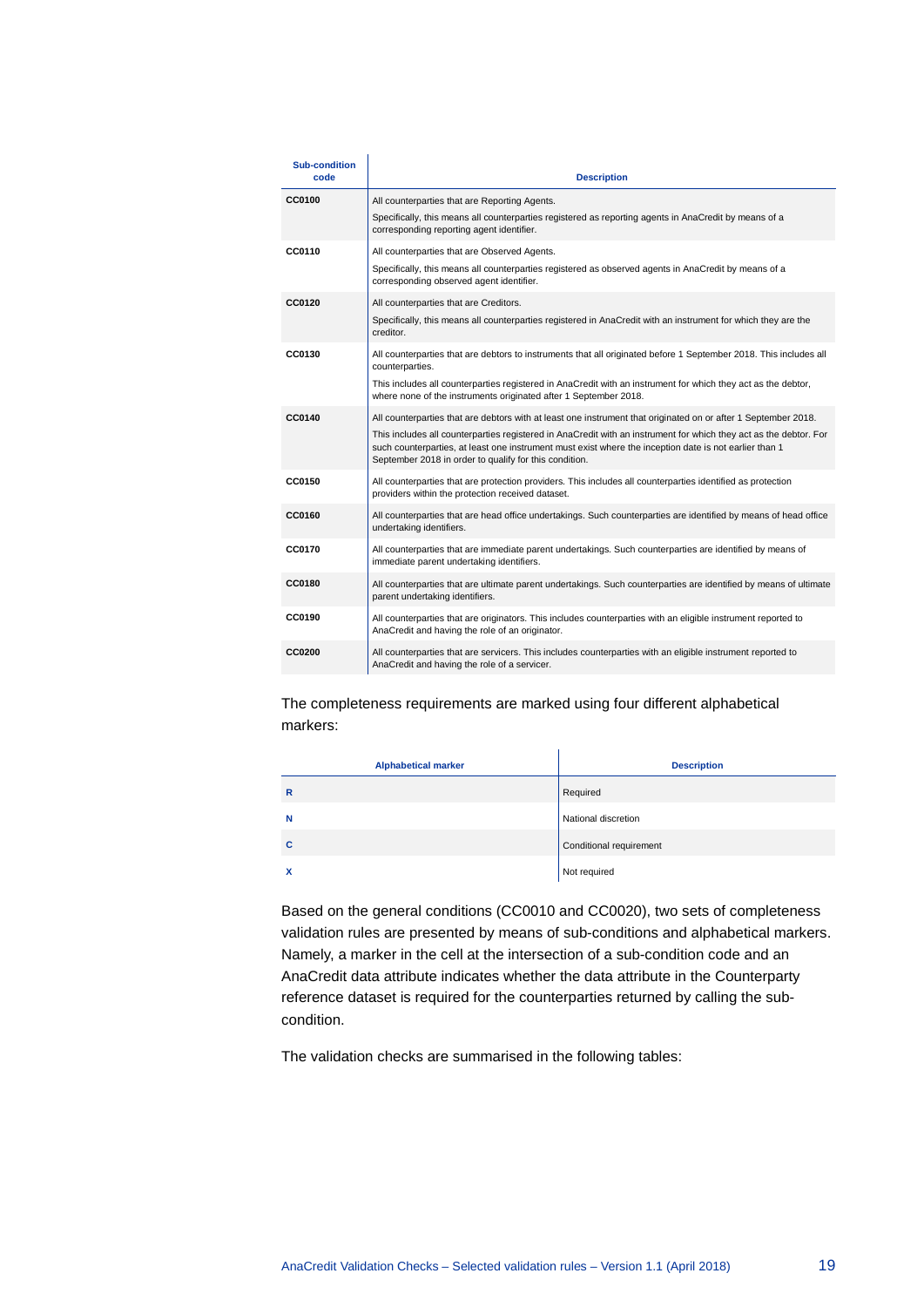| <b>Sub-condition</b><br>code | <b>Description</b>                                                                                                                                                                                                                                                                    |
|------------------------------|---------------------------------------------------------------------------------------------------------------------------------------------------------------------------------------------------------------------------------------------------------------------------------------|
| <b>CC0100</b>                | All counterparties that are Reporting Agents.                                                                                                                                                                                                                                         |
|                              | Specifically, this means all counterparties registered as reporting agents in AnaCredit by means of a<br>corresponding reporting agent identifier.                                                                                                                                    |
| CC0110                       | All counterparties that are Observed Agents.                                                                                                                                                                                                                                          |
|                              | Specifically, this means all counterparties registered as observed agents in AnaCredit by means of a<br>corresponding observed agent identifier.                                                                                                                                      |
| CC0120                       | All counterparties that are Creditors.                                                                                                                                                                                                                                                |
|                              | Specifically, this means all counterparties registered in AnaCredit with an instrument for which they are the<br>creditor.                                                                                                                                                            |
| CC0130                       | All counterparties that are debtors to instruments that all originated before 1 September 2018. This includes all<br>counterparties.                                                                                                                                                  |
|                              | This includes all counterparties registered in AnaCredit with an instrument for which they act as the debtor,<br>where none of the instruments originated after 1 September 2018.                                                                                                     |
| CC0140                       | All counterparties that are debtors with at least one instrument that originated on or after 1 September 2018.                                                                                                                                                                        |
|                              | This includes all counterparties registered in AnaCredit with an instrument for which they act as the debtor. For<br>such counterparties, at least one instrument must exist where the inception date is not earlier than 1<br>September 2018 in order to qualify for this condition. |
| CC0150                       | All counterparties that are protection providers. This includes all counterparties identified as protection<br>providers within the protection received dataset.                                                                                                                      |
| CC0160                       | All counterparties that are head office undertakings. Such counterparties are identified by means of head office<br>undertaking identifiers.                                                                                                                                          |
| <b>CC0170</b>                | All counterparties that are immediate parent undertakings. Such counterparties are identified by means of<br>immediate parent undertaking identifiers.                                                                                                                                |
| <b>CC0180</b>                | All counterparties that are ultimate parent undertakings. Such counterparties are identified by means of ultimate<br>parent undertaking identifiers.                                                                                                                                  |
| CC0190                       | All counterparties that are originators. This includes counterparties with an eligible instrument reported to<br>AnaCredit and having the role of an originator.                                                                                                                      |
| <b>CC0200</b>                | All counterparties that are servicers. This includes counterparties with an eligible instrument reported to<br>AnaCredit and having the role of a servicer.                                                                                                                           |

The completeness requirements are marked using four different alphabetical markers:

| <b>Alphabetical marker</b> | <b>Description</b>      |
|----------------------------|-------------------------|
| $\mathbf R$                | Required                |
| N                          | National discretion     |
| C                          | Conditional requirement |
| $\boldsymbol{\mathsf{x}}$  | Not required            |

Based on the general conditions (CC0010 and CC0020), two sets of completeness validation rules are presented by means of sub-conditions and alphabetical markers. Namely, a marker in the cell at the intersection of a sub-condition code and an AnaCredit data attribute indicates whether the data attribute in the Counterparty reference dataset is required for the counterparties returned by calling the subcondition.

The validation checks are summarised in the following tables: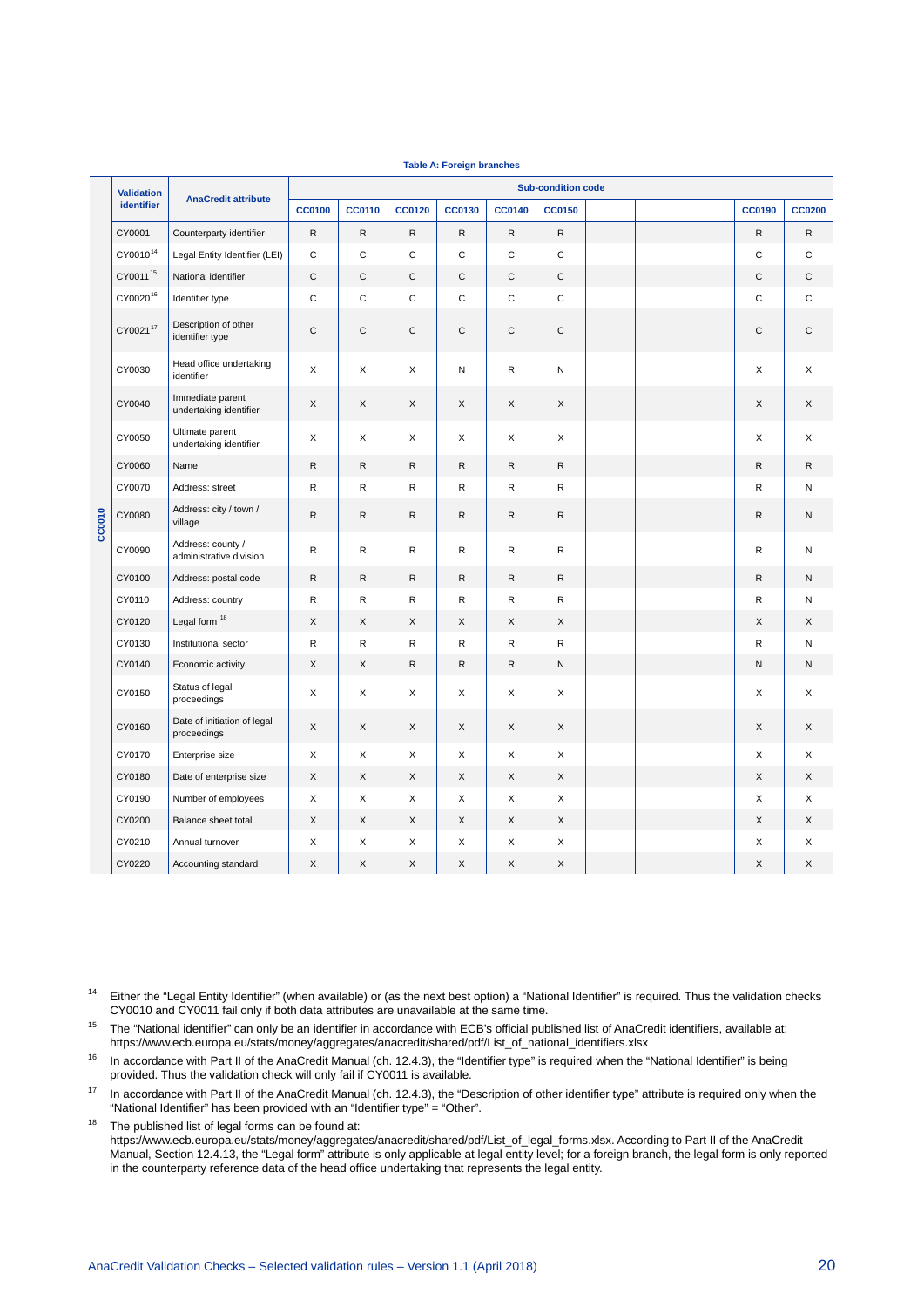|        | <b>Validation</b>    |                                              | <b>Sub-condition code</b> |               |               |               |               |               |  |  |  |               |               |  |
|--------|----------------------|----------------------------------------------|---------------------------|---------------|---------------|---------------|---------------|---------------|--|--|--|---------------|---------------|--|
|        | <b>identifier</b>    | <b>AnaCredit attribute</b>                   | <b>CC0100</b>             | <b>CC0110</b> | <b>CC0120</b> | <b>CC0130</b> | <b>CC0140</b> | <b>CC0150</b> |  |  |  | <b>CC0190</b> | <b>CC0200</b> |  |
|        | CY0001               | Counterparty identifier                      | $\mathsf{R}$              | $\mathsf{R}$  | $\mathsf{R}$  | $\mathsf{R}$  | $\mathsf{R}$  | ${\sf R}$     |  |  |  | $\mathsf{R}$  | $\mathsf{R}$  |  |
|        | CY0010 <sup>14</sup> | Legal Entity Identifier (LEI)                | $\mathbf C$               | $\mathbf C$   | $\mathbf C$   | $\mathbf C$   | $\mathbf C$   | $\mathbf C$   |  |  |  | $\mathbf C$   | $\mathsf C$   |  |
|        | CY0011 <sup>15</sup> | National identifier                          | $\mathsf{C}$              | C             | $\mathsf C$   | $\mathsf{C}$  | $\mathsf C$   | $\mathsf{C}$  |  |  |  | C             | C             |  |
|        | CY0020 <sup>16</sup> | Identifier type                              | $\mathbf C$               | $\mathbf C$   | $\mathbf C$   | $\mathbf C$   | $\mathbf C$   | $\mathbf C$   |  |  |  | $\mathbf C$   | $\mathbf C$   |  |
|        | CY002117             | Description of other<br>identifier type      | $\mathbf C$               | $\mathbf C$   | $\mathbf C$   | $\mathsf{C}$  | $\mathsf C$   | $\mathbf C$   |  |  |  | $\mathsf{C}$  | $\mathsf{C}$  |  |
|        | CY0030               | Head office undertaking<br>identifier        | X                         | X             | X             | N             | R             | N             |  |  |  | X             | X             |  |
|        | CY0040               | Immediate parent<br>undertaking identifier   | X                         | X             | X             | X             | X             | X             |  |  |  | X             | X             |  |
|        | CY0050               | Ultimate parent<br>undertaking identifier    | X                         | X             | X             | X             | X             | X             |  |  |  | X             | X             |  |
|        | CY0060               | Name                                         | $\mathsf{R}$              | R.            | $\mathsf{R}$  | $\mathsf{R}$  | $\mathsf{R}$  | $\mathsf{R}$  |  |  |  | $\mathsf{R}$  | R             |  |
|        | CY0070               | Address: street                              | $\mathsf R$               | R             | R             | R             | R             | $\mathsf R$   |  |  |  | R             | Ν             |  |
| CC0010 | CY0080               | Address: city / town /<br>village            | ${\sf R}$                 | $\mathsf{R}$  | $\mathsf{R}$  | $\mathsf{R}$  | $\mathsf{R}$  | $\mathsf{R}$  |  |  |  | $\mathsf{R}$  | N             |  |
|        | CY0090               | Address: county /<br>administrative division | $\mathsf{R}$              | R             | $\mathsf{R}$  | $\mathsf{R}$  | R             | R             |  |  |  | $\mathsf R$   | ${\sf N}$     |  |
|        | CY0100               | Address: postal code                         | ${\sf R}$                 | R             | $\mathsf{R}$  | $\mathsf{R}$  | $\mathsf{R}$  | ${\sf R}$     |  |  |  | $\mathsf{R}$  | N             |  |
|        | CY0110               | Address: country                             | $\mathsf{R}$              | $\mathsf{R}$  | $\mathsf{R}$  | $\mathsf{R}$  | R             | $\mathsf{R}$  |  |  |  | R             | N             |  |
|        | CY0120               | Legal form <sup>18</sup>                     | X                         | X             | X             | X             | X             | X             |  |  |  | X             | X             |  |
|        | CY0130               | Institutional sector                         | $\mathsf{R}$              | R             | $\mathsf{R}$  | $\mathsf{R}$  | R             | $\mathsf{R}$  |  |  |  | $\mathsf{R}$  | N             |  |
|        | CY0140               | Economic activity                            | X                         | X             | R             | $\mathsf{R}$  | R             | N             |  |  |  | N             | N             |  |
|        | CY0150               | Status of legal<br>proceedings               | X                         | X             | X             | X             | X             | X             |  |  |  | X             | X             |  |
|        | CY0160               | Date of initiation of legal<br>proceedings   | $\mathsf X$               | X             | X             | X             | X             | X             |  |  |  | X             | X             |  |
|        | CY0170               | Enterprise size                              | Χ                         | X             | Χ             | X             | X             | X             |  |  |  | X             | X             |  |
|        | CY0180               | Date of enterprise size                      | X                         | X             | X             | $\mathsf{X}$  | X             | X             |  |  |  | X             | X             |  |
|        | CY0190               | Number of employees                          | X                         | X             | X             | X             | X             | X             |  |  |  | X             | X             |  |
|        | CY0200               | Balance sheet total                          | X                         | X             | X             | X             | X             | X             |  |  |  | X             | X             |  |
|        | CY0210               | Annual turnover                              | X                         | X             | X             | X             | X             | X             |  |  |  | X             | X             |  |
|        | CY0220               | Accounting standard                          | X                         | X             | X             | X             | X             | X             |  |  |  | X             | X             |  |

**Table A: Foreign branches**

<span id="page-20-5"></span>j

<span id="page-20-0"></span><sup>&</sup>lt;sup>14</sup> Either the "Legal Entity Identifier" (when available) or (as the next best option) a "National Identifier" is required. Thus the validation checks CY0010 and CY0011 fail only if both data attributes are unavailable at the same time.

<span id="page-20-1"></span><sup>&</sup>lt;sup>15</sup> The "National identifier" can only be an identifier in accordance with ECB's official published list of AnaCredit identifiers, available at: [https://www.ecb.europa.eu/stats/money/aggregates/anacredit/shared/pdf/List\\_of\\_national\\_identifiers.xlsx](https://www.ecb.europa.eu/stats/money/aggregates/anacredit/shared/pdf/List_of_national_identifiers.xlsx)

<span id="page-20-2"></span><sup>&</sup>lt;sup>16</sup> In accordance with Part II of the AnaCredit Manual (ch. 12.4.3), the "Identifier type" is required when the "National Identifier" is being provided. Thus the validation check will only fail if CY0011 is available.

<span id="page-20-3"></span><sup>&</sup>lt;sup>17</sup> In accordance with Part II of the AnaCredit Manual (ch. 12.4.3), the "Description of other identifier type" attribute is required only when the "National Identifier" has been provided with an "Identifier type" = "Other".

<span id="page-20-4"></span> $18$  The published list of legal forms can be found at: [https://www.ecb.europa.eu/stats/money/aggregates/anacredit/shared/pdf/List\\_of\\_legal\\_forms.xlsx.](https://www.ecb.europa.eu/stats/money/aggregates/anacredit/shared/pdf/List_of_legal_forms.xlsx) According to Part II of the AnaCredit Manual, Section 12.4.13, the "Legal form" attribute is only applicable at legal entity level; for a foreign branch, the legal form is only reported in the counterparty reference data of the head office undertaking that represents the legal entity.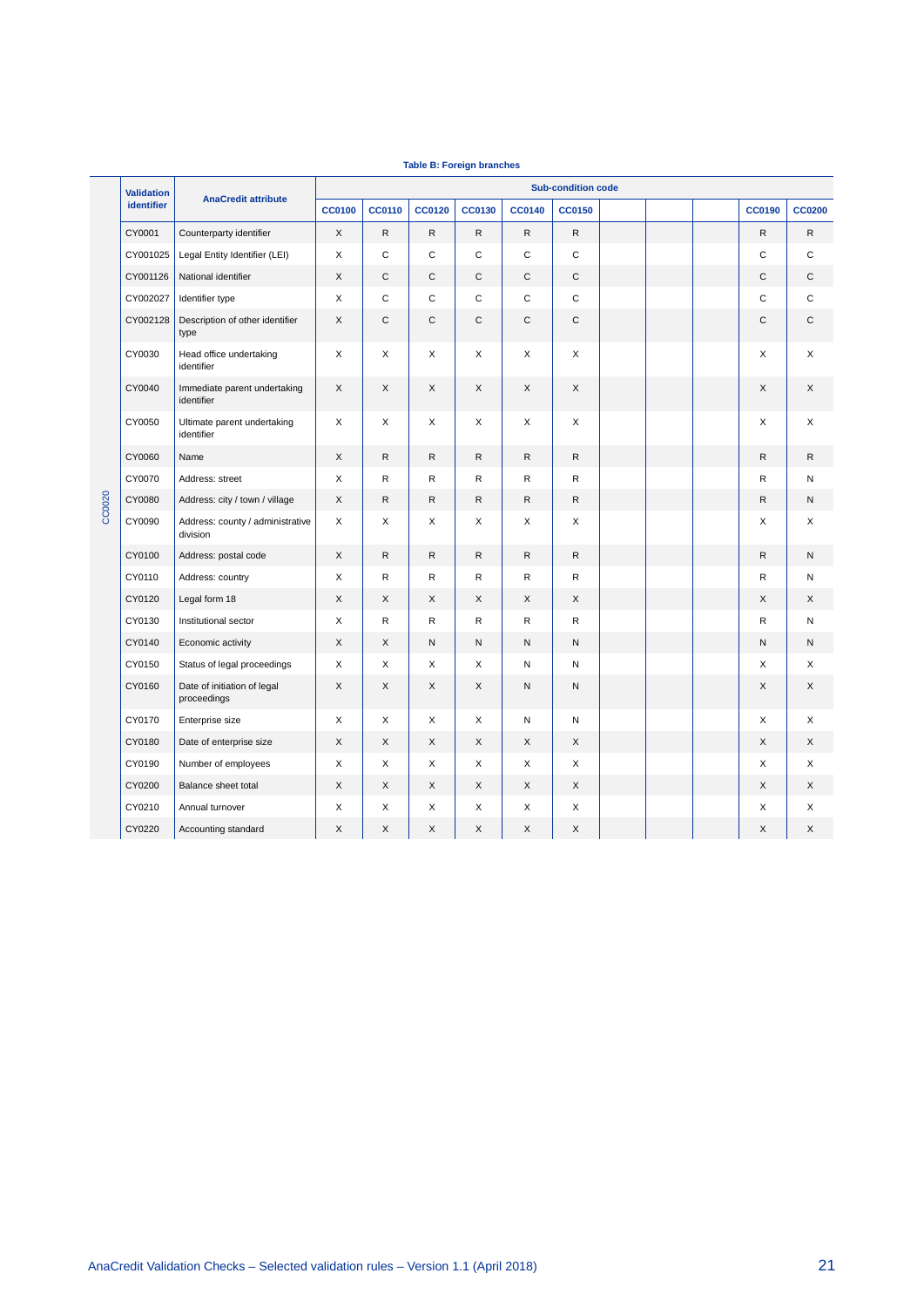|        | <b>Validation</b> |                                              | <b>Sub-condition code</b> |               |                           |               |               |               |  |  |  |               |               |
|--------|-------------------|----------------------------------------------|---------------------------|---------------|---------------------------|---------------|---------------|---------------|--|--|--|---------------|---------------|
|        | <b>identifier</b> | <b>AnaCredit attribute</b>                   | <b>CC0100</b>             | <b>CC0110</b> | <b>CC0120</b>             | <b>CC0130</b> | <b>CC0140</b> | <b>CC0150</b> |  |  |  | <b>CC0190</b> | <b>CC0200</b> |
|        | CY0001            | Counterparty identifier                      | X                         | R             | $\mathsf R$               | $\mathsf{R}$  | ${\sf R}$     | ${\sf R}$     |  |  |  | ${\sf R}$     | R             |
|        | CY001025          | Legal Entity Identifier (LEI)                | X                         | $\mathbf C$   | $\mathsf C$               | $\mathsf{C}$  | $\mathbf C$   | $\mathbf C$   |  |  |  | $\mathsf{C}$  | C             |
|        | CY001126          | National identifier                          | X                         | C             | C                         | C             | $\mathsf{C}$  | $\mathsf C$   |  |  |  | C             | C             |
|        | CY002027          | Identifier type                              | X                         | C             | $\mathbf C$               | C             | $\mathbf C$   | $\mathbf C$   |  |  |  | C             | C             |
|        | CY002128          | Description of other identifier<br>type      | X                         | C             | C                         | C             | C             | C             |  |  |  | C             | C             |
|        | CY0030            | Head office undertaking<br>identifier        | X                         | X             | X                         | X             | X             | X             |  |  |  | X             | X             |
|        | CY0040            | Immediate parent undertaking<br>identifier   | X                         | X             | X                         | X             | X             | X             |  |  |  | X             | X             |
|        | CY0050            | Ultimate parent undertaking<br>identifier    | X                         | X             | X                         | X             | X             | X             |  |  |  | X             | X             |
|        | CY0060            | Name                                         | X                         | R             | ${\sf R}$                 | $\mathsf{R}$  | ${\sf R}$     | $\mathsf{R}$  |  |  |  | ${\sf R}$     | R             |
|        | CY0070            | Address: street                              | X                         | R             | $\mathsf R$               | $\mathsf{R}$  | ${\sf R}$     | $\mathsf{R}$  |  |  |  | $\mathsf R$   | N             |
| CC0020 | CY0080            | Address: city / town / village               | X                         | R             | $\mathsf{R}$              | $\mathsf{R}$  | $\mathsf{R}$  | $\mathsf{R}$  |  |  |  | $\mathsf{R}$  | N             |
|        | CY0090            | Address: county / administrative<br>division | X                         | X             | X                         | X             | X             | X             |  |  |  | X             | X             |
|        | CY0100            | Address: postal code                         | X                         | R             | $\mathsf R$               | $\mathsf{R}$  | ${\sf R}$     | $\mathsf{R}$  |  |  |  | $\mathsf R$   | N             |
|        | CY0110            | Address: country                             | X                         | R             | $\mathsf{R}$              | $\mathsf{R}$  | $\mathsf{R}$  | ${\sf R}$     |  |  |  | $\mathsf R$   | N             |
|        | CY0120            | Legal form 18                                | X                         | $\times$      | $\times$                  | $\times$      | $\times$      | $\times$      |  |  |  | X             | X             |
|        | CY0130            | Institutional sector                         | X                         | R             | R                         | R             | R             | R             |  |  |  | R             | N             |
|        | CY0140            | Economic activity                            | X                         | X             | N                         | ${\sf N}$     | ${\sf N}$     | N             |  |  |  | N             | N             |
|        | CY0150            | Status of legal proceedings                  | X                         | X             | X                         | X             | N             | N             |  |  |  | X             | X             |
|        | CY0160            | Date of initiation of legal<br>proceedings   | X                         | X             | X                         | X             | ${\sf N}$     | N             |  |  |  | X             | X             |
|        | CY0170            | Enterprise size                              | X                         | X             | $\times$                  | X             | N             | ${\sf N}$     |  |  |  | X             | X             |
|        | CY0180            | Date of enterprise size                      | X                         | X             | $\boldsymbol{\mathsf{X}}$ | X             | X             | X             |  |  |  | X             | X             |
|        | CY0190            | Number of employees                          | X                         | X             | X                         | X             | X             | X             |  |  |  | X             | X             |
|        | CY0200            | Balance sheet total                          | X                         | X             | X                         | X             | X             | X             |  |  |  | X             | X             |
|        | CY0210            | Annual turnover                              | X                         | X             | X                         | X             | X             | X             |  |  |  | X             | X             |
|        | CY0220            | Accounting standard                          | X                         | X             | X                         | X             | X             | X             |  |  |  | X             | X             |

#### **Table B: Foreign branches**

T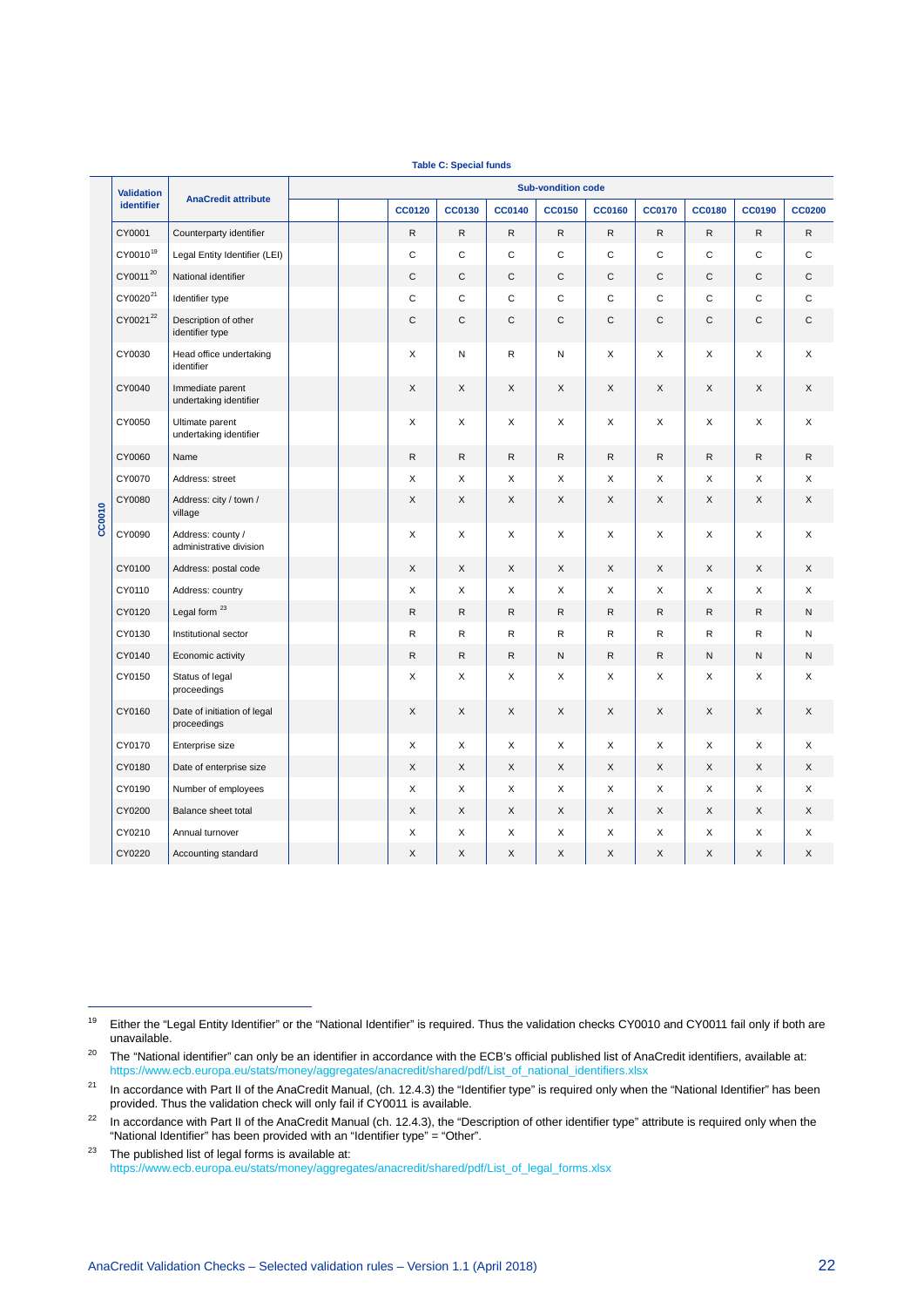|        |                      |                                              |  |               | <b>TUDIO O. Opoolul Turius</b> |               |                           |               |               |               |               |               |
|--------|----------------------|----------------------------------------------|--|---------------|--------------------------------|---------------|---------------------------|---------------|---------------|---------------|---------------|---------------|
|        | <b>Validation</b>    |                                              |  |               |                                |               | <b>Sub-vondition code</b> |               |               |               |               |               |
|        | identifier           | <b>AnaCredit attribute</b>                   |  | <b>CC0120</b> | <b>CC0130</b>                  | <b>CC0140</b> | <b>CC0150</b>             | <b>CC0160</b> | <b>CC0170</b> | <b>CC0180</b> | <b>CC0190</b> | <b>CC0200</b> |
|        | CY0001               | Counterparty identifier                      |  | $\mathsf{R}$  | $\mathsf{R}$                   | ${\sf R}$     | ${\sf R}$                 | ${\sf R}$     | R             | R             | $\mathsf{R}$  | R             |
|        | CY0010 <sup>19</sup> | Legal Entity Identifier (LEI)                |  | C             | $\mathsf{C}$                   | $\mathbf C$   | $\mathbf C$               | $\mathbf C$   | $\mathsf{C}$  | $\mathsf C$   | $\mathsf{C}$  | $\mathsf C$   |
|        | CY0011 <sup>20</sup> | National identifier                          |  | $\mathsf C$   | $\mathbf C$                    | $\mathsf C$   | $\mathsf{C}$              | $\mathsf C$   | $\mathsf C$   | C             | C             | $\mathsf C$   |
|        | CY0020 <sup>21</sup> | Identifier type                              |  | C             | C                              | C             | C                         | $\mathsf{C}$  | C             | C             | C             | C             |
|        | CY002122             | Description of other<br>identifier type      |  | C             | C                              | $\mathsf C$   | $\mathsf C$               | C             | $\mathsf C$   | C             | C             | C             |
|        | CY0030               | Head office undertaking<br>identifier        |  | X             | Ν                              | R             | N                         | X             | X             | X             | X             | X             |
|        | CY0040               | Immediate parent<br>undertaking identifier   |  | X             | X                              | X             | X                         | X             | X             | X             | X             | X             |
| CC0010 | CY0050               | Ultimate parent<br>undertaking identifier    |  | X             | X                              | X             | X                         | X             | X             | X             | X             | X             |
|        | CY0060               | Name                                         |  | $\mathsf{R}$  | $\mathsf{R}$                   | $\mathsf{R}$  | ${\sf R}$                 | ${\sf R}$     | $\mathsf{R}$  | ${\sf R}$     | ${\sf R}$     | R             |
|        | CY0070               | Address: street                              |  | Χ             | X                              | X             | X                         | X             | X             | X             | X             | X             |
|        | CY0080               | Address: city / town /<br>village            |  | X             | X                              | X             | X                         | X             | X             | X             | X             | X             |
|        | CY0090               | Address: county /<br>administrative division |  | X             | X                              | X             | X                         | X             | X             | X             | X             | X             |
|        | CY0100               | Address: postal code                         |  | $\mathsf X$   | X                              | X             | X                         | X             | X             | X             | X             | X             |
|        | CY0110               | Address: country                             |  | X             | X                              | X             | X                         | X             | X             | X             | X             | X             |
|        | CY0120               | Legal form <sup>23</sup>                     |  | $\mathsf{R}$  | $\mathsf{R}$                   | $\mathsf{R}$  | $\mathsf{R}$              | ${\sf R}$     | $\mathsf{R}$  | R             | $\mathsf{R}$  | N             |
|        | CY0130               | Institutional sector                         |  | R             | R                              | $\mathsf{R}$  | $\mathsf R$               | R             | $\mathsf{R}$  | R             | R             | N             |
|        | CY0140               | Economic activity                            |  | $\mathsf{R}$  | $\mathsf{R}$                   | $\mathsf{R}$  | ${\sf N}$                 | ${\sf R}$     | $\mathsf{R}$  | N             | N             | ${\sf N}$     |
|        | CY0150               | Status of legal<br>proceedings               |  | X             | X                              | X             | X                         | X             | X             | X             | X             | X             |
|        | CY0160               | Date of initiation of legal<br>proceedings   |  | $\mathsf X$   | X                              | X             | $\mathsf X$               | $\mathsf X$   | X             | X             | X             | X             |
|        | CY0170               | Enterprise size                              |  | X             | X                              | X             | X                         | X             | X             | X             | X             | X             |
|        | CY0180               | Date of enterprise size                      |  | X             | X                              | X             | X                         | X             | X             | X             | X             | X             |
|        | CY0190               | Number of employees                          |  | X             | X                              | X             | X                         | X             | X             | X             | X             | X             |
|        | CY0200               | Balance sheet total                          |  | X             | X                              | X             | X                         | X             | X             | X             | X             | X             |
|        | CY0210               | Annual turnover                              |  | X             | X                              | X             | X                         | X             | X             | X             | X             | X             |
|        | CY0220               | Accounting standard                          |  | X             | X                              | X             | X                         | X             | X             | X             | X             | X             |

**Table C: Special funds**

j

<span id="page-22-0"></span><sup>&</sup>lt;sup>19</sup> Either the "Legal Entity Identifier" or the "National Identifier" is required. Thus the validation checks CY0010 and CY0011 fail only if both are unavailable.

<span id="page-22-1"></span><sup>&</sup>lt;sup>20</sup> The "National identifier" can only be an identifier in accordance with the ECB's official published list of AnaCredit identifiers, available at: [https://www.ecb.europa.eu/stats/money/aggregates/anacredit/shared/pdf/List\\_of\\_national\\_identifiers.xlsx](https://www.ecb.europa.eu/stats/money/aggregates/anacredit/shared/pdf/List_of_national_identifiers.xlsx)

<span id="page-22-2"></span><sup>&</sup>lt;sup>21</sup> In accordance with Part II of the AnaCredit Manual, (ch. 12.4.3) the "Identifier type" is required only when the "National Identifier" has been provided. Thus the validation check will only fail if CY0011 is available.

<span id="page-22-3"></span><sup>&</sup>lt;sup>22</sup> In accordance with Part II of the AnaCredit Manual (ch. 12.4.3), the "Description of other identifier type" attribute is required only when the "National Identifier" has been provided with an "Identifier type" = "Other".

<span id="page-22-4"></span> $23$  The published list of legal forms is available at: [https://www.ecb.europa.eu/stats/money/aggregates/anacredit/shared/pdf/List\\_of\\_legal\\_forms.xlsx](https://www.ecb.europa.eu/stats/money/aggregates/anacredit/shared/pdf/List_of_legal_forms.xlsx)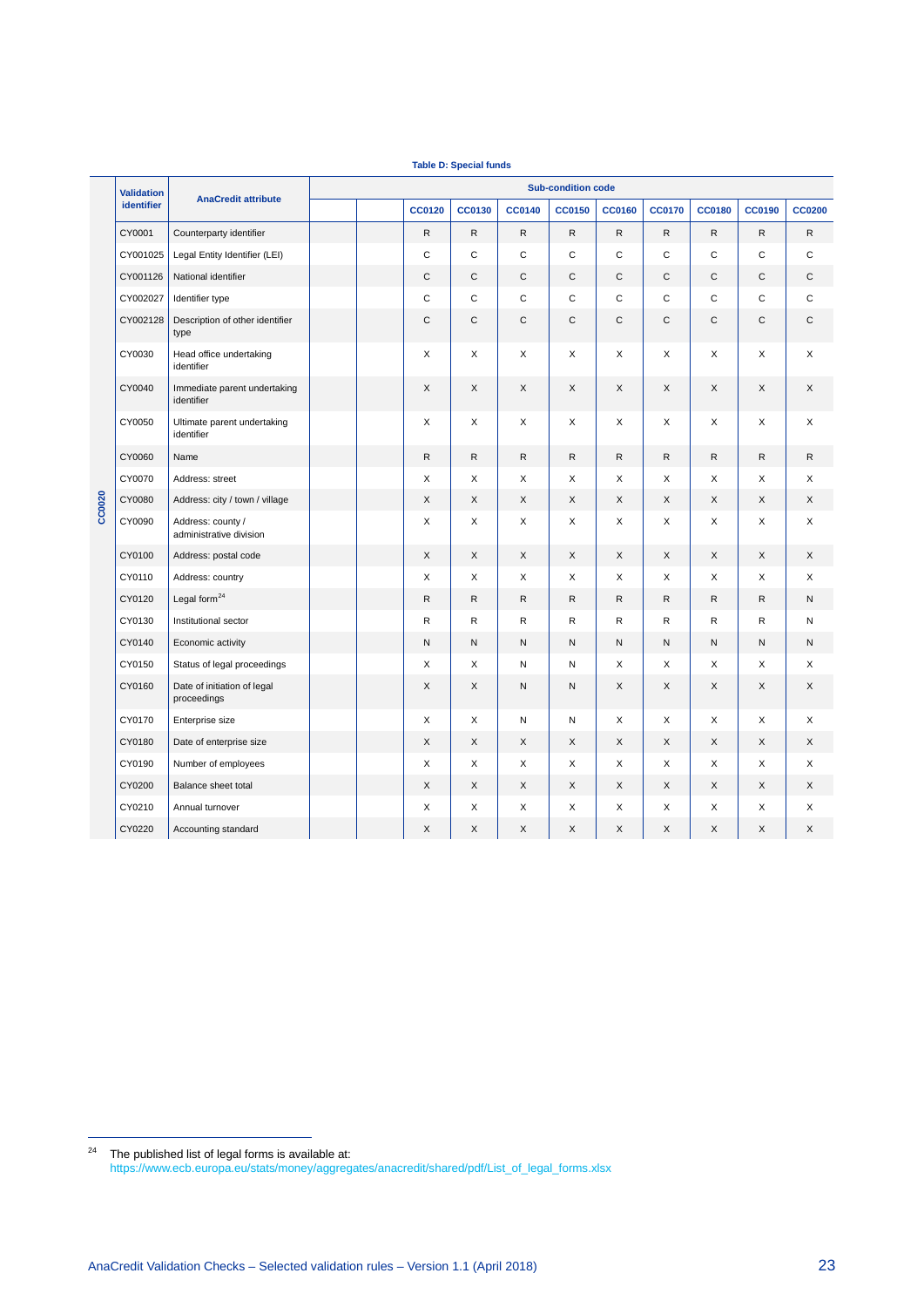|        | <b>Validation</b> | <b>Sub-condition code</b>                    |  |  |               |              |               |               |               |               |               |               |               |
|--------|-------------------|----------------------------------------------|--|--|---------------|--------------|---------------|---------------|---------------|---------------|---------------|---------------|---------------|
|        | identifier        | <b>AnaCredit attribute</b>                   |  |  | <b>CC0120</b> | CC0130       | <b>CC0140</b> | <b>CC0150</b> | <b>CC0160</b> | <b>CC0170</b> | <b>CC0180</b> | <b>CC0190</b> | <b>CC0200</b> |
|        | CY0001            | Counterparty identifier                      |  |  | $\mathsf{R}$  | ${\sf R}$    | $\mathsf{R}$  | $\mathsf{R}$  | $\mathsf{R}$  | R.            | $\mathsf{R}$  | $\mathsf{R}$  | R             |
|        | CY001025          | Legal Entity Identifier (LEI)                |  |  | C             | $\mathsf{C}$ | C             | C             | C             | C             | $\mathsf{C}$  | C             | C             |
|        | CY001126          | National identifier                          |  |  | $\mathsf{C}$  | C            | C             | C             | C             | $\mathsf C$   | C             | C             | С             |
|        | CY002027          | Identifier type                              |  |  | $\mathsf{C}$  | $\mathsf{C}$ | $\mathsf C$   | С             | $\mathsf C$   | $\mathbf C$   | C             | C             | C             |
|        | CY002128          | Description of other identifier<br>type      |  |  | $\mathsf{C}$  | $\mathsf{C}$ | C             | C             | C             | $\mathsf{C}$  | $\mathsf{C}$  | $\mathsf C$   | С             |
|        | CY0030            | Head office undertaking<br>identifier        |  |  | X             | X            | X             | X             | X             | X             | X             | X             | X             |
|        | CY0040            | Immediate parent undertaking<br>identifier   |  |  | X             | X            | X             | X             | X             | X             | X             | X             | X             |
|        | CY0050            | Ultimate parent undertaking<br>identifier    |  |  | X             | X            | X             | X             | X             | X             | X             | X             | X             |
|        | CY0060            | Name                                         |  |  | R             | $\mathsf{R}$ | $\mathsf R$   | R             | R             | R             | R             | $\mathsf{R}$  | R             |
|        | CY0070            | Address: street                              |  |  | X             | X            | X             | X             | X             | X             | X             | X             | X             |
| CC0020 | CY0080            | Address: city / town / village               |  |  | X             | X            | X             | X             | X             | X             | X             | X             | X             |
|        | CY0090            | Address: county /<br>administrative division |  |  | X             | X            | X             | X             | X             | X             | X             | X             | X             |
|        | CY0100            | Address: postal code                         |  |  | X             | X            | X             | X             | X             | X             | X             | X             | X             |
|        | CY0110            | Address: country                             |  |  | X             | X            | X             | X             | X             | X             | X             | Χ             | X             |
|        | CY0120            | Legal form $^{24}$                           |  |  | ${\sf R}$     | $\mathsf{R}$ | R             | R             | $\mathsf{R}$  | R             | R             | R             | N             |
|        | CY0130            | Institutional sector                         |  |  | $\mathsf R$   | R            | R             | R             | R             | R             | R             | R             | Ν             |
|        | CY0140            | Economic activity                            |  |  | N             | ${\sf N}$    | N             | ${\sf N}$     | N             | N             | ${\sf N}$     | N             | N             |
|        | CY0150            | Status of legal proceedings                  |  |  | X             | X            | Ν             | N             | X             | X             | X             | X             | X             |
|        | CY0160            | Date of initiation of legal<br>proceedings   |  |  | X             | X            | N             | N             | X             | $\times$      | X             | X             | X             |
|        | CY0170            | Enterprise size                              |  |  | X             | X            | Ν             | N             | X             | X             | X             | X             | Х             |
|        | CY0180            | Date of enterprise size                      |  |  | X             | X            | X             | X             | X             | X             | X             | X             | X             |
|        | CY0190            | Number of employees                          |  |  | X             | X            | X             | X             | X             | X             | X             | X             | X             |
|        | CY0200            | Balance sheet total                          |  |  | X             | X            | X             | X             | X             | X             | X             | X             | X             |
|        | CY0210            | Annual turnover                              |  |  | X             | X            | X             | X             | X             | X             | X             | X             | X             |
|        | CY0220            | Accounting standard                          |  |  | X             | X            | X             | X             | X             | X             | X             | X             | X             |

**Table D: Special funds**

 $\overline{a}$ 

<span id="page-23-0"></span> $24$  The published list of legal forms is available at: [https://www.ecb.europa.eu/stats/money/aggregates/anacredit/shared/pdf/List\\_of\\_legal\\_forms.xlsx](https://www.ecb.europa.eu/stats/money/aggregates/anacredit/shared/pdf/List_of_legal_forms.xlsx)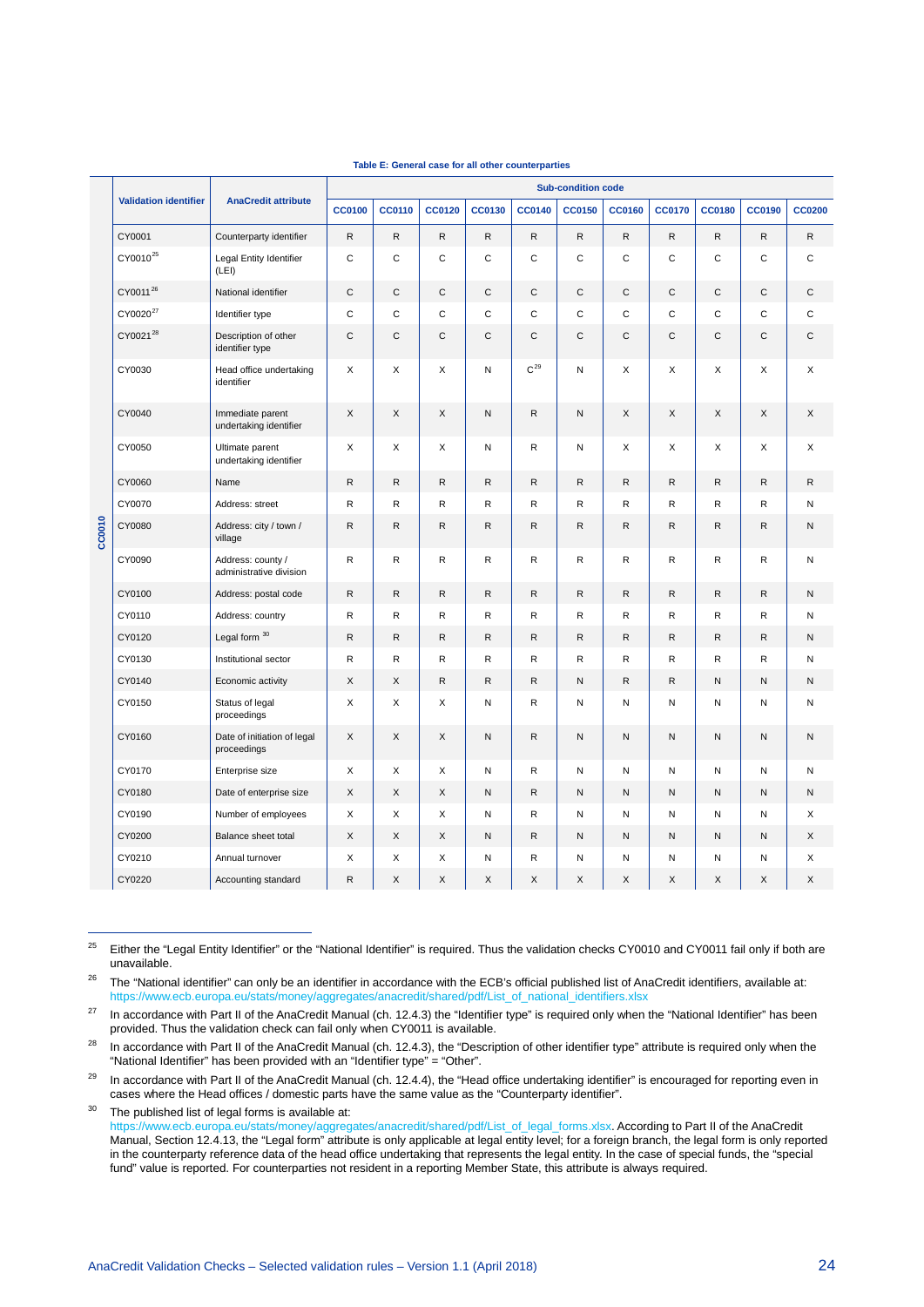<span id="page-24-3"></span><span id="page-24-2"></span><span id="page-24-1"></span><span id="page-24-0"></span>

|        |                              |                                              | <b>Sub-condition code</b> |               |               |              |               |               |               |               |               |               |               |
|--------|------------------------------|----------------------------------------------|---------------------------|---------------|---------------|--------------|---------------|---------------|---------------|---------------|---------------|---------------|---------------|
|        | <b>Validation identifier</b> | <b>AnaCredit attribute</b>                   | <b>CC0100</b>             | <b>CC0110</b> | <b>CC0120</b> | CC0130       | <b>CC0140</b> | <b>CC0150</b> | <b>CC0160</b> | <b>CC0170</b> | <b>CC0180</b> | <b>CC0190</b> | <b>CC0200</b> |
|        | CY0001                       | Counterparty identifier                      | ${\sf R}$                 | ${\sf R}$     | R             | $\mathsf{R}$ | ${\sf R}$     | ${\sf R}$     | ${\sf R}$     | $\mathsf{R}$  | R             | ${\sf R}$     | ${\sf R}$     |
|        | CY0010 <sup>25</sup>         | Legal Entity Identifier<br>(LEI)             | $\mathbf C$               | $\mathsf{C}$  | C             | C            | $\mathsf{C}$  | $\mathbf C$   | C             | $\mathbf C$   | C             | $\mathbf C$   | $\mathsf{C}$  |
|        | CY0011 <sup>26</sup>         | National identifier                          | $\mathsf C$               | $\mathsf{C}$  | C             | $\mathsf C$  | $\mathbf C$   | $\mathbf C$   | $\mathsf C$   | $\mathsf{C}$  | C             | $\mathsf C$   | $\mathsf{C}$  |
|        | CY0020 <sup>27</sup>         | Identifier type                              | $\mathsf{C}$              | C             | C             | $\mathsf{C}$ | $\mathsf c$   | $\mathsf{C}$  | C             | $\mathsf{C}$  | C             | $\mathsf{C}$  | $\mathsf{C}$  |
|        | CY0021 <sup>28</sup>         | Description of other<br>identifier type      | $\mathsf C$               | $\mathsf{C}$  | C             | C            | C             | $\mathsf{C}$  | $\mathsf{C}$  | C             | C             | $\mathsf{C}$  | C             |
|        | CY0030                       | Head office undertaking<br>identifier        | X                         | X             | X             | N            | $C^{29}$      | N             | X             | X             | X             | X             | X             |
|        | CY0040                       | Immediate parent<br>undertaking identifier   | X                         | X             | X             | N            | ${\sf R}$     | ${\sf N}$     | X             | X             | X             | X             | X             |
|        | CY0050                       | Ultimate parent<br>undertaking identifier    | X                         | X             | X             | Ν            | R             | ${\sf N}$     | X             | X             | X             | X             | X             |
|        | CY0060                       | Name                                         | $\mathsf{R}$              | $\mathsf{R}$  | R.            | $\mathsf{R}$ | $\mathsf{R}$  | $\mathsf{R}$  | $\mathsf{R}$  | $\mathsf{R}$  | R             | R             | $\mathsf{R}$  |
|        | CY0070                       | Address: street                              | ${\sf R}$                 | ${\sf R}$     | R             | R            | ${\sf R}$     | R             | ${\sf R}$     | R             | R             | ${\sf R}$     | N             |
| CC0010 | CY0080                       | Address: city / town /<br>village            | R                         | R             | R             | $\mathsf{R}$ | ${\sf R}$     | $\mathsf{R}$  | ${\sf R}$     | $\mathsf{R}$  | R             | R             | N             |
|        | CY0090                       | Address: county /<br>administrative division | $\mathsf{R}$              | $\mathsf{R}$  | R             | R            | $\mathsf{R}$  | ${\sf R}$     | $\mathsf R$   | $\mathsf{R}$  | R             | $\mathsf{R}$  | N             |
|        | CY0100                       | Address: postal code                         | $\mathsf{R}$              | ${\sf R}$     | R             | $\mathsf{R}$ | $\mathsf{R}$  | $\mathsf{R}$  | ${\sf R}$     | $\mathsf{R}$  | R             | R             | N             |
|        | CY0110                       | Address: country                             | $\mathsf{R}$              | $\mathsf R$   | R             | R            | ${\sf R}$     | $\mathsf R$   | $\mathsf R$   | $\mathsf{R}$  | R             | $\mathsf{R}$  | N             |
|        | CY0120                       | Legal form 30                                | $\mathsf{R}$              | ${\sf R}$     | R             | $\mathsf{R}$ | $\mathsf{R}$  | $\mathsf{R}$  | ${\sf R}$     | $\mathsf{R}$  | R             | ${\sf R}$     | ${\sf N}$     |
|        | CY0130                       | Institutional sector                         | $\mathsf{R}$              | $\mathsf R$   | R             | $\mathsf{R}$ | ${\sf R}$     | $\mathsf R$   | $\mathsf R$   | $\mathsf{R}$  | R             | $\mathsf{R}$  | N             |
|        | CY0140                       | Economic activity                            | X                         | X             | R             | $\mathsf{R}$ | ${\sf R}$     | $\mathsf{N}$  | ${\sf R}$     | ${\sf R}$     | N             | N             | N             |
|        | CY0150                       | Status of legal<br>proceedings               | X                         | X             | X             | N            | $\mathsf{R}$  | ${\sf N}$     | N             | N             | N             | N             | N             |
|        | CY0160                       | Date of initiation of legal<br>proceedings   | X                         | X             | X             | N            | ${\sf R}$     | ${\sf N}$     | N             | ${\sf N}$     | N             | $\mathsf{N}$  | N             |
|        | CY0170                       | Enterprise size                              | X                         | X             | X             | N            | $\mathsf{R}$  | N             | N             | N             | N             | N             | N             |
|        | CY0180                       | Date of enterprise size                      | X                         | X             | X             | N            | $\mathsf{R}$  | N             | N             | N             | N             | N             | N             |
|        | CY0190                       | Number of employees                          | X                         | X             | X             | N            | $\mathsf{R}$  | N             | N             | N             | N             | N             | X             |
|        | CY0200                       | Balance sheet total                          | X                         | X             | X             | N            | $\mathsf{R}$  | N             | N             | N             | N             | N             | X             |
|        | CY0210                       | Annual turnover                              | X                         | X             | X             | N            | R             | N             | N             | N             | И             | N             | X             |
|        | CY0220                       | Accounting standard                          | R                         | X             | X             | X            | X             | X             | X             | X             | X             | Χ             | X             |

#### **Table E: General case for all other counterparties**

<span id="page-24-4"></span><sup>25</sup> Either the "Legal Entity Identifier" or the "National Identifier" is required. Thus the validation checks CY0010 and CY0011 fail only if both are unavailable.

<span id="page-24-5"></span><sup>26</sup> The "National identifier" can only be an identifier in accordance with the ECB's official published list of AnaCredit identifiers, available at: [https://www.ecb.europa.eu/stats/money/aggregates/anacredit/shared/pdf/List\\_of\\_national\\_identifiers.xlsx](https://www.ecb.europa.eu/stats/money/aggregates/anacredit/shared/pdf/List_of_national_identifiers.xlsx)

<span id="page-24-6"></span><sup>27</sup> In accordance with Part II of the AnaCredit Manual (ch. 12.4.3) the "Identifier type" is required only when the "National Identifier" has been provided. Thus the validation check can fail only when CY0011 is available.

<span id="page-24-7"></span><sup>28</sup> In accordance with Part II of the AnaCredit Manual (ch. 12.4.3), the "Description of other identifier type" attribute is required only when the "National Identifier" has been provided with an "Identifier type" = "Other".

<span id="page-24-8"></span><sup>29</sup> In accordance with Part II of the AnaCredit Manual (ch. 12.4.4), the "Head office undertaking identifier" is encouraged for reporting even in cases where the Head offices / domestic parts have the same value as the "Counterparty identifier".

<span id="page-24-9"></span><sup>30</sup> The published list of legal forms is available at: [https://www.ecb.europa.eu/stats/money/aggregates/anacredit/shared/pdf/List\\_of\\_legal\\_forms.xlsx.](https://www.ecb.europa.eu/stats/money/aggregates/anacredit/shared/pdf/List_of_legal_forms.xlsx) According to Part II of the AnaCredit Manual, Section 12.4.13, the "Legal form" attribute is only applicable at legal entity level; for a foreign branch, the legal form is only reported in the counterparty reference data of the head office undertaking that represents the legal entity. In the case of special funds, the "special fund" value is reported. For counterparties not resident in a reporting Member State, this attribute is always required.

 $\overline{a}$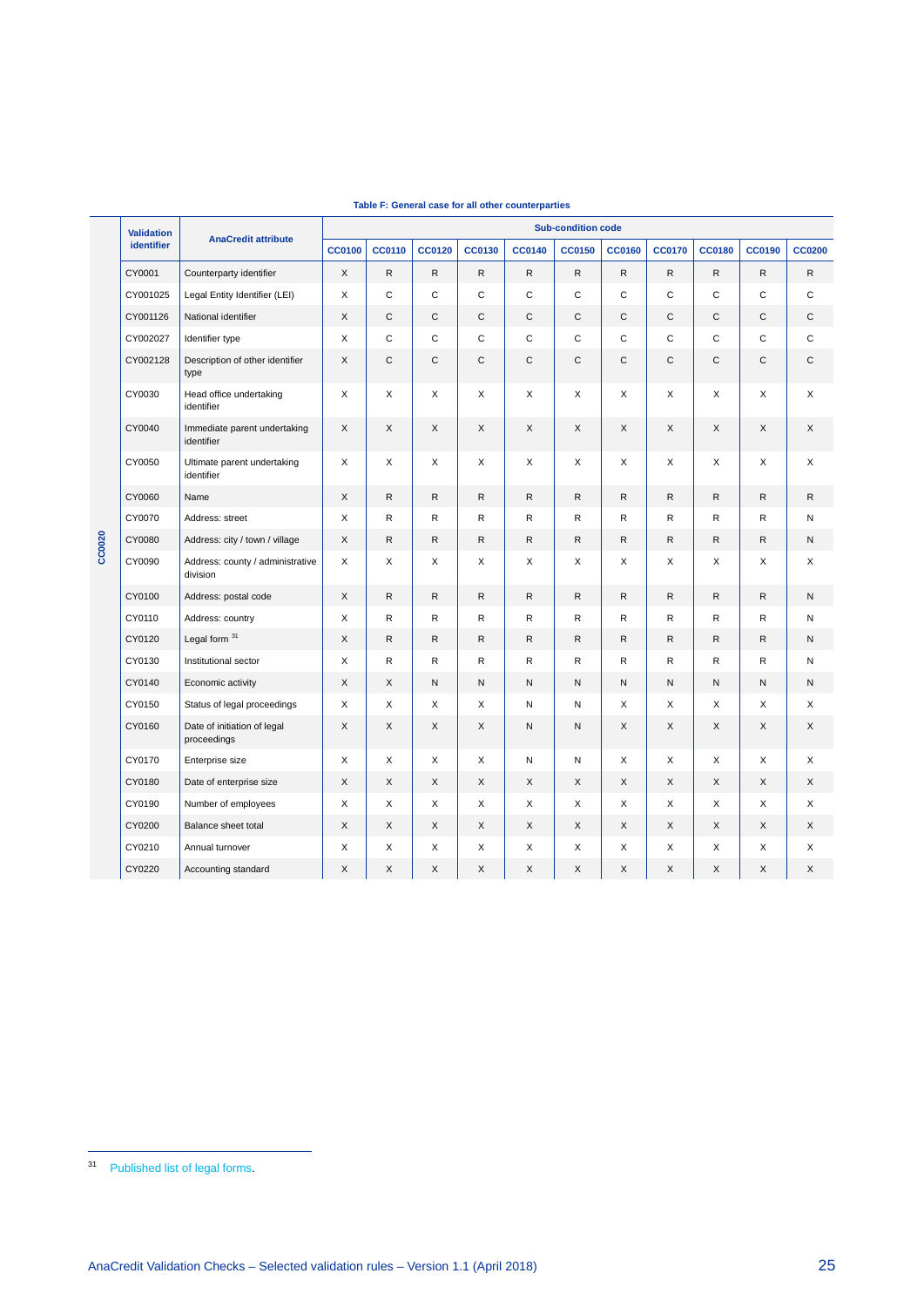|        | <b>Validation</b> |                                              |               |               |               |               |               | <b>Sub-condition code</b> |               |               |               |               |               |
|--------|-------------------|----------------------------------------------|---------------|---------------|---------------|---------------|---------------|---------------------------|---------------|---------------|---------------|---------------|---------------|
|        | <b>identifier</b> | <b>AnaCredit attribute</b>                   | <b>CC0100</b> | <b>CC0110</b> | <b>CC0120</b> | <b>CC0130</b> | <b>CC0140</b> | <b>CC0150</b>             | <b>CC0160</b> | <b>CC0170</b> | <b>CC0180</b> | <b>CC0190</b> | <b>CC0200</b> |
|        | CY0001            | Counterparty identifier                      | X             | $\mathsf{R}$  | ${\sf R}$     | R             | $\mathsf{R}$  | $\mathsf{R}$              | $\mathsf{R}$  | $\mathsf{R}$  | R             | R             | $\mathsf{R}$  |
|        | CY001025          | Legal Entity Identifier (LEI)                | X             | C             | $\mathsf C$   | C             | C             | C                         | $\mathbf C$   | C             | C             | C             | C             |
|        | CY001126          | National identifier                          | X             | $\mathsf{C}$  | C             | C             | C             | C                         | $\mathsf C$   | C             | C             | C             | С             |
|        | CY002027          | Identifier type                              | X             | C             | C             | C             | C             | C                         | C             | C             | C             | C             | C             |
|        | CY002128          | Description of other identifier<br>type      | X             | C             | $\mathsf C$   | C             | С             | C                         | $\mathbf C$   | С             | C             | $\mathsf C$   | C             |
|        | CY0030            | Head office undertaking<br>identifier        | X             | X             | X             | X             | X             | X                         | X             | X             | X             | X             | X             |
|        | CY0040            | Immediate parent undertaking<br>identifier   | X             | X             | X             | X             | X             | X                         | X             | X             | X             | X             | X             |
|        | CY0050            | Ultimate parent undertaking<br>identifier    | X             | X             | X             | X             | X             | X                         | X             | X             | X             | X             | X             |
|        | CY0060            | Name                                         | X             | R             | ${\sf R}$     | R             | R             | $\mathsf{R}$              | ${\sf R}$     | $\mathsf{R}$  | R             | R             | R             |
|        | CY0070            | Address: street                              | X             | R             | R             | R             | R             | R                         | R             | R             | R             | R             | Ν             |
| CC0020 | CY0080            | Address: city / town / village               | X             | R             | $\mathsf R$   | R             | R             | R                         | $\mathsf{R}$  | R             | R             | R             | N             |
|        | CY0090            | Address: county / administrative<br>division | X             | X             | X             | X             | X             | X                         | X             | X             | X             | X             | X             |
|        | CY0100            | Address: postal code                         | X             | R             | ${\sf R}$     | R             | $\mathsf{R}$  | R                         | $\mathsf{R}$  | R             | R             | R             | N             |
|        | CY0110            | Address: country                             | X             | R             | R             | R             | R             | $\mathsf R$               | $\mathsf R$   | R             | R             | R             | Ν             |
|        | CY0120            | Legal form 31                                | X             | $\mathsf{R}$  | ${\sf R}$     | $\mathsf{R}$  | $\mathsf{R}$  | R                         | ${\sf R}$     | $\mathsf{R}$  | R             | R             | N             |
|        | CY0130            | Institutional sector                         | X             | R             | R             | R             | R             | R                         | $\mathsf R$   | R             | R             | R             | Ν             |
|        | CY0140            | Economic activity                            | X             | X             | N             | N             | N             | N                         | $\mathsf{N}$  | N             | N             | N             | N             |
|        | CY0150            | Status of legal proceedings                  | X             | X             | X             | X             | Ν             | N                         | X             | X             | X             | X             | X             |
|        | CY0160            | Date of initiation of legal<br>proceedings   | X             | X             | X             | X             | N             | N                         | X             | X             | X             | X             | X             |
|        | CY0170            | Enterprise size                              | X             | X             | X             | X             | Ν             | N                         | X             | X             | X             | X             | X             |
|        | CY0180            | Date of enterprise size                      | X             | X             | X             | X             | X             | X                         | X             | X             | X             | X             | X             |
|        | CY0190            | Number of employees                          | X             | X             | X             | X             | X             | X                         | X             | X             | X             | X             | X             |
|        | CY0200            | Balance sheet total                          | X             | X             | X             | X             | X             | X                         | X             | X             | X             | X             | X             |
|        | CY0210            | Annual turnover                              | X             | X             | X             | X             | X             | X                         | X             | X             | X             | X             | X             |
|        | CY0220            | Accounting standard                          | X             | X             | X             | X             | X             | X                         | X             | X             | X             | X             | X             |

#### **Table F: General case for all other counterparties**

 $\overline{a}$ 

<span id="page-25-0"></span><sup>&</sup>lt;sup>31</sup> [Published list of legal forms.](https://www.ecb.europa.eu/stats/money/aggregates/anacredit/shared/pdf/List_of_legal_forms.xlsx)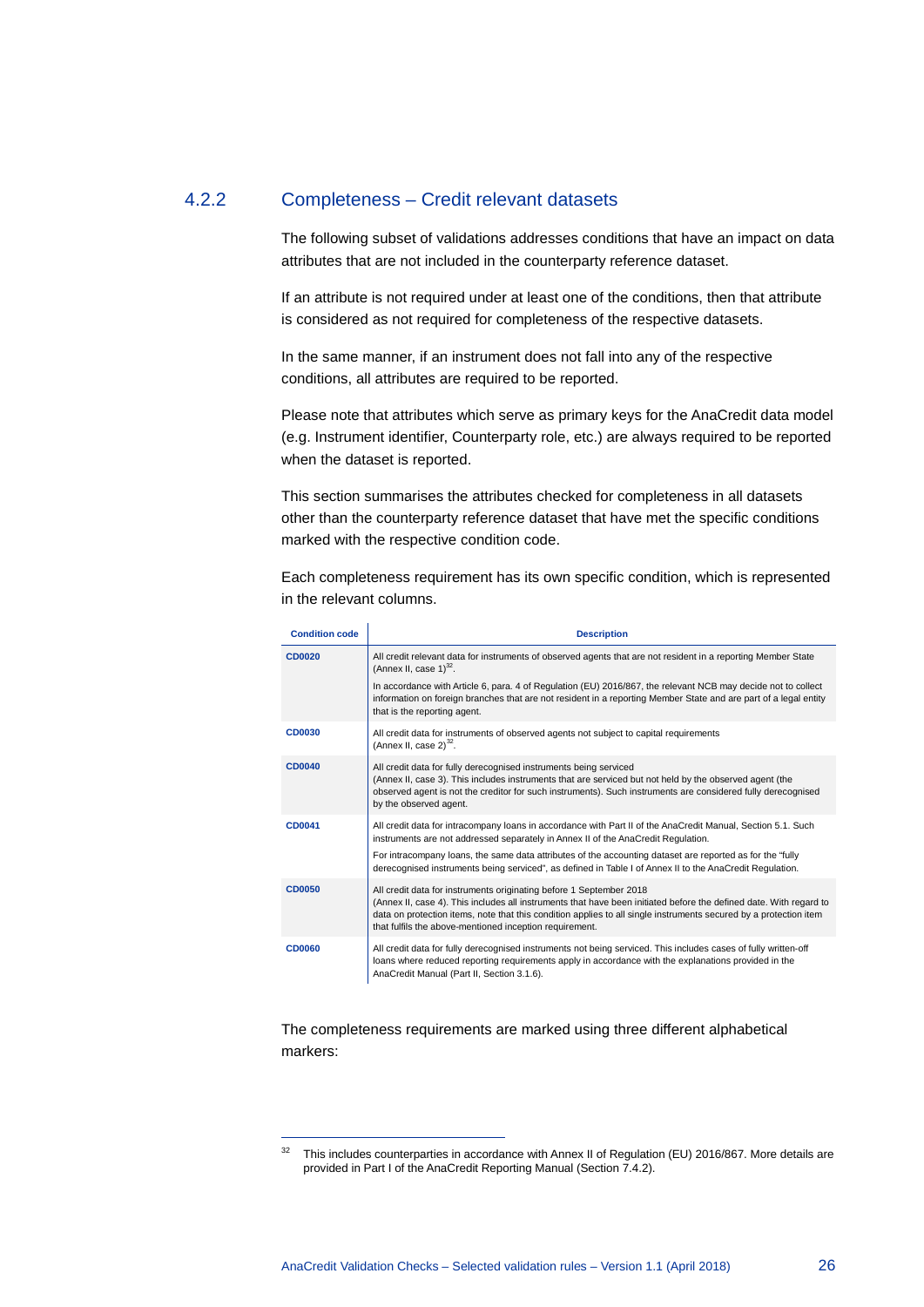#### 4.2.2 Completeness – Credit relevant datasets

<span id="page-26-0"></span>The following subset of validations addresses conditions that have an impact on data attributes that are not included in the counterparty reference dataset.

If an attribute is not required under at least one of the conditions, then that attribute is considered as not required for completeness of the respective datasets.

In the same manner, if an instrument does not fall into any of the respective conditions, all attributes are required to be reported.

Please note that attributes which serve as primary keys for the AnaCredit data model (e.g. Instrument identifier, Counterparty role, etc.) are always required to be reported when the dataset is reported.

This section summarises the attributes checked for completeness in all datasets other than the counterparty reference dataset that have met the specific conditions marked with the respective condition code.

Each completeness requirement has its own specific condition, which is represented in the relevant columns.

<span id="page-26-1"></span>

| <b>Condition code</b> | <b>Description</b>                                                                                                                                                                                                                                                                                                                                                                                                         |
|-----------------------|----------------------------------------------------------------------------------------------------------------------------------------------------------------------------------------------------------------------------------------------------------------------------------------------------------------------------------------------------------------------------------------------------------------------------|
| <b>CD0020</b>         | All credit relevant data for instruments of observed agents that are not resident in a reporting Member State<br>(Annex II, case $1$ ) <sup>32</sup> .                                                                                                                                                                                                                                                                     |
|                       | In accordance with Article 6, para. 4 of Regulation (EU) 2016/867, the relevant NCB may decide not to collect<br>information on foreign branches that are not resident in a reporting Member State and are part of a legal entity<br>that is the reporting agent.                                                                                                                                                          |
| <b>CD0030</b>         | All credit data for instruments of observed agents not subject to capital requirements<br>(Annex II, case $2)^{32}$ .                                                                                                                                                                                                                                                                                                      |
| <b>CD0040</b>         | All credit data for fully derecognised instruments being serviced<br>(Annex II, case 3). This includes instruments that are serviced but not held by the observed agent (the<br>observed agent is not the creditor for such instruments). Such instruments are considered fully derecognised<br>by the observed agent.                                                                                                     |
| CD0041                | All credit data for intracompany loans in accordance with Part II of the AnaCredit Manual, Section 5.1. Such<br>instruments are not addressed separately in Annex II of the AnaCredit Regulation.<br>For intracompany loans, the same data attributes of the accounting dataset are reported as for the "fully<br>derecognised instruments being serviced", as defined in Table I of Annex II to the AnaCredit Regulation. |
| <b>CD0050</b>         | All credit data for instruments originating before 1 September 2018<br>(Annex II, case 4). This includes all instruments that have been initiated before the defined date. With regard to<br>data on protection items, note that this condition applies to all single instruments secured by a protection item<br>that fulfils the above-mentioned inception requirement.                                                  |
| <b>CD0060</b>         | All credit data for fully derecognised instruments not being serviced. This includes cases of fully written-off<br>loans where reduced reporting requirements apply in accordance with the explanations provided in the<br>AnaCredit Manual (Part II, Section 3.1.6).                                                                                                                                                      |

The completeness requirements are marked using three different alphabetical markers:

-

<span id="page-26-2"></span><sup>&</sup>lt;sup>32</sup> This includes counterparties in accordance with Annex II of Regulation (EU) 2016/867. More details are provided in Part I of the AnaCredit Reporting Manual (Section 7.4.2).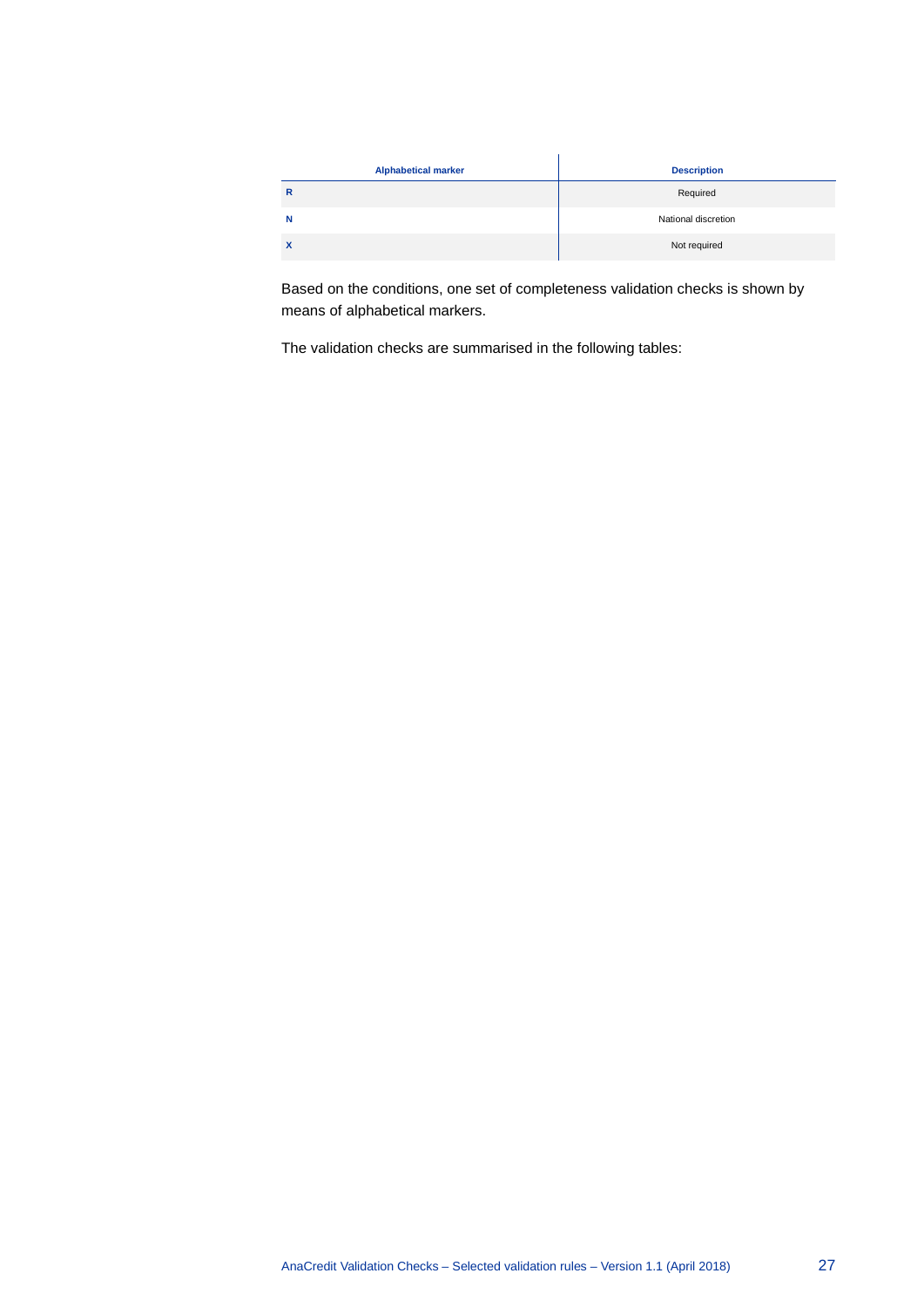| <b>Alphabetical marker</b> | <b>Description</b>  |
|----------------------------|---------------------|
| $\mathsf{R}$               | Required            |
| N                          | National discretion |
| $\mathbf x$                | Not required        |

Based on the conditions, one set of completeness validation checks is shown by means of alphabetical markers.

The validation checks are summarised in the following tables: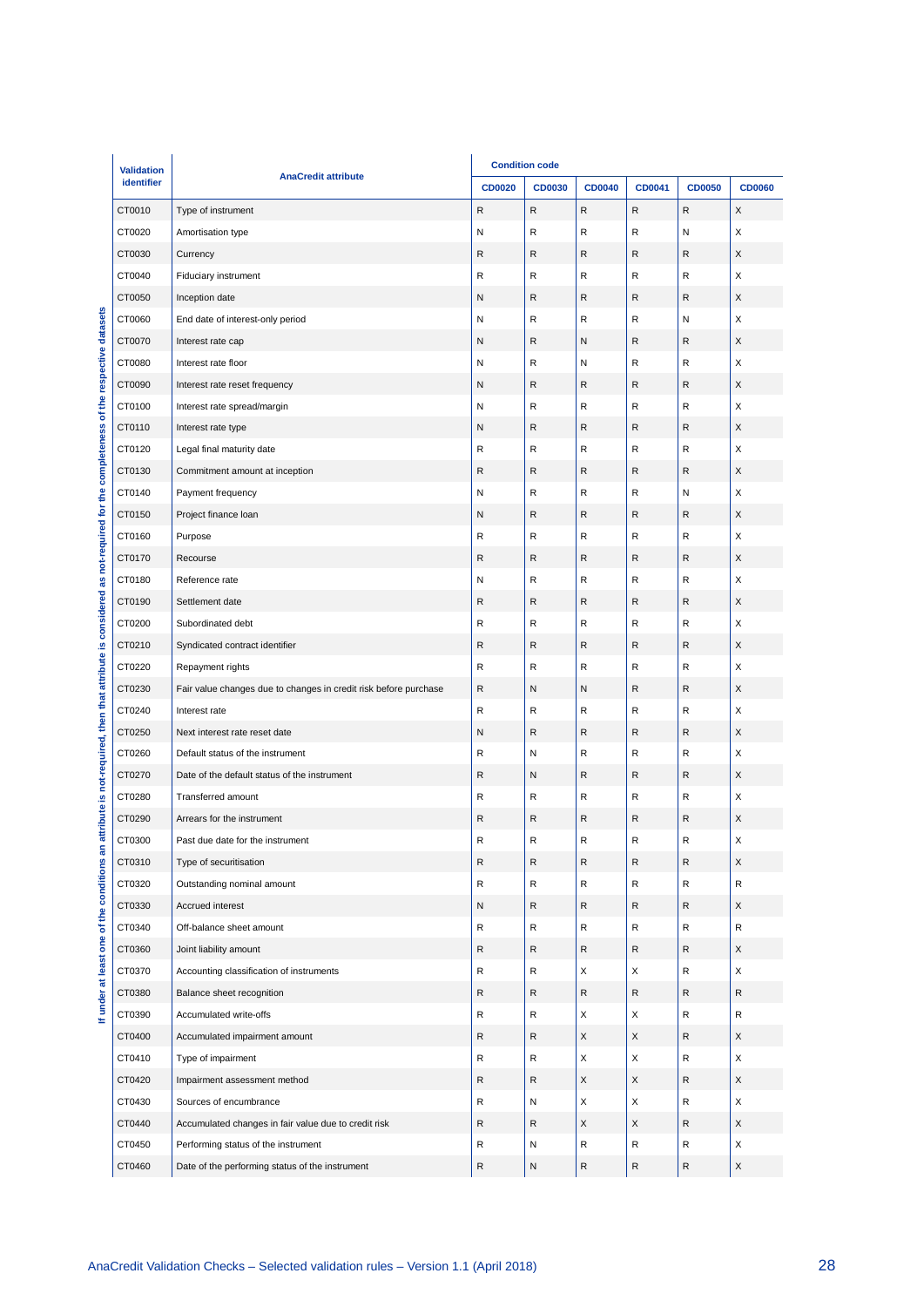| identifier | <b>AnaCredit attribute</b>                                       | <b>CD0020</b> | CD0030       | <b>CD0040</b>             | CD0041                    | <b>CD0050</b> | <b>CD0060</b> |
|------------|------------------------------------------------------------------|---------------|--------------|---------------------------|---------------------------|---------------|---------------|
| CT0010     | Type of instrument                                               | $\mathsf{R}$  | ${\sf R}$    | $\mathsf{R}$              | ${\sf R}$                 | $\mathsf{R}$  | X             |
| CT0020     | Amortisation type                                                | N             | ${\sf R}$    | R                         | ${\sf R}$                 | Ν             | X             |
| CT0030     | Currency                                                         | ${\sf R}$     | $\mathsf R$  | R                         | $\mathsf{R}$              | R             | X             |
| CT0040     | Fiduciary instrument                                             | $\mathsf R$   | R            | R                         | $\mathsf{R}$              | R             | X             |
| CT0050     | Inception date                                                   | N             | ${\sf R}$    | R                         | $\mathsf{R}$              | R             | X             |
| CT0060     | End date of interest-only period                                 | N             | R            | R                         | $\mathsf{R}$              | N             | X             |
| CT0070     | Interest rate cap                                                | N             | $\mathsf{R}$ | N                         | $\mathsf{R}$              | R             | X             |
| CT0080     | Interest rate floor                                              | N             | ${\sf R}$    | ${\sf N}$                 | $\mathsf{R}$              | R             | X             |
| CT0090     | Interest rate reset frequency                                    | N             | R            | ${\sf R}$                 | $\mathsf{R}$              | R             | X             |
| CT0100     | Interest rate spread/margin                                      | N             | R            | R                         | R                         | R             | X             |
| CT0110     | Interest rate type                                               | N             | ${\sf R}$    | R                         | $\mathsf{R}$              | R             | X             |
| CT0120     | Legal final maturity date                                        | R             | R            | R                         | R                         | R             | X             |
| CT0130     | Commitment amount at inception                                   | $\mathsf R$   | $\mathsf R$  | R                         | $\mathsf{R}$              | R             | X             |
| CT0140     | Payment frequency                                                | N             | ${\sf R}$    | R                         | $\mathsf{R}$              | N             | X             |
| CT0150     | Project finance loan                                             | N             | R            | ${\sf R}$                 | $\mathsf{R}$              | R             | X             |
| CT0160     | Purpose                                                          | $\mathsf R$   | R            | R                         | R                         | R             | X             |
| CT0170     | Recourse                                                         | ${\sf R}$     | ${\sf R}$    | ${\sf R}$                 | $\mathsf{R}$              | R             | X             |
| CT0180     | Reference rate                                                   | N             | R            | R                         | R                         | R             | х             |
| CT0190     | Settlement date                                                  | $\mathsf R$   | $\mathsf{R}$ | R                         | $\mathsf{R}$              | R             | X             |
| CT0200     | Subordinated debt                                                | $\mathsf R$   | ${\sf R}$    | R                         | $\mathsf{R}$              | R             | X             |
| CT0210     | Syndicated contract identifier                                   | $\mathsf R$   | $\mathsf{R}$ | R                         | $\mathsf{R}$              | R             | X             |
| CT0220     | Repayment rights                                                 | $\mathsf R$   | R            | R                         | R                         | R             | X             |
| CT0230     | Fair value changes due to changes in credit risk before purchase | ${\sf R}$     | N            | N                         | ${\sf R}$                 | R             | X             |
| CT0240     | Interest rate                                                    | R             | R            | R                         | R                         | R             | X             |
| CT0250     | Next interest rate reset date                                    | N             | $\mathsf{R}$ | R                         | $\mathsf{R}$              | R             | X             |
| CT0260     | Default status of the instrument                                 | $\mathsf R$   | N            | R                         | $\mathsf{R}$              | R             | X             |
| CT0270     | Date of the default status of the instrument                     | $\mathsf R$   | N            | R                         | $\mathsf{R}$              | R             | X             |
| CT0280     | Transferred amount                                               | $\mathsf R$   | R            | R                         | R                         | R             | X             |
| CT0290     | Arrears for the instrument                                       | $\mathsf R$   | $\mathsf R$  | R                         | R                         | R             | X             |
| CT0300     | Past due date for the instrument                                 | R             | R            | R                         | R                         | R             | Χ             |
| CT0310     | Type of securitisation                                           | ${\sf R}$     | ${\sf R}$    | R                         | ${\sf R}$                 | R             | X             |
| CT0320     | Outstanding nominal amount                                       | ${\sf R}$     | ${\sf R}$    | R                         | $\mathsf{R}$              | R             | R             |
| CT0330     | Accrued interest                                                 | N             | R            | R                         | ${\sf R}$                 | R             | X             |
| CT0340     | Off-balance sheet amount                                         | ${\sf R}$     | ${\sf R}$    | R                         | $\mathsf{R}$              | R             | R             |
| CT0360     | Joint liability amount                                           | ${\sf R}$     | ${\sf R}$    | R                         | R                         | R             | X             |
| CT0370     | Accounting classification of instruments                         | ${\sf R}$     | ${\sf R}$    | X                         | X                         | R             | X             |
| CT0380     | Balance sheet recognition                                        | ${\sf R}$     | R            | R                         | $\mathsf{R}$              | R             | R             |
| CT0390     | Accumulated write-offs                                           | ${\sf R}$     | ${\sf R}$    | X                         | X                         | R             | R             |
| CT0400     | Accumulated impairment amount                                    | ${\sf R}$     | R            | $\boldsymbol{\mathsf{X}}$ | $\mathsf X$               | R             | X             |
| CT0410     | Type of impairment                                               | ${\sf R}$     | ${\sf R}$    | X                         | $\boldsymbol{\mathsf{X}}$ | R             | X             |
| CT0420     | Impairment assessment method                                     | ${\sf R}$     | ${\sf R}$    | X                         | $\mathsf X$               | R             | X             |
| CT0430     | Sources of encumbrance                                           | ${\sf R}$     | N            | X                         | X                         | R             | X             |
| CT0440     | Accumulated changes in fair value due to credit risk             | ${\sf R}$     | R            | $\mathsf X$               | $\mathsf X$               | R             | X             |
| CT0450     | Performing status of the instrument                              | R             | N            | R                         | $\mathsf{R}$              | R             | X             |
|            | Date of the performing status of the instrument                  | ${\sf R}$     | ${\sf N}$    | ${\sf R}$                 | ${\sf R}$                 |               | X             |
| CT0460     |                                                                  |               |              |                           |                           | R             |               |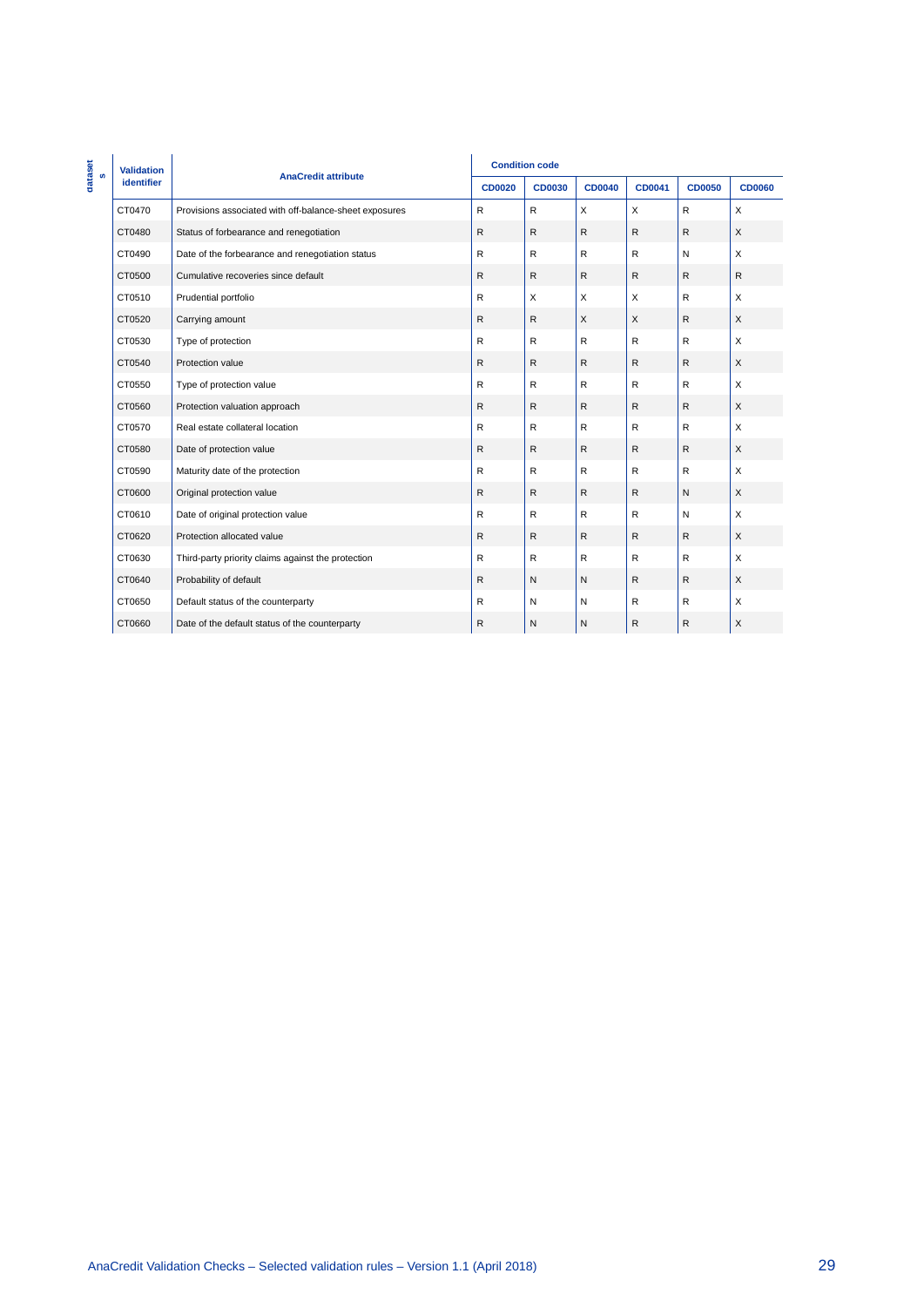|              | <b>Validation</b>                                                                  |                                                        | <b>Condition code</b> |               |               |             |               |               |
|--------------|------------------------------------------------------------------------------------|--------------------------------------------------------|-----------------------|---------------|---------------|-------------|---------------|---------------|
| dataset<br>s | identifier                                                                         | <b>AnaCredit attribute</b>                             | <b>CD0020</b>         | <b>CD0030</b> | <b>CD0040</b> | CD0041      | <b>CD0050</b> | <b>CD0060</b> |
|              | CT0470                                                                             | Provisions associated with off-balance-sheet exposures | ${\sf R}$             | ${\sf R}$     | $\mathsf X$   | $\mathsf X$ | ${\sf R}$     | $\mathsf X$   |
|              | CT0480                                                                             | Status of forbearance and renegotiation                | ${\sf R}$             | ${\sf R}$     | ${\sf R}$     | ${\sf R}$   | ${\sf R}$     | $\mathsf X$   |
|              | CT0490                                                                             | Date of the forbearance and renegotiation status       | ${\sf R}$             | ${\sf R}$     | ${\sf R}$     | ${\sf R}$   | N             | $\mathsf X$   |
|              | CT0500                                                                             | Cumulative recoveries since default                    | ${\sf R}$             | ${\sf R}$     | ${\sf R}$     | ${\sf R}$   | ${\sf R}$     | ${\sf R}$     |
|              | CT0510                                                                             | Prudential portfolio                                   | ${\sf R}$             | $\mathsf X$   | $\mathsf X$   | $\mathsf X$ | ${\sf R}$     | $\mathsf X$   |
|              | CT0520                                                                             | Carrying amount                                        | ${\sf R}$             | ${\sf R}$     | $\mathsf X$   | $\mathsf X$ | ${\sf R}$     | $\mathsf X$   |
|              | CT0530                                                                             | Type of protection                                     | ${\sf R}$             | ${\sf R}$     | ${\sf R}$     | ${\sf R}$   | R             | $\mathsf X$   |
|              | CT0540                                                                             | Protection value                                       | ${\sf R}$             | ${\sf R}$     | ${\sf R}$     | ${\sf R}$   | ${\sf R}$     | $\mathsf X$   |
|              | CT0550                                                                             | Type of protection value                               | ${\sf R}$             | ${\sf R}$     | ${\sf R}$     | ${\sf R}$   | ${\sf R}$     | $\mathsf X$   |
|              | CT0560                                                                             | Protection valuation approach                          | ${\sf R}$             | ${\sf R}$     | ${\sf R}$     | ${\sf R}$   | ${\sf R}$     | $\mathsf X$   |
|              | CT0570                                                                             | Real estate collateral location                        | ${\sf R}$             | ${\sf R}$     | ${\sf R}$     | ${\sf R}$   | ${\sf R}$     | $\mathsf X$   |
|              | CT0580                                                                             | Date of protection value                               | ${\sf R}$             | ${\sf R}$     | ${\sf R}$     | ${\sf R}$   | ${\sf R}$     | $\mathsf X$   |
|              | CT0590                                                                             | Maturity date of the protection                        | ${\sf R}$             | ${\sf R}$     | ${\sf R}$     | ${\sf R}$   | ${\sf R}$     | $\mathsf X$   |
|              | CT0600                                                                             | Original protection value                              | ${\sf R}$             | ${\sf R}$     | ${\sf R}$     | ${\sf R}$   | ${\sf N}$     | $\mathsf X$   |
|              | CT0610                                                                             | Date of original protection value                      | ${\sf R}$             | ${\sf R}$     | ${\sf R}$     | ${\sf R}$   | ${\sf N}$     | $\mathsf X$   |
|              | CT0620                                                                             | Protection allocated value                             | ${\sf R}$             | ${\sf R}$     | ${\sf R}$     | ${\sf R}$   | ${\sf R}$     | $\mathsf X$   |
|              | CT0630                                                                             | Third-party priority claims against the protection     | ${\sf R}$             | ${\sf R}$     | ${\sf R}$     | ${\sf R}$   | ${\sf R}$     | $\mathsf X$   |
|              | CT0640                                                                             | Probability of default                                 | ${\sf R}$             | ${\sf N}$     | ${\sf N}$     | ${\sf R}$   | ${\sf R}$     | $\mathsf X$   |
|              | CT0650                                                                             | Default status of the counterparty                     | ${\sf R}$             | ${\sf N}$     | ${\sf N}$     | ${\sf R}$   | ${\sf R}$     | $\mathsf X$   |
|              | CT0660                                                                             | Date of the default status of the counterparty         | ${\sf R}$             | ${\sf N}$     | ${\sf N}$     | ${\sf R}$   | ${\sf R}$     | $\mathsf X$   |
|              |                                                                                    |                                                        |                       |               |               |             |               |               |
|              |                                                                                    |                                                        |                       |               |               |             |               |               |
|              |                                                                                    |                                                        |                       |               |               |             |               |               |
|              |                                                                                    |                                                        |                       |               |               |             |               |               |
|              |                                                                                    |                                                        |                       |               |               |             |               |               |
|              | AnaCredit Validation Checks - Selected validation rules - Version 1.1 (April 2018) |                                                        |                       |               |               |             |               |               |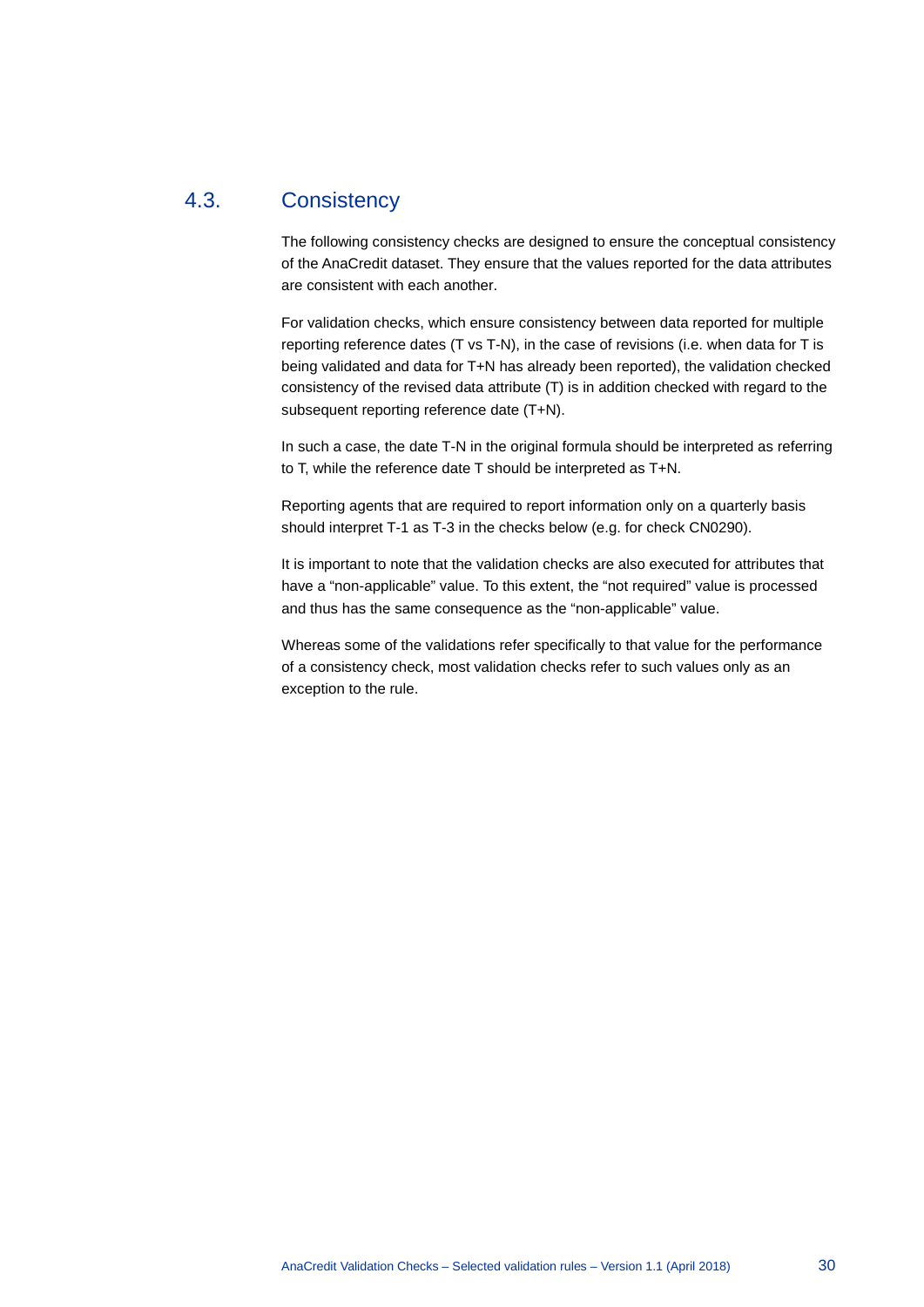### 4.3. Consistency

<span id="page-30-0"></span>The following consistency checks are designed to ensure the conceptual consistency of the AnaCredit dataset. They ensure that the values reported for the data attributes are consistent with each another.

For validation checks, which ensure consistency between data reported for multiple reporting reference dates (T vs T-N), in the case of revisions (i.e. when data for T is being validated and data for T+N has already been reported), the validation checked consistency of the revised data attribute (T) is in addition checked with regard to the subsequent reporting reference date (T+N).

In such a case, the date T-N in the original formula should be interpreted as referring to T, while the reference date T should be interpreted as T+N.

Reporting agents that are required to report information only on a quarterly basis should interpret T-1 as T-3 in the checks below (e.g. for check CN0290).

It is important to note that the validation checks are also executed for attributes that have a "non-applicable" value. To this extent, the "not required" value is processed and thus has the same consequence as the "non-applicable" value.

Whereas some of the validations refer specifically to that value for the performance of a consistency check, most validation checks refer to such values only as an exception to the rule.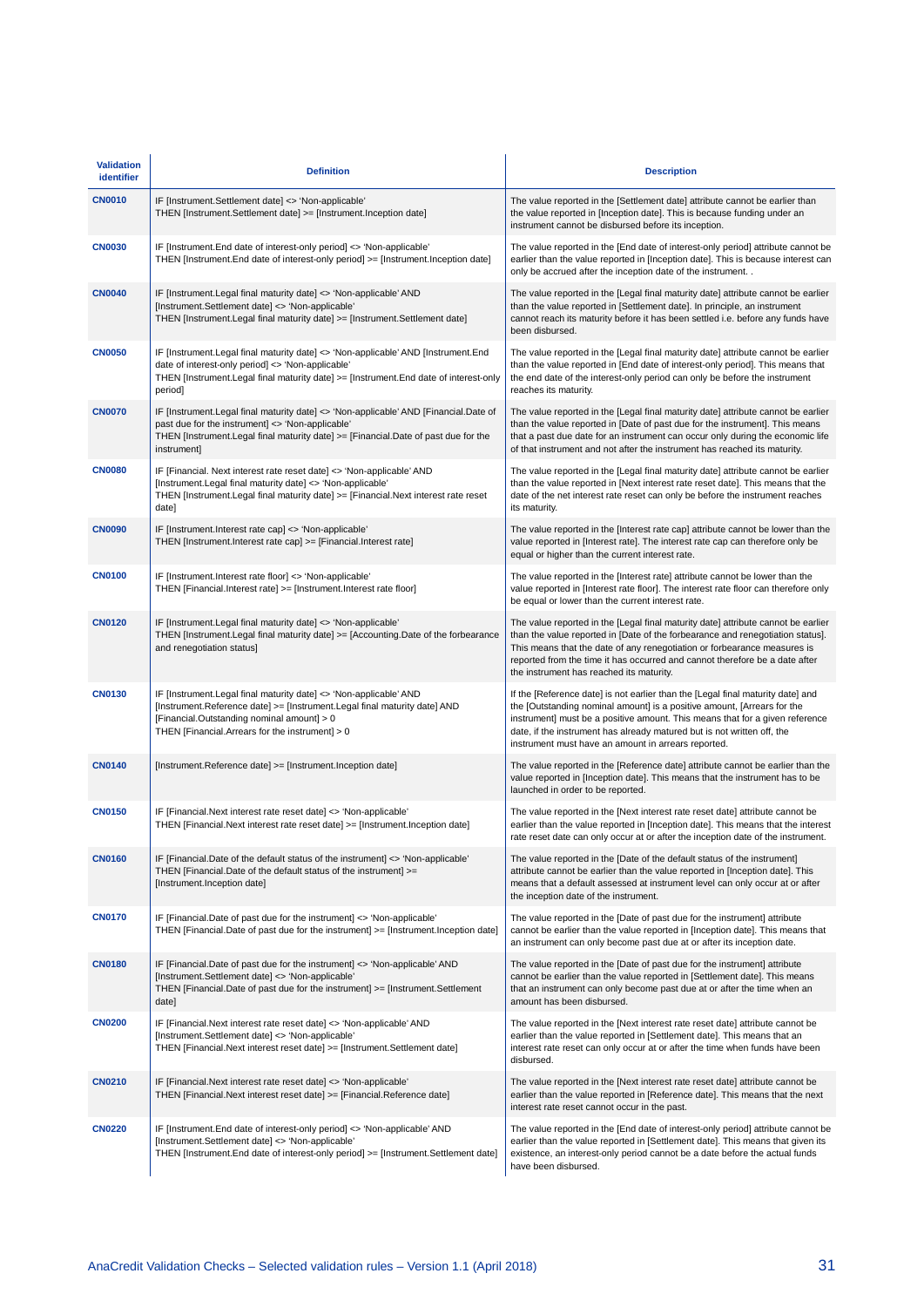| <b>Validation</b><br>identifier | <b>Definition</b>                                                                                                                                                                                                                               | <b>Description</b>                                                                                                                                                                                                                                                                                                                                                           |
|---------------------------------|-------------------------------------------------------------------------------------------------------------------------------------------------------------------------------------------------------------------------------------------------|------------------------------------------------------------------------------------------------------------------------------------------------------------------------------------------------------------------------------------------------------------------------------------------------------------------------------------------------------------------------------|
| <b>CN0010</b>                   | IF [Instrument.Settlement date] <> 'Non-applicable'<br>THEN [Instrument.Settlement date] >= [Instrument.Inception date]                                                                                                                         | The value reported in the [Settlement date] attribute cannot be earlier than<br>the value reported in [Inception date]. This is because funding under an<br>instrument cannot be disbursed before its inception.                                                                                                                                                             |
| <b>CN0030</b>                   | IF [Instrument.End date of interest-only period] <> 'Non-applicable'<br>THEN [Instrument.End date of interest-only period] >= [Instrument.Inception date]                                                                                       | The value reported in the [End date of interest-only period] attribute cannot be<br>earlier than the value reported in [Inception date]. This is because interest can<br>only be accrued after the inception date of the instrument                                                                                                                                          |
| <b>CN0040</b>                   | IF [Instrument.Legal final maturity date] <> 'Non-applicable' AND<br>[Instrument.Settlement date] <> 'Non-applicable'<br>THEN [Instrument.Legal final maturity date] >= [Instrument.Settlement date]                                            | The value reported in the [Legal final maturity date] attribute cannot be earlier<br>than the value reported in [Settlement date]. In principle, an instrument<br>cannot reach its maturity before it has been settled i.e. before any funds have<br>been disbursed.                                                                                                         |
| <b>CN0050</b>                   | IF [Instrument.Legal final maturity date] <> 'Non-applicable' AND [Instrument.End<br>date of interest-only period] <> 'Non-applicable'<br>THEN [Instrument.Legal final maturity date] >= [Instrument.End date of interest-only<br>period]       | The value reported in the [Legal final maturity date] attribute cannot be earlier<br>than the value reported in [End date of interest-only period]. This means that<br>the end date of the interest-only period can only be before the instrument<br>reaches its maturity.                                                                                                   |
| <b>CN0070</b>                   | IF [Instrument.Legal final maturity date] <> 'Non-applicable' AND [Financial.Date of<br>past due for the instrument] <> 'Non-applicable'<br>THEN [Instrument.Legal final maturity date] >= [Financial.Date of past due for the<br>instrument]   | The value reported in the [Legal final maturity date] attribute cannot be earlier<br>than the value reported in [Date of past due for the instrument]. This means<br>that a past due date for an instrument can occur only during the economic life<br>of that instrument and not after the instrument has reached its maturity.                                             |
| <b>CN0080</b>                   | IF [Financial. Next interest rate reset date] <> 'Non-applicable' AND<br>[Instrument.Legal final maturity date] <> 'Non-applicable'<br>THEN [Instrument.Legal final maturity date] >= [Financial.Next interest rate reset<br>date]              | The value reported in the [Legal final maturity date] attribute cannot be earlier<br>than the value reported in [Next interest rate reset date]. This means that the<br>date of the net interest rate reset can only be before the instrument reaches<br>its maturity.                                                                                                       |
| <b>CN0090</b>                   | IF [Instrument.Interest rate cap] <> 'Non-applicable'<br>THEN [Instrument.Interest rate cap] >= [Financial.Interest rate]                                                                                                                       | The value reported in the [Interest rate cap] attribute cannot be lower than the<br>value reported in [Interest rate]. The interest rate cap can therefore only be<br>equal or higher than the current interest rate.                                                                                                                                                        |
| <b>CN0100</b>                   | IF [Instrument.Interest rate floor] <> 'Non-applicable'<br>THEN [Financial.Interest rate] >= [Instrument.Interest rate floor]                                                                                                                   | The value reported in the [Interest rate] attribute cannot be lower than the<br>value reported in [Interest rate floor]. The interest rate floor can therefore only<br>be equal or lower than the current interest rate.                                                                                                                                                     |
| <b>CN0120</b>                   | IF [Instrument.Legal final maturity date] <> 'Non-applicable'<br>THEN [Instrument.Legal final maturity date] >= [Accounting.Date of the forbearance<br>and renegotiation status]                                                                | The value reported in the [Legal final maturity date] attribute cannot be earlier<br>than the value reported in [Date of the forbearance and renegotiation status].<br>This means that the date of any renegotiation or forbearance measures is<br>reported from the time it has occurred and cannot therefore be a date after<br>the instrument has reached its maturity.   |
| <b>CN0130</b>                   | IF [Instrument.Legal final maturity date] <> 'Non-applicable' AND<br>[Instrument.Reference date] >= [Instrument.Legal final maturity date] AND<br>[Financial.Outstanding nominal amount] > 0<br>THEN [Financial.Arrears for the instrument] > 0 | If the [Reference date] is not earlier than the [Legal final maturity date] and<br>the [Outstanding nominal amount] is a positive amount, [Arrears for the<br>instrument] must be a positive amount. This means that for a given reference<br>date, if the instrument has already matured but is not written off, the<br>instrument must have an amount in arrears reported. |
| <b>CN0140</b>                   | [Instrument.Reference date] >= [Instrument.Inception date]                                                                                                                                                                                      | The value reported in the [Reference date] attribute cannot be earlier than the<br>value reported in [Inception date]. This means that the instrument has to be<br>launched in order to be reported.                                                                                                                                                                         |
| <b>CN0150</b>                   | IF [Financial.Next interest rate reset date] <> 'Non-applicable'<br>THEN [Financial.Next interest rate reset date] >= [Instrument.Inception date]                                                                                               | The value reported in the [Next interest rate reset date] attribute cannot be<br>earlier than the value reported in [Inception date]. This means that the interest<br>rate reset date can only occur at or after the inception date of the instrument.                                                                                                                       |
| <b>CN0160</b>                   | IF [Financial.Date of the default status of the instrument] <> 'Non-applicable'<br>THEN [Financial.Date of the default status of the instrument] >=<br>[Instrument.Inception date]                                                              | The value reported in the [Date of the default status of the instrument]<br>attribute cannot be earlier than the value reported in [Inception date]. This<br>means that a default assessed at instrument level can only occur at or after<br>the inception date of the instrument.                                                                                           |
| <b>CN0170</b>                   | IF [Financial.Date of past due for the instrument] <> 'Non-applicable'<br>THEN [Financial.Date of past due for the instrument] >= [Instrument.Inception date]                                                                                   | The value reported in the [Date of past due for the instrument] attribute<br>cannot be earlier than the value reported in [Inception date]. This means that<br>an instrument can only become past due at or after its inception date.                                                                                                                                        |
| <b>CN0180</b>                   | IF [Financial.Date of past due for the instrument] <> 'Non-applicable' AND<br>[Instrument.Settlement date] <> 'Non-applicable'<br>THEN [Financial.Date of past due for the instrument] >= [Instrument.Settlement<br>date]                       | The value reported in the [Date of past due for the instrument] attribute<br>cannot be earlier than the value reported in [Settlement date]. This means<br>that an instrument can only become past due at or after the time when an<br>amount has been disbursed.                                                                                                            |
| <b>CN0200</b>                   | IF [Financial.Next interest rate reset date] <> 'Non-applicable' AND<br>[Instrument.Settlement date] <> 'Non-applicable'<br>THEN [Financial.Next interest reset date] >= [Instrument.Settlement date]                                           | The value reported in the [Next interest rate reset date] attribute cannot be<br>earlier than the value reported in [Settlement date]. This means that an<br>interest rate reset can only occur at or after the time when funds have been<br>disbursed.                                                                                                                      |
| <b>CN0210</b>                   | IF [Financial.Next interest rate reset date] <> 'Non-applicable'<br>THEN [Financial.Next interest reset date] >= [Financial.Reference date]                                                                                                     | The value reported in the [Next interest rate reset date] attribute cannot be<br>earlier than the value reported in [Reference date]. This means that the next<br>interest rate reset cannot occur in the past.                                                                                                                                                              |
| <b>CN0220</b>                   | IF [Instrument.End date of interest-only period] <> 'Non-applicable' AND<br>[Instrument.Settlement date] <> 'Non-applicable'<br>THEN [Instrument.End date of interest-only period] >= [Instrument.Settlement date]                              | The value reported in the [End date of interest-only period] attribute cannot be<br>earlier than the value reported in [Settlement date]. This means that given its<br>existence, an interest-only period cannot be a date before the actual funds<br>have been disbursed.                                                                                                   |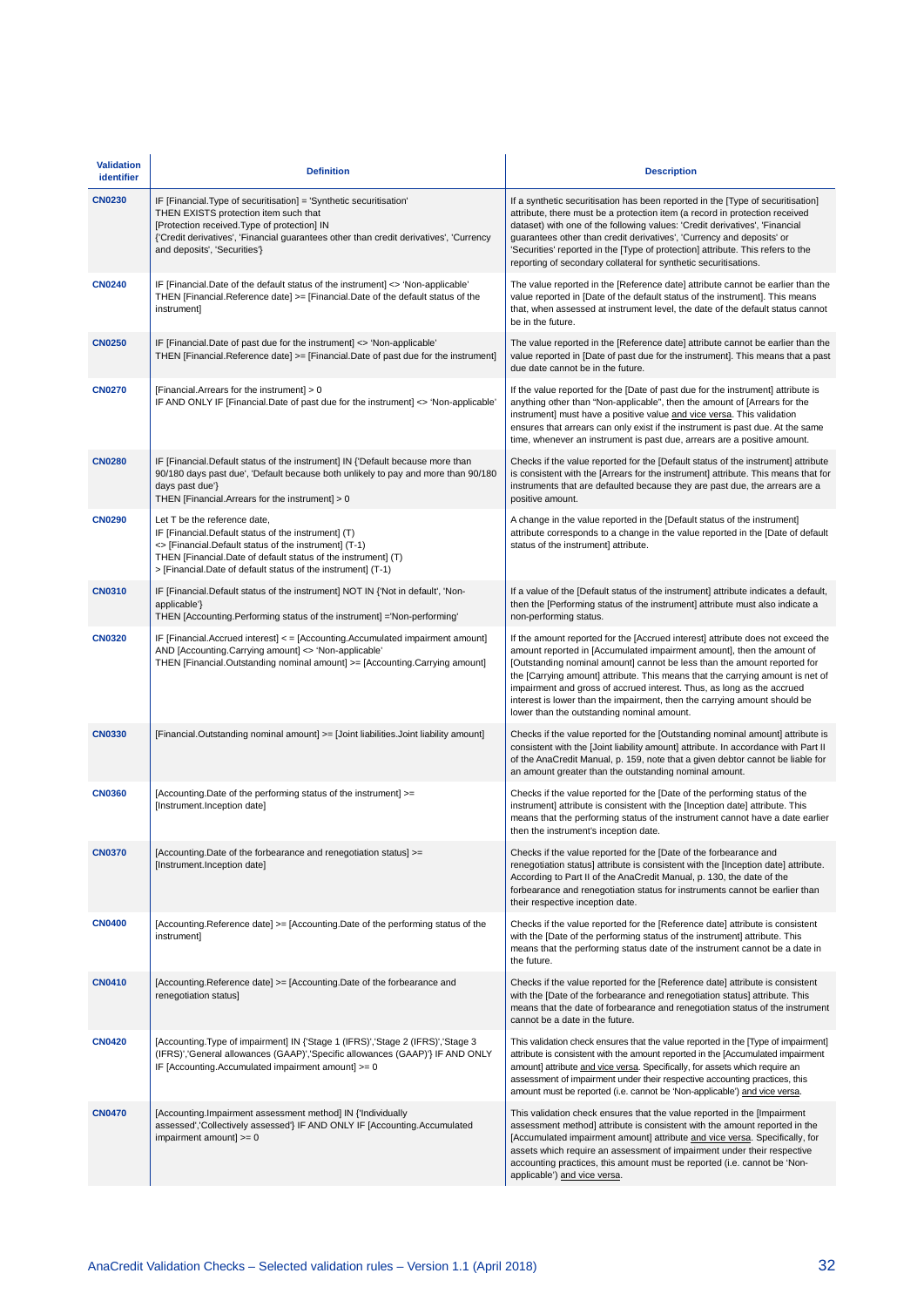| <b>Validation</b><br>identifier | <b>Definition</b>                                                                                                                                                                                                                                                                    | <b>Description</b>                                                                                                                                                                                                                                                                                                                                                                                                                                                                                                           |
|---------------------------------|--------------------------------------------------------------------------------------------------------------------------------------------------------------------------------------------------------------------------------------------------------------------------------------|------------------------------------------------------------------------------------------------------------------------------------------------------------------------------------------------------------------------------------------------------------------------------------------------------------------------------------------------------------------------------------------------------------------------------------------------------------------------------------------------------------------------------|
| <b>CN0230</b>                   | IF [Financial.Type of securitisation] = 'Synthetic securitisation'<br>THEN EXISTS protection item such that<br>[Protection received.Type of protection] IN<br>{'Credit derivatives', 'Financial quarantees other than credit derivatives', 'Currency<br>and deposits', 'Securities'} | If a synthetic securitisation has been reported in the [Type of securitisation]<br>attribute, there must be a protection item (a record in protection received<br>dataset) with one of the following values: 'Credit derivatives', 'Financial<br>guarantees other than credit derivatives', 'Currency and deposits' or<br>'Securities' reported in the [Type of protection] attribute. This refers to the<br>reporting of secondary collateral for synthetic securitisations.                                                |
| <b>CN0240</b>                   | IF [Financial.Date of the default status of the instrument] <> 'Non-applicable'<br>THEN [Financial.Reference date] >= [Financial.Date of the default status of the<br>instrument]                                                                                                    | The value reported in the [Reference date] attribute cannot be earlier than the<br>value reported in [Date of the default status of the instrument]. This means<br>that, when assessed at instrument level, the date of the default status cannot<br>be in the future.                                                                                                                                                                                                                                                       |
| <b>CN0250</b>                   | IF [Financial.Date of past due for the instrument] <> 'Non-applicable'<br>THEN [Financial.Reference date] >= [Financial.Date of past due for the instrument]                                                                                                                         | The value reported in the [Reference date] attribute cannot be earlier than the<br>value reported in [Date of past due for the instrument]. This means that a past<br>due date cannot be in the future.                                                                                                                                                                                                                                                                                                                      |
| <b>CN0270</b>                   | [Financial.Arrears for the instrument] > 0<br>IF AND ONLY IF [Financial.Date of past due for the instrument] <> 'Non-applicable'                                                                                                                                                     | If the value reported for the [Date of past due for the instrument] attribute is<br>anything other than "Non-applicable", then the amount of [Arrears for the<br>instrument] must have a positive value and vice versa. This validation<br>ensures that arrears can only exist if the instrument is past due. At the same<br>time, whenever an instrument is past due, arrears are a positive amount.                                                                                                                        |
| <b>CN0280</b>                   | IF [Financial.Default status of the instrument] IN {'Default because more than<br>90/180 days past due', 'Default because both unlikely to pay and more than 90/180<br>days past due'}<br>THEN [Financial.Arrears for the instrument] > 0                                            | Checks if the value reported for the [Default status of the instrument] attribute<br>is consistent with the [Arrears for the instrument] attribute. This means that for<br>instruments that are defaulted because they are past due, the arrears are a<br>positive amount.                                                                                                                                                                                                                                                   |
| <b>CN0290</b>                   | Let T be the reference date,<br>IF [Financial.Default status of the instrument] (T)<br><> [Financial.Default status of the instrument] (T-1)<br>THEN [Financial.Date of default status of the instrument] (T)<br>> [Financial.Date of default status of the instrument] (T-1)        | A change in the value reported in the [Default status of the instrument]<br>attribute corresponds to a change in the value reported in the [Date of default<br>status of the instrument] attribute.                                                                                                                                                                                                                                                                                                                          |
| <b>CN0310</b>                   | IF [Financial.Default status of the instrument] NOT IN {'Not in default', 'Non-<br>applicable'}<br>THEN [Accounting.Performing status of the instrument] = Non-performing                                                                                                            | If a value of the [Default status of the instrument] attribute indicates a default,<br>then the [Performing status of the instrument] attribute must also indicate a<br>non-performing status.                                                                                                                                                                                                                                                                                                                               |
| <b>CN0320</b>                   | IF [Financial.Accrued interest] < = [Accounting.Accumulated impairment amount]<br>AND [Accounting.Carrying amount] <> 'Non-applicable'<br>THEN [Financial.Outstanding nominal amount] >= [Accounting.Carrying amount]                                                                | If the amount reported for the [Accrued interest] attribute does not exceed the<br>amount reported in [Accumulated impairment amount], then the amount of<br>[Outstanding nominal amount] cannot be less than the amount reported for<br>the [Carrying amount] attribute. This means that the carrying amount is net of<br>impairment and gross of accrued interest. Thus, as long as the accrued<br>interest is lower than the impairment, then the carrying amount should be<br>lower than the outstanding nominal amount. |
| <b>CN0330</b>                   | [Financial Outstanding nominal amount] >= [Joint liabilities Joint liability amount]                                                                                                                                                                                                 | Checks if the value reported for the [Outstanding nominal amount] attribute is<br>consistent with the [Joint liability amount] attribute. In accordance with Part II<br>of the AnaCredit Manual, p. 159, note that a given debtor cannot be liable for<br>an amount greater than the outstanding nominal amount.                                                                                                                                                                                                             |
| <b>CN0360</b>                   | [Accounting.Date of the performing status of the instrument] >=<br>[Instrument.Inception date]                                                                                                                                                                                       | Checks if the value reported for the [Date of the performing status of the<br>instrument] attribute is consistent with the [Inception date] attribute. This<br>means that the performing status of the instrument cannot have a date earlier<br>then the instrument's inception date.                                                                                                                                                                                                                                        |
| <b>CN0370</b>                   | [Accounting.Date of the forbearance and renegotiation status] >=<br>[Instrument.Inception date]                                                                                                                                                                                      | Checks if the value reported for the [Date of the forbearance and<br>renegotiation status] attribute is consistent with the [Inception date] attribute.<br>According to Part II of the AnaCredit Manual, p. 130, the date of the<br>forbearance and renegotiation status for instruments cannot be earlier than<br>their respective inception date.                                                                                                                                                                          |
| <b>CN0400</b>                   | [Accounting.Reference date] >= [Accounting.Date of the performing status of the<br>instrument]                                                                                                                                                                                       | Checks if the value reported for the [Reference date] attribute is consistent<br>with the [Date of the performing status of the instrument] attribute. This<br>means that the performing status date of the instrument cannot be a date in<br>the future.                                                                                                                                                                                                                                                                    |
| <b>CN0410</b>                   | [Accounting.Reference date] >= [Accounting.Date of the forbearance and<br>renegotiation status]                                                                                                                                                                                      | Checks if the value reported for the [Reference date] attribute is consistent<br>with the [Date of the forbearance and renegotiation status] attribute. This<br>means that the date of forbearance and renegotiation status of the instrument<br>cannot be a date in the future.                                                                                                                                                                                                                                             |
| <b>CN0420</b>                   | [Accounting.Type of impairment] IN {'Stage 1 (IFRS)','Stage 2 (IFRS)','Stage 3<br>(IFRS)','General allowances (GAAP)','Specific allowances (GAAP)'} IF AND ONLY<br>IF [Accounting.Accumulated impairment amount] >= 0                                                                | This validation check ensures that the value reported in the [Type of impairment]<br>attribute is consistent with the amount reported in the [Accumulated impairment<br>amount] attribute and vice versa. Specifically, for assets which require an<br>assessment of impairment under their respective accounting practices, this<br>amount must be reported (i.e. cannot be 'Non-applicable') and vice versa.                                                                                                               |
| <b>CN0470</b>                   | [Accounting.Impairment assessment method] IN {'Individually<br>assessed','Collectively assessed'} IF AND ONLY IF [Accounting.Accumulated<br>impairment amount] >= 0                                                                                                                  | This validation check ensures that the value reported in the [Impairment<br>assessment method] attribute is consistent with the amount reported in the<br>[Accumulated impairment amount] attribute and vice versa. Specifically, for<br>assets which require an assessment of impairment under their respective<br>accounting practices, this amount must be reported (i.e. cannot be 'Non-<br>applicable') and vice versa.                                                                                                 |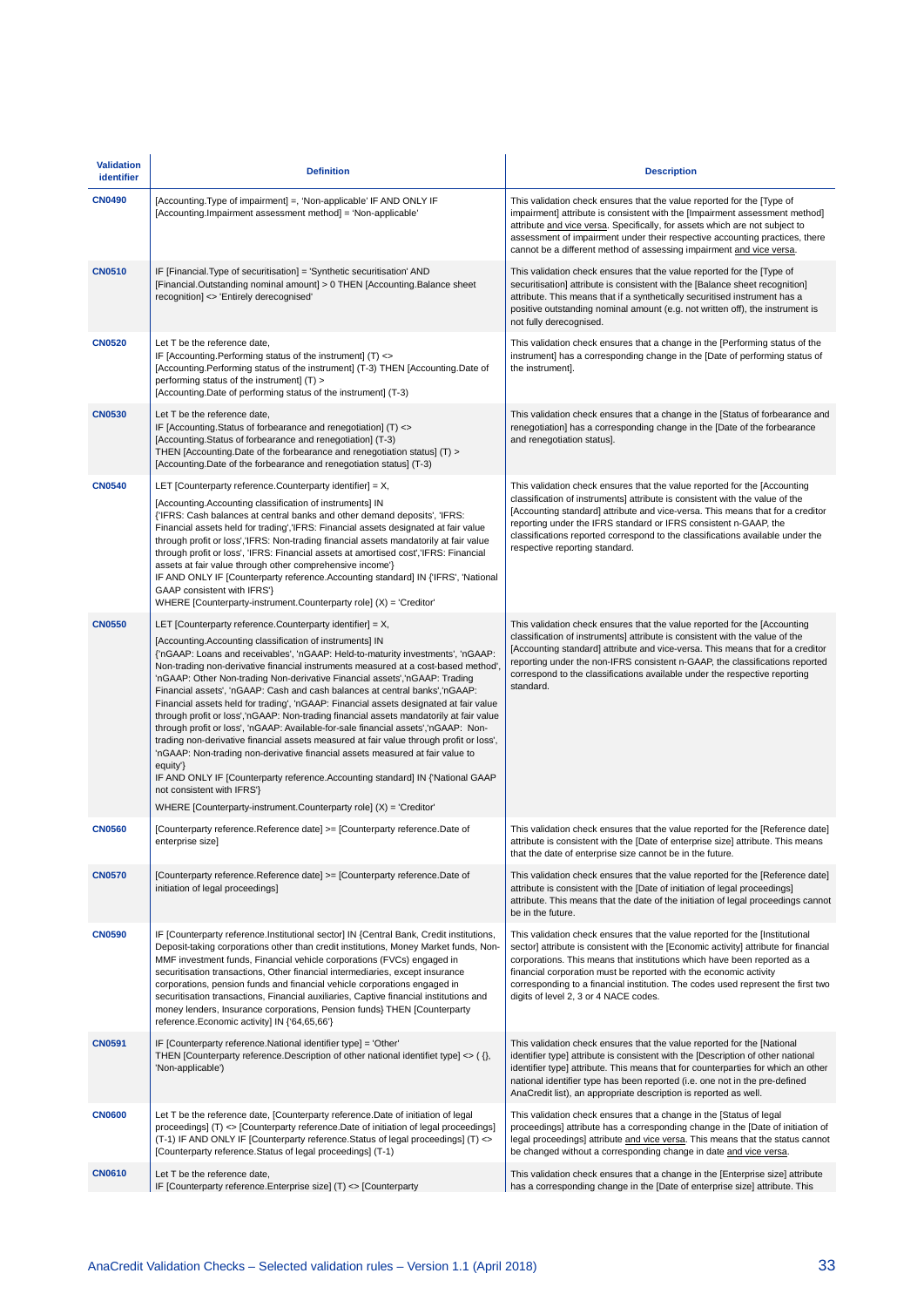| <b>Validation</b><br>identifier | <b>Definition</b>                                                                                                                                                                                                                                                                                                                                                                                                                                                                                                                                                                                                                                                                                                                                                                                                                                                                                                                                                                                                                                                                                                    | <b>Description</b>                                                                                                                                                                                                                                                                                                                                                                                                                                 |
|---------------------------------|----------------------------------------------------------------------------------------------------------------------------------------------------------------------------------------------------------------------------------------------------------------------------------------------------------------------------------------------------------------------------------------------------------------------------------------------------------------------------------------------------------------------------------------------------------------------------------------------------------------------------------------------------------------------------------------------------------------------------------------------------------------------------------------------------------------------------------------------------------------------------------------------------------------------------------------------------------------------------------------------------------------------------------------------------------------------------------------------------------------------|----------------------------------------------------------------------------------------------------------------------------------------------------------------------------------------------------------------------------------------------------------------------------------------------------------------------------------------------------------------------------------------------------------------------------------------------------|
| <b>CN0490</b>                   | [Accounting.Type of impairment] =, 'Non-applicable' IF AND ONLY IF<br>[Accounting.Impairment assessment method] = 'Non-applicable'                                                                                                                                                                                                                                                                                                                                                                                                                                                                                                                                                                                                                                                                                                                                                                                                                                                                                                                                                                                   | This validation check ensures that the value reported for the [Type of<br>impairment] attribute is consistent with the [Impairment assessment method]<br>attribute and vice versa. Specifically, for assets which are not subject to<br>assessment of impairment under their respective accounting practices, there<br>cannot be a different method of assessing impairment and vice versa.                                                        |
| <b>CN0510</b>                   | IF [Financial.Type of securitisation] = 'Synthetic securitisation' AND<br>[Financial.Outstanding nominal amount] > 0 THEN [Accounting.Balance sheet<br>recognition] <> 'Entirely derecognised'                                                                                                                                                                                                                                                                                                                                                                                                                                                                                                                                                                                                                                                                                                                                                                                                                                                                                                                       | This validation check ensures that the value reported for the [Type of<br>securitisation] attribute is consistent with the [Balance sheet recognition]<br>attribute. This means that if a synthetically securitised instrument has a<br>positive outstanding nominal amount (e.g. not written off), the instrument is<br>not fully derecognised.                                                                                                   |
| <b>CN0520</b>                   | Let T be the reference date,<br>IF [Accounting.Performing status of the instrument] (T) <><br>[Accounting.Performing status of the instrument] (T-3) THEN [Accounting.Date of<br>performing status of the instrument] (T) ><br>[Accounting Date of performing status of the instrument] (T-3)                                                                                                                                                                                                                                                                                                                                                                                                                                                                                                                                                                                                                                                                                                                                                                                                                        | This validation check ensures that a change in the [Performing status of the<br>instrument] has a corresponding change in the [Date of performing status of<br>the instrument].                                                                                                                                                                                                                                                                    |
| <b>CN0530</b>                   | Let T be the reference date,<br>IF [Accounting Status of forbearance and renegotiation] (T) <><br>[Accounting.Status of forbearance and renegotiation] (T-3)<br>THEN [Accounting.Date of the forbearance and renegotiation status] (T) ><br>[Accounting Date of the forbearance and renegotiation status] (T-3)                                                                                                                                                                                                                                                                                                                                                                                                                                                                                                                                                                                                                                                                                                                                                                                                      | This validation check ensures that a change in the [Status of forbearance and<br>renegotiation] has a corresponding change in the [Date of the forbearance<br>and renegotiation status].                                                                                                                                                                                                                                                           |
| <b>CN0540</b>                   | LET [Counterparty reference.Counterparty identifier] = X,<br>[Accounting.Accounting classification of instruments] IN<br>{'IFRS: Cash balances at central banks and other demand deposits', 'IFRS:<br>Financial assets held for trading','IFRS: Financial assets designated at fair value<br>through profit or loss','IFRS: Non-trading financial assets mandatorily at fair value<br>through profit or loss', 'IFRS: Financial assets at amortised cost', 'IFRS: Financial<br>assets at fair value through other comprehensive income'}<br>IF AND ONLY IF [Counterparty reference. Accounting standard] IN {'IFRS', 'National<br>GAAP consistent with IFRS'}<br>WHERE [Counterparty-instrument.Counterparty role] (X) = 'Creditor'                                                                                                                                                                                                                                                                                                                                                                                  | This validation check ensures that the value reported for the [Accounting<br>classification of instruments] attribute is consistent with the value of the<br>[Accounting standard] attribute and vice-versa. This means that for a creditor<br>reporting under the IFRS standard or IFRS consistent n-GAAP, the<br>classifications reported correspond to the classifications available under the<br>respective reporting standard.                |
| <b>CN0550</b>                   | LET [Counterparty reference.Counterparty identifier] = X,<br>[Accounting.Accounting classification of instruments] IN<br>{'nGAAP: Loans and receivables', 'nGAAP: Held-to-maturity investments', 'nGAAP:<br>Non-trading non-derivative financial instruments measured at a cost-based method'<br>'nGAAP: Other Non-trading Non-derivative Financial assets','nGAAP: Trading<br>Financial assets', 'nGAAP: Cash and cash balances at central banks', 'nGAAP:<br>Financial assets held for trading', 'nGAAP: Financial assets designated at fair value<br>through profit or loss', 'nGAAP: Non-trading financial assets mandatorily at fair value<br>through profit or loss', 'nGAAP: Available-for-sale financial assets','nGAAP: Non-<br>trading non-derivative financial assets measured at fair value through profit or loss',<br>'nGAAP: Non-trading non-derivative financial assets measured at fair value to<br>equity'}<br>IF AND ONLY IF [Counterparty reference. Accounting standard] IN {'National GAAP<br>not consistent with IFRS'}<br>WHERE [Counterparty-instrument.Counterparty role] (X) = 'Creditor' | This validation check ensures that the value reported for the [Accounting<br>classification of instruments] attribute is consistent with the value of the<br>[Accounting standard] attribute and vice-versa. This means that for a creditor<br>reporting under the non-IFRS consistent n-GAAP, the classifications reported<br>correspond to the classifications available under the respective reporting<br>standard.                             |
| <b>CN0560</b>                   | [Counterparty reference. Reference date] >= [Counterparty reference. Date of<br>enterprise size]                                                                                                                                                                                                                                                                                                                                                                                                                                                                                                                                                                                                                                                                                                                                                                                                                                                                                                                                                                                                                     | This validation check ensures that the value reported for the [Reference date]<br>attribute is consistent with the [Date of enterprise size] attribute. This means<br>that the date of enterprise size cannot be in the future.                                                                                                                                                                                                                    |
| <b>CN0570</b>                   | [Counterparty reference. Reference date] >= [Counterparty reference. Date of<br>initiation of legal proceedings]                                                                                                                                                                                                                                                                                                                                                                                                                                                                                                                                                                                                                                                                                                                                                                                                                                                                                                                                                                                                     | This validation check ensures that the value reported for the [Reference date]<br>attribute is consistent with the [Date of initiation of legal proceedings]<br>attribute. This means that the date of the initiation of legal proceedings cannot<br>be in the future.                                                                                                                                                                             |
| <b>CN0590</b>                   | IF [Counterparty reference.Institutional sector] IN {Central Bank, Credit institutions,<br>Deposit-taking corporations other than credit institutions, Money Market funds, Non-<br>MMF investment funds, Financial vehicle corporations (FVCs) engaged in<br>securitisation transactions, Other financial intermediaries, except insurance<br>corporations, pension funds and financial vehicle corporations engaged in<br>securitisation transactions, Financial auxiliaries, Captive financial institutions and<br>money lenders, Insurance corporations, Pension funds} THEN [Counterparty<br>reference.Economic activity] IN {'64,65,66'}                                                                                                                                                                                                                                                                                                                                                                                                                                                                        | This validation check ensures that the value reported for the [Institutional<br>sector] attribute is consistent with the [Economic activity] attribute for financial<br>corporations. This means that institutions which have been reported as a<br>financial corporation must be reported with the economic activity<br>corresponding to a financial institution. The codes used represent the first two<br>digits of level 2, 3 or 4 NACE codes. |
| <b>CN0591</b>                   | IF [Counterparty reference.National identifier type] = 'Other'<br>THEN [Counterparty reference.Description of other national identifiet type] $\langle \rangle$ , ( $\langle \rangle$ ,<br>'Non-applicable')                                                                                                                                                                                                                                                                                                                                                                                                                                                                                                                                                                                                                                                                                                                                                                                                                                                                                                         | This validation check ensures that the value reported for the [National<br>identifier type] attribute is consistent with the [Description of other national<br>identifier type] attribute. This means that for counterparties for which an other<br>national identifier type has been reported (i.e. one not in the pre-defined<br>AnaCredit list), an appropriate description is reported as well.                                                |
| <b>CN0600</b>                   | Let T be the reference date, [Counterparty reference.Date of initiation of legal<br>proceedings] (T) <> [Counterparty reference.Date of initiation of legal proceedings]<br>(T-1) IF AND ONLY IF [Counterparty reference. Status of legal proceedings] (T) <><br>[Counterparty reference. Status of legal proceedings] (T-1)                                                                                                                                                                                                                                                                                                                                                                                                                                                                                                                                                                                                                                                                                                                                                                                         | This validation check ensures that a change in the [Status of legal<br>proceedings] attribute has a corresponding change in the [Date of initiation of<br>legal proceedings] attribute and vice versa. This means that the status cannot<br>be changed without a corresponding change in date and vice versa.                                                                                                                                      |
| <b>CN0610</b>                   | Let T be the reference date,<br>IF [Counterparty reference.Enterprise size] (T) <> [Counterparty                                                                                                                                                                                                                                                                                                                                                                                                                                                                                                                                                                                                                                                                                                                                                                                                                                                                                                                                                                                                                     | This validation check ensures that a change in the [Enterprise size] attribute<br>has a corresponding change in the [Date of enterprise size] attribute. This                                                                                                                                                                                                                                                                                      |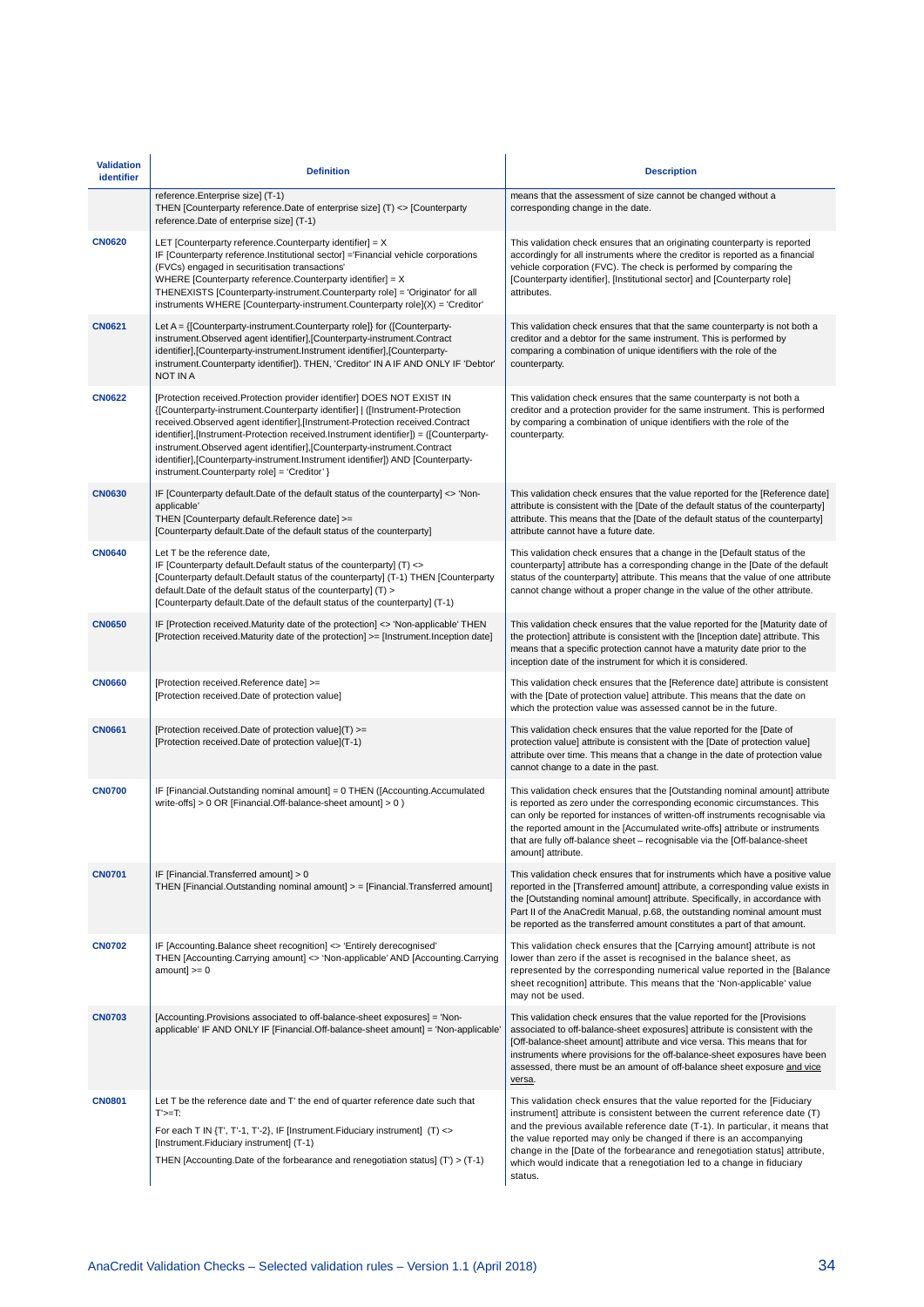| <b>Validation</b><br>identifier | <b>Definition</b>                                                                                                                                                                                                                                                                                                                                                                                                                                                                                                                              | <b>Description</b>                                                                                                                                                                                                                                                                                                                                                                                                                                                                |
|---------------------------------|------------------------------------------------------------------------------------------------------------------------------------------------------------------------------------------------------------------------------------------------------------------------------------------------------------------------------------------------------------------------------------------------------------------------------------------------------------------------------------------------------------------------------------------------|-----------------------------------------------------------------------------------------------------------------------------------------------------------------------------------------------------------------------------------------------------------------------------------------------------------------------------------------------------------------------------------------------------------------------------------------------------------------------------------|
|                                 | reference.Enterprise size] (T-1)<br>THEN [Counterparty reference.Date of enterprise size] (T) <> [Counterparty<br>reference.Date of enterprise size] (T-1)                                                                                                                                                                                                                                                                                                                                                                                     | means that the assessment of size cannot be changed without a<br>corresponding change in the date.                                                                                                                                                                                                                                                                                                                                                                                |
| <b>CN0620</b>                   | LET [Counterparty reference. Counterparty identifier] = $X$<br>IF [Counterparty reference.Institutional sector] = Financial vehicle corporations<br>(FVCs) engaged in securitisation transactions'<br>WHERE [Counterparty reference. Counterparty identifier] = $X$<br>THENEXISTS [Counterparty-instrument.Counterparty role] = 'Originator' for all<br>instruments WHERE [Counterparty-instrument.Counterparty role](X) = 'Creditor'                                                                                                          | This validation check ensures that an originating counterparty is reported<br>accordingly for all instruments where the creditor is reported as a financial<br>vehicle corporation (FVC). The check is performed by comparing the<br>[Counterparty identifier], [Institutional sector] and [Counterparty role]<br>attributes.                                                                                                                                                     |
| <b>CN0621</b>                   | instrument.Observed agent identifier],[Counterparty-instrument.Contract<br>identifier],[Counterparty-instrument.Instrument identifier],[Counterparty-<br>instrument.Counterparty identifier]). THEN, 'Creditor' IN A IF AND ONLY IF 'Debtor'<br>NOT IN A                                                                                                                                                                                                                                                                                       | This validation check ensures that that the same counterparty is not both a<br>creditor and a debtor for the same instrument. This is performed by<br>comparing a combination of unique identifiers with the role of the<br>counterparty.                                                                                                                                                                                                                                         |
| <b>CN0622</b>                   | [Protection received.Protection provider identifier] DOES NOT EXIST IN<br>{[Counterparty-instrument.Counterparty identifier]   ([Instrument-Protection<br>received.Observed agent identifier],[Instrument-Protection received.Contract<br>identifier],[Instrument-Protection received.Instrument identifier]) = ([Counterparty-<br>instrument.Observed agent identifier],[Counterparty-instrument.Contract<br>identifier], [Counterparty-instrument.Instrument identifier]) AND [Counterparty-<br>instrument.Counterparty role] = 'Creditor' } | This validation check ensures that the same counterparty is not both a<br>creditor and a protection provider for the same instrument. This is performed<br>by comparing a combination of unique identifiers with the role of the<br>counterparty.                                                                                                                                                                                                                                 |
| <b>CN0630</b>                   | IF [Counterparty default.Date of the default status of the counterparty] <> 'Non-<br>applicable'<br>THEN [Counterparty default.Reference date] >=<br>[Counterparty default.Date of the default status of the counterparty]                                                                                                                                                                                                                                                                                                                     | This validation check ensures that the value reported for the [Reference date]<br>attribute is consistent with the [Date of the default status of the counterparty]<br>attribute. This means that the [Date of the default status of the counterparty]<br>attribute cannot have a future date.                                                                                                                                                                                    |
| <b>CN0640</b>                   | Let T be the reference date,<br>IF [Counterparty default.Default status of the counterparty] (T) <><br>[Counterparty default.Default status of the counterparty] (T-1) THEN [Counterparty<br>default. Date of the default status of the counterparty] (T) ><br>[Counterparty default.Date of the default status of the counterparty] (T-1)                                                                                                                                                                                                     | This validation check ensures that a change in the [Default status of the<br>counterparty] attribute has a corresponding change in the [Date of the default<br>status of the counterparty] attribute. This means that the value of one attribute<br>cannot change without a proper change in the value of the other attribute.                                                                                                                                                    |
| <b>CN0650</b>                   | IF [Protection received.Maturity date of the protection] <> 'Non-applicable' THEN<br>[Protection received.Maturity date of the protection] >= [Instrument.Inception date]                                                                                                                                                                                                                                                                                                                                                                      | This validation check ensures that the value reported for the [Maturity date of<br>the protection] attribute is consistent with the [Inception date] attribute. This<br>means that a specific protection cannot have a maturity date prior to the<br>inception date of the instrument for which it is considered.                                                                                                                                                                 |
| <b>CN0660</b>                   | [Protection received.Reference date] >=<br>[Protection received.Date of protection value]                                                                                                                                                                                                                                                                                                                                                                                                                                                      | This validation check ensures that the [Reference date] attribute is consistent<br>with the [Date of protection value] attribute. This means that the date on<br>which the protection value was assessed cannot be in the future.                                                                                                                                                                                                                                                 |
| <b>CN0661</b>                   | [Protection received.Date of protection value](T) >=<br>[Protection received.Date of protection value](T-1)                                                                                                                                                                                                                                                                                                                                                                                                                                    | This validation check ensures that the value reported for the [Date of<br>protection value] attribute is consistent with the [Date of protection value]<br>attribute over time. This means that a change in the date of protection value<br>cannot change to a date in the past.                                                                                                                                                                                                  |
| <b>CN0700</b>                   | IF [Financial.Outstanding nominal amount] = 0 THEN ([Accounting.Accumulated<br>write-offs] $> 0$ OR [Financial.Off-balance-sheet amount] $> 0$ )                                                                                                                                                                                                                                                                                                                                                                                               | This validation check ensures that the [Outstanding nominal amount] attribute<br>is reported as zero under the corresponding economic circumstances. This<br>can only be reported for instances of written-off instruments recognisable via<br>the reported amount in the [Accumulated write-offs] attribute or instruments<br>that are fully off-balance sheet - recognisable via the [Off-balance-sheet<br>amount] attribute.                                                   |
| <b>CN0701</b>                   | IF [Financial.Transferred amount] > 0<br>THEN [Financial.Outstanding nominal amount] > = [Financial.Transferred amount]                                                                                                                                                                                                                                                                                                                                                                                                                        | This validation check ensures that for instruments which have a positive value<br>reported in the [Transferred amount] attribute, a corresponding value exists in<br>the [Outstanding nominal amount] attribute. Specifically, in accordance with<br>Part II of the AnaCredit Manual, p.68, the outstanding nominal amount must<br>be reported as the transferred amount constitutes a part of that amount.                                                                       |
| <b>CN0702</b>                   | IF [Accounting.Balance sheet recognition] <> 'Entirely derecognised'<br>THEN [Accounting.Carrying amount] <> 'Non-applicable' AND [Accounting.Carrying<br>$amount] >= 0$                                                                                                                                                                                                                                                                                                                                                                       | This validation check ensures that the [Carrying amount] attribute is not<br>lower than zero if the asset is recognised in the balance sheet, as<br>represented by the corresponding numerical value reported in the [Balance]<br>sheet recognition] attribute. This means that the 'Non-applicable' value<br>may not be used.                                                                                                                                                    |
| <b>CN0703</b>                   | [Accounting Provisions associated to off-balance-sheet exposures] = 'Non-<br>applicable' IF AND ONLY IF [Financial.Off-balance-sheet amount] = 'Non-applicable'                                                                                                                                                                                                                                                                                                                                                                                | This validation check ensures that the value reported for the [Provisions<br>associated to off-balance-sheet exposures] attribute is consistent with the<br>[Off-balance-sheet amount] attribute and vice versa. This means that for<br>instruments where provisions for the off-balance-sheet exposures have been<br>assessed, there must be an amount of off-balance sheet exposure and vice<br>versa.                                                                          |
| <b>CN0801</b>                   | Let T be the reference date and T' the end of quarter reference date such that<br>$T>=T$ :<br>For each T IN $\{T', T'-1, T'-2\}$ , IF [Instrument. Fiduciary instrument] $(T)$ <><br>[Instrument.Fiduciary instrument] (T-1)<br>THEN [Accounting Date of the forbearance and renegotiation status] $(T)$ > $(T-1)$                                                                                                                                                                                                                             | This validation check ensures that the value reported for the [Fiduciary<br>instrument] attribute is consistent between the current reference date (T)<br>and the previous available reference date (T-1). In particular, it means that<br>the value reported may only be changed if there is an accompanying<br>change in the [Date of the forbearance and renegotiation status] attribute,<br>which would indicate that a renegotiation led to a change in fiduciary<br>status. |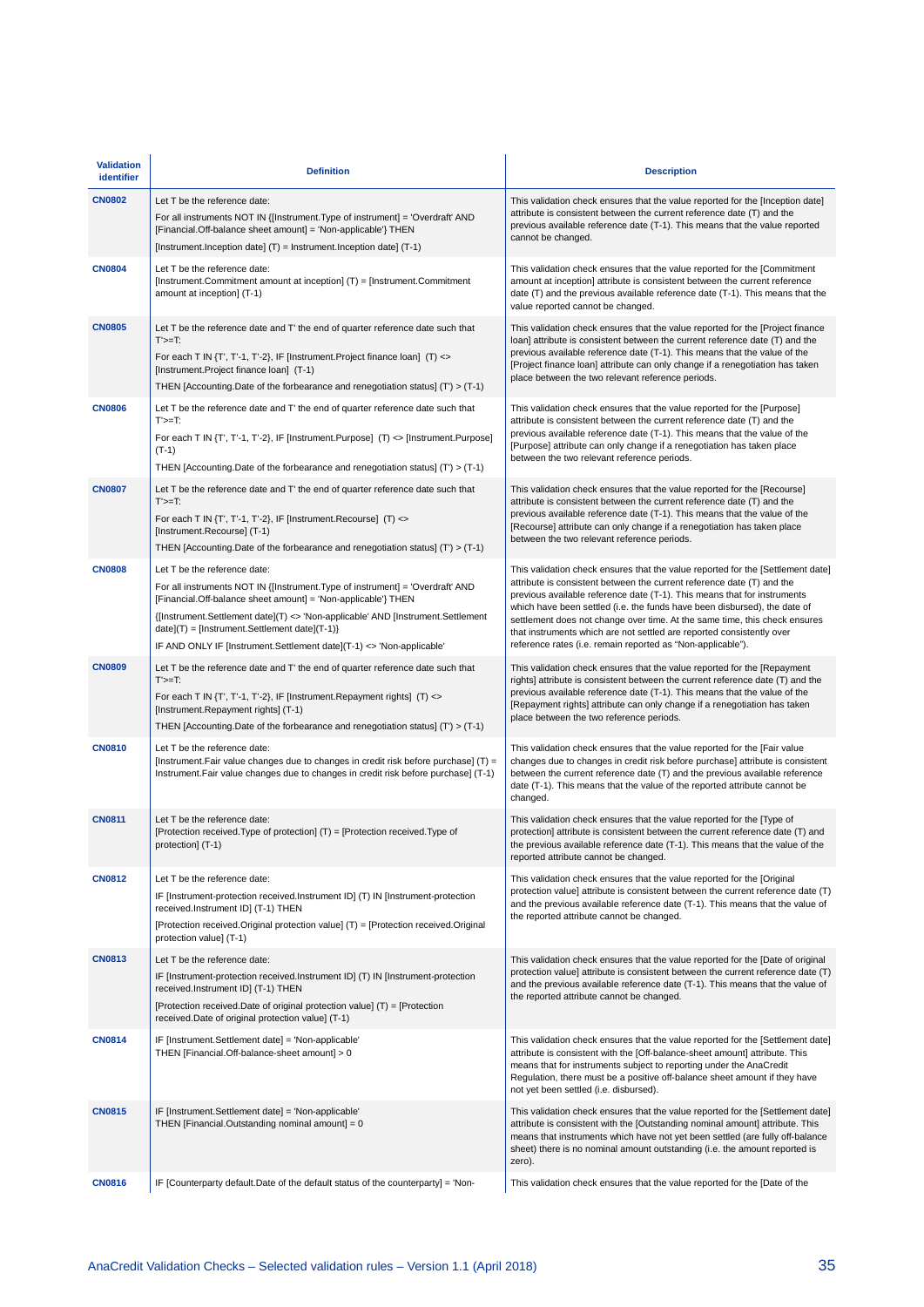| <b>Validation</b><br>identifier | <b>Definition</b>                                                                                                                                                                                                                                                                                                                                                                          | <b>Description</b>                                                                                                                                                                                                                                                                                                                                                                                                                                                                                                                       |
|---------------------------------|--------------------------------------------------------------------------------------------------------------------------------------------------------------------------------------------------------------------------------------------------------------------------------------------------------------------------------------------------------------------------------------------|------------------------------------------------------------------------------------------------------------------------------------------------------------------------------------------------------------------------------------------------------------------------------------------------------------------------------------------------------------------------------------------------------------------------------------------------------------------------------------------------------------------------------------------|
| <b>CN0802</b>                   | Let T be the reference date:<br>For all instruments NOT IN {[Instrument. Type of instrument] = 'Overdraft' AND<br>[Financial.Off-balance sheet amount] = 'Non-applicable'} THEN<br>[Instrument.Inception date] (T) = Instrument.Inception date] (T-1)                                                                                                                                      | This validation check ensures that the value reported for the [Inception date]<br>attribute is consistent between the current reference date (T) and the<br>previous available reference date (T-1). This means that the value reported<br>cannot be changed.                                                                                                                                                                                                                                                                            |
| <b>CN0804</b>                   | Let T be the reference date:<br>[Instrument.Commitment amount at inception] (T) = [Instrument.Commitment<br>amount at inception] (T-1)                                                                                                                                                                                                                                                     | This validation check ensures that the value reported for the [Commitment<br>amount at inception] attribute is consistent between the current reference<br>date $(T)$ and the previous available reference date $(T-1)$ . This means that the<br>value reported cannot be changed.                                                                                                                                                                                                                                                       |
| <b>CN0805</b>                   | Let T be the reference date and T' the end of quarter reference date such that<br>$T>=T$ :<br>For each T IN $\{T', T'$ -1, T'-2}, IF [Instrument. Project finance loan] $(T)$ $\Leftrightarrow$<br>[Instrument.Project finance loan] (T-1)<br>THEN [Accounting Date of the forbearance and renegotiation status] $(T)$ > $(T-1)$                                                           | This validation check ensures that the value reported for the [Project finance<br>loan] attribute is consistent between the current reference date (T) and the<br>previous available reference date (T-1). This means that the value of the<br>[Project finance loan] attribute can only change if a renegotiation has taken<br>place between the two relevant reference periods.                                                                                                                                                        |
| <b>CN0806</b>                   | Let T be the reference date and T' the end of quarter reference date such that<br>$T>=T$ :<br>For each T IN {T', T'-1, T'-2}, IF [Instrument.Purpose] (T) <> [Instrument.Purpose]<br>$(T-1)$<br>THEN [Accounting.Date of the forbearance and renegotiation status] $(T)$ > $(T-1)$                                                                                                         | This validation check ensures that the value reported for the [Purpose]<br>attribute is consistent between the current reference date (T) and the<br>previous available reference date (T-1). This means that the value of the<br>[Purpose] attribute can only change if a renegotiation has taken place<br>between the two relevant reference periods.                                                                                                                                                                                  |
| <b>CN0807</b>                   | Let T be the reference date and T' the end of quarter reference date such that<br>$T>=T$ :<br>For each T IN $\{T', T'$ -1, T'-2}, IF [Instrument. Recourse] $(T)$ $\Leftrightarrow$<br>[Instrument.Recourse] (T-1)<br>THEN [Accounting Date of the forbearance and renegotiation status] $(T)$ > $(T-1)$                                                                                   | This validation check ensures that the value reported for the [Recourse]<br>attribute is consistent between the current reference date (T) and the<br>previous available reference date (T-1). This means that the value of the<br>[Recourse] attribute can only change if a renegotiation has taken place<br>between the two relevant reference periods.                                                                                                                                                                                |
| <b>CN0808</b>                   | Let T be the reference date:<br>For all instruments NOT IN {[Instrument.Type of instrument] = 'Overdraft' AND<br>[Financial.Off-balance sheet amount] = 'Non-applicable'} THEN<br>{[Instrument.Settlement date](T) <> 'Non-applicable' AND [Instrument.Settlement<br>date](T) = [Instrument.Settlement date](T-1)}<br>IF AND ONLY IF [Instrument.Settlement date](T-1) <> 'Non-applicable' | This validation check ensures that the value reported for the [Settlement date]<br>attribute is consistent between the current reference date (T) and the<br>previous available reference date (T-1). This means that for instruments<br>which have been settled (i.e. the funds have been disbursed), the date of<br>settlement does not change over time. At the same time, this check ensures<br>that instruments which are not settled are reported consistently over<br>reference rates (i.e. remain reported as "Non-applicable"). |
| <b>CN0809</b>                   | Let T be the reference date and T' the end of quarter reference date such that<br>$T>=T$ :<br>For each T IN $\{T', T'-1, T'-2\}$ , IF [Instrument. Repayment rights] $(T) \Leftrightarrow$<br>[Instrument.Repayment rights] (T-1)<br>THEN [Accounting Date of the forbearance and renegotiation status] $(T)$ > $(T-1)$                                                                    | This validation check ensures that the value reported for the [Repayment<br>rights] attribute is consistent between the current reference date (T) and the<br>previous available reference date (T-1). This means that the value of the<br>[Repayment rights] attribute can only change if a renegotiation has taken<br>place between the two reference periods.                                                                                                                                                                         |
| <b>CN0810</b>                   | Let T be the reference date:<br>[Instrument.Fair value changes due to changes in credit risk before purchase] (T) =<br>Instrument. Fair value changes due to changes in credit risk before purchase] (T-1)                                                                                                                                                                                 | This validation check ensures that the value reported for the [Fair value<br>changes due to changes in credit risk before purchase] attribute is consistent<br>between the current reference date (T) and the previous available reference<br>date (T-1). This means that the value of the reported attribute cannot be<br>changed.                                                                                                                                                                                                      |
| <b>CN0811</b>                   | Let T be the reference date:<br>[Protection received.Type of protection] (T) = [Protection received.Type of<br>protection] (1-1)                                                                                                                                                                                                                                                           | This validation check ensures that the value reported for the [Type of<br>protection] attribute is consistent between the current reference date (T) and<br>the previous available reference date (T-1). This means that the value of the<br>reported attribute cannot be changed.                                                                                                                                                                                                                                                       |
| <b>CN0812</b>                   | Let T be the reference date:<br>IF [Instrument-protection received.Instrument ID] (T) IN [Instrument-protection<br>received.Instrument ID] (T-1) THEN<br>[Protection received.Original protection value] (T) = [Protection received.Original<br>protection value] (T-1)                                                                                                                    | This validation check ensures that the value reported for the [Original<br>protection value] attribute is consistent between the current reference date (T)<br>and the previous available reference date (T-1). This means that the value of<br>the reported attribute cannot be changed.                                                                                                                                                                                                                                                |
| <b>CN0813</b>                   | Let T be the reference date:<br>IF [Instrument-protection received.Instrument ID] (T) IN [Instrument-protection<br>received.Instrument ID] (T-1) THEN<br>[Protection received.Date of original protection value] $(T) =$ [Protection<br>received.Date of original protection value] (T-1)                                                                                                  | This validation check ensures that the value reported for the [Date of original<br>protection value] attribute is consistent between the current reference date (T)<br>and the previous available reference date (T-1). This means that the value of<br>the reported attribute cannot be changed.                                                                                                                                                                                                                                        |
| <b>CN0814</b>                   | IF [Instrument.Settlement date] = 'Non-applicable'<br>THEN [Financial.Off-balance-sheet amount] > 0                                                                                                                                                                                                                                                                                        | This validation check ensures that the value reported for the [Settlement date]<br>attribute is consistent with the [Off-balance-sheet amount] attribute. This<br>means that for instruments subject to reporting under the AnaCredit<br>Regulation, there must be a positive off-balance sheet amount if they have<br>not yet been settled (i.e. disbursed).                                                                                                                                                                            |
| <b>CN0815</b>                   | IF [Instrument.Settlement date] = 'Non-applicable'<br>THEN [Financial.Outstanding nominal amount] = 0                                                                                                                                                                                                                                                                                      | This validation check ensures that the value reported for the [Settlement date]<br>attribute is consistent with the [Outstanding nominal amount] attribute. This<br>means that instruments which have not yet been settled (are fully off-balance<br>sheet) there is no nominal amount outstanding (i.e. the amount reported is<br>zero).                                                                                                                                                                                                |
| <b>CN0816</b>                   | IF [Counterparty default.Date of the default status of the counterparty] = 'Non-                                                                                                                                                                                                                                                                                                           | This validation check ensures that the value reported for the [Date of the                                                                                                                                                                                                                                                                                                                                                                                                                                                               |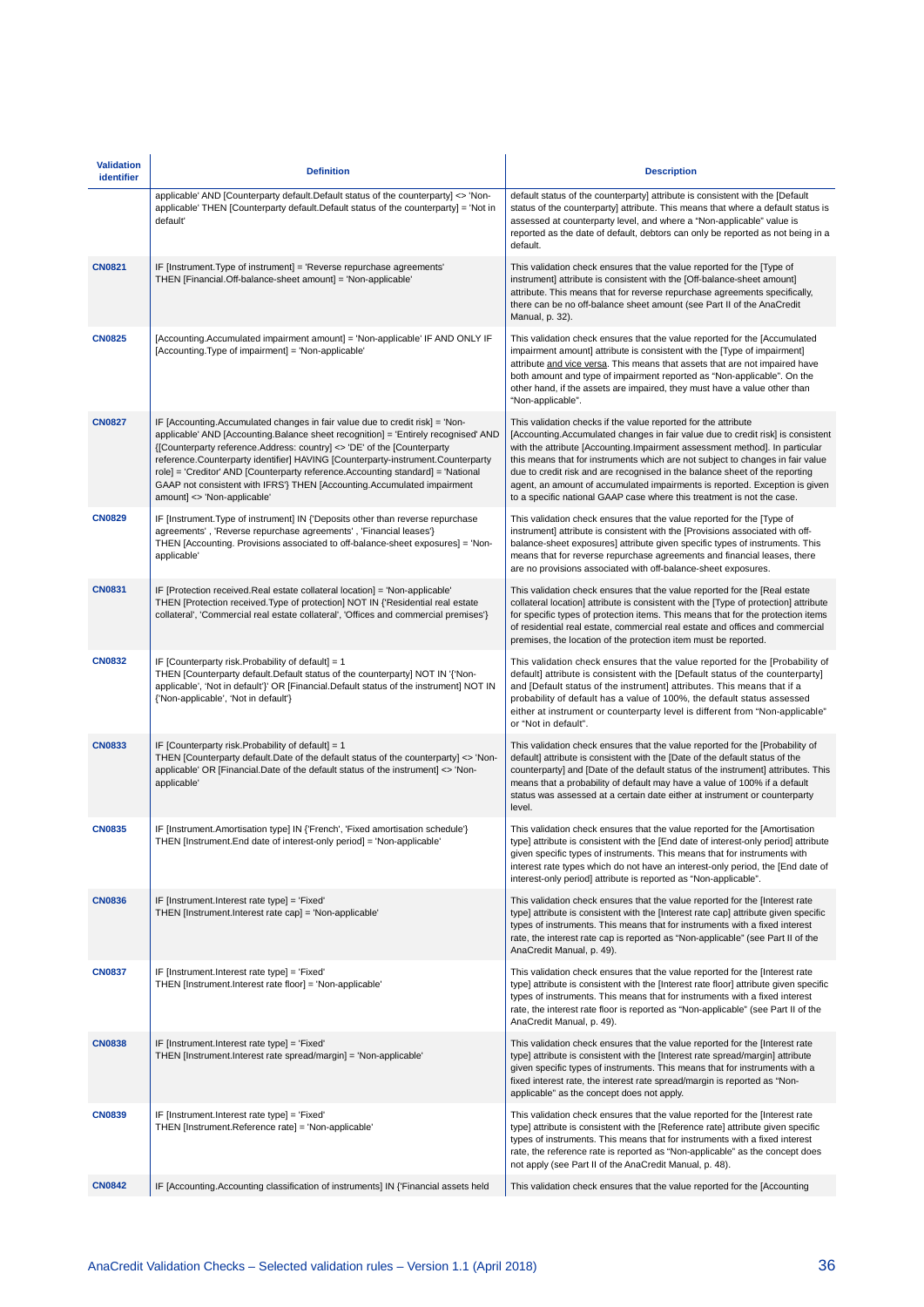| <b>Validation</b><br>identifier | <b>Definition</b>                                                                                                                                                                                                                                                                                                                                                                                                                                                                                                              | <b>Description</b>                                                                                                                                                                                                                                                                                                                                                                                                                                                                                                                                          |
|---------------------------------|--------------------------------------------------------------------------------------------------------------------------------------------------------------------------------------------------------------------------------------------------------------------------------------------------------------------------------------------------------------------------------------------------------------------------------------------------------------------------------------------------------------------------------|-------------------------------------------------------------------------------------------------------------------------------------------------------------------------------------------------------------------------------------------------------------------------------------------------------------------------------------------------------------------------------------------------------------------------------------------------------------------------------------------------------------------------------------------------------------|
|                                 | applicable' AND [Counterparty default.Default status of the counterparty] <> 'Non-<br>applicable' THEN [Counterparty default.Default status of the counterparty] = 'Not in<br>default'                                                                                                                                                                                                                                                                                                                                         | default status of the counterparty] attribute is consistent with the [Default<br>status of the counterparty] attribute. This means that where a default status is<br>assessed at counterparty level, and where a "Non-applicable" value is<br>reported as the date of default, debtors can only be reported as not being in a<br>default.                                                                                                                                                                                                                   |
| <b>CN0821</b>                   | IF [Instrument.Type of instrument] = 'Reverse repurchase agreements'<br>THEN [Financial.Off-balance-sheet amount] = 'Non-applicable'                                                                                                                                                                                                                                                                                                                                                                                           | This validation check ensures that the value reported for the [Type of<br>instrument] attribute is consistent with the [Off-balance-sheet amount]<br>attribute. This means that for reverse repurchase agreements specifically,<br>there can be no off-balance sheet amount (see Part II of the AnaCredit<br>Manual, p. 32).                                                                                                                                                                                                                                |
| <b>CN0825</b>                   | [Accounting.Accumulated impairment amount] = 'Non-applicable' IF AND ONLY IF<br>[Accounting.Type of impairment] = 'Non-applicable'                                                                                                                                                                                                                                                                                                                                                                                             | This validation check ensures that the value reported for the [Accumulated<br>impairment amount] attribute is consistent with the [Type of impairment]<br>attribute and vice versa. This means that assets that are not impaired have<br>both amount and type of impairment reported as "Non-applicable". On the<br>other hand, if the assets are impaired, they must have a value other than<br>"Non-applicable".                                                                                                                                          |
| <b>CN0827</b>                   | IF [Accounting.Accumulated changes in fair value due to credit risk] = 'Non-<br>applicable' AND [Accounting.Balance sheet recognition] = 'Entirely recognised' AND<br>{[Counterparty reference.Address: country] <> 'DE' of the [Counterparty]<br>reference.Counterparty identifier] HAVING [Counterparty-instrument.Counterparty<br>role] = 'Creditor' AND [Counterparty reference.Accounting standard] = 'National<br>GAAP not consistent with IFRS'} THEN [Accounting.Accumulated impairment<br>amount] <> 'Non-applicable' | This validation checks if the value reported for the attribute<br>[Accounting. Accumulated changes in fair value due to credit risk] is consistent<br>with the attribute [Accounting.Impairment assessment method]. In particular<br>this means that for instruments which are not subject to changes in fair value<br>due to credit risk and are recognised in the balance sheet of the reporting<br>agent, an amount of accumulated impairments is reported. Exception is given<br>to a specific national GAAP case where this treatment is not the case. |
| <b>CN0829</b>                   | IF [Instrument. Type of instrument] IN {'Deposits other than reverse repurchase<br>agreements', 'Reverse repurchase agreements', 'Financial leases'}<br>THEN [Accounting. Provisions associated to off-balance-sheet exposures] = 'Non-<br>applicable'                                                                                                                                                                                                                                                                         | This validation check ensures that the value reported for the [Type of<br>instrument] attribute is consistent with the [Provisions associated with off-<br>balance-sheet exposures] attribute given specific types of instruments. This<br>means that for reverse repurchase agreements and financial leases, there<br>are no provisions associated with off-balance-sheet exposures.                                                                                                                                                                       |
| <b>CN0831</b>                   | IF [Protection received.Real estate collateral location] = 'Non-applicable'<br>THEN [Protection received. Type of protection] NOT IN {'Residential real estate<br>collateral', 'Commercial real estate collateral', 'Offices and commercial premises'}                                                                                                                                                                                                                                                                         | This validation check ensures that the value reported for the [Real estate<br>collateral location] attribute is consistent with the [Type of protection] attribute<br>for specific types of protection items. This means that for the protection items<br>of residential real estate, commercial real estate and offices and commercial<br>premises, the location of the protection item must be reported.                                                                                                                                                  |
| <b>CN0832</b>                   | IF [Counterparty risk.Probability of default] = 1<br>THEN [Counterparty default. Default status of the counterparty] NOT IN '{'Non-<br>applicable', 'Not in default'}' OR [Financial.Default status of the instrument] NOT IN<br>{'Non-applicable', 'Not in default'}                                                                                                                                                                                                                                                          | This validation check ensures that the value reported for the [Probability of<br>default] attribute is consistent with the [Default status of the counterparty]<br>and [Default status of the instrument] attributes. This means that if a<br>probability of default has a value of 100%, the default status assessed<br>either at instrument or counterparty level is different from "Non-applicable"<br>or "Not in default".                                                                                                                              |
| <b>CN0833</b>                   | IF [Counterparty risk. Probability of default] = $1$<br>THEN [Counterparty default.Date of the default status of the counterparty] <> 'Non-<br>applicable' OR [Financial.Date of the default status of the instrument] <> 'Non-<br>applicable'                                                                                                                                                                                                                                                                                 | This validation check ensures that the value reported for the [Probability of<br>default] attribute is consistent with the [Date of the default status of the<br>counterparty] and [Date of the default status of the instrument] attributes. This<br>means that a probability of default may have a value of 100% if a default<br>status was assessed at a certain date either at instrument or counterparty<br>level.                                                                                                                                     |
| <b>CN0835</b>                   | IF [Instrument.Amortisation type] IN {'French', 'Fixed amortisation schedule'}<br>THEN [Instrument.End date of interest-only period] = 'Non-applicable'                                                                                                                                                                                                                                                                                                                                                                        | This validation check ensures that the value reported for the [Amortisation<br>type] attribute is consistent with the [End date of interest-only period] attribute<br>given specific types of instruments. This means that for instruments with<br>interest rate types which do not have an interest-only period, the [End date of<br>interest-only period] attribute is reported as "Non-applicable".                                                                                                                                                      |
| <b>CN0836</b>                   | IF [Instrument.Interest rate type] = 'Fixed'<br>THEN [Instrument.Interest rate cap] = 'Non-applicable'                                                                                                                                                                                                                                                                                                                                                                                                                         | This validation check ensures that the value reported for the [Interest rate<br>type] attribute is consistent with the [Interest rate cap] attribute given specific<br>types of instruments. This means that for instruments with a fixed interest<br>rate, the interest rate cap is reported as "Non-applicable" (see Part II of the<br>AnaCredit Manual, p. 49).                                                                                                                                                                                          |
| <b>CN0837</b>                   | IF [Instrument.Interest rate type] = 'Fixed'<br>THEN [Instrument.Interest rate floor] = 'Non-applicable'                                                                                                                                                                                                                                                                                                                                                                                                                       | This validation check ensures that the value reported for the [Interest rate<br>type] attribute is consistent with the [Interest rate floor] attribute given specific<br>types of instruments. This means that for instruments with a fixed interest<br>rate, the interest rate floor is reported as "Non-applicable" (see Part II of the<br>AnaCredit Manual, p. 49).                                                                                                                                                                                      |
| <b>CN0838</b>                   | IF [Instrument.Interest rate type] = 'Fixed'<br>THEN [Instrument.Interest rate spread/margin] = 'Non-applicable'                                                                                                                                                                                                                                                                                                                                                                                                               | This validation check ensures that the value reported for the [Interest rate<br>type] attribute is consistent with the [Interest rate spread/margin] attribute<br>given specific types of instruments. This means that for instruments with a<br>fixed interest rate, the interest rate spread/margin is reported as "Non-<br>applicable" as the concept does not apply.                                                                                                                                                                                    |
| <b>CN0839</b>                   | IF [Instrument.Interest rate type] = 'Fixed'<br>THEN [Instrument.Reference rate] = 'Non-applicable'                                                                                                                                                                                                                                                                                                                                                                                                                            | This validation check ensures that the value reported for the [Interest rate<br>type] attribute is consistent with the [Reference rate] attribute given specific<br>types of instruments. This means that for instruments with a fixed interest<br>rate, the reference rate is reported as "Non-applicable" as the concept does<br>not apply (see Part II of the AnaCredit Manual, p. 48).                                                                                                                                                                  |
| <b>CN0842</b>                   | IF [Accounting.Accounting classification of instruments] IN {'Financial assets held                                                                                                                                                                                                                                                                                                                                                                                                                                            | This validation check ensures that the value reported for the [Accounting                                                                                                                                                                                                                                                                                                                                                                                                                                                                                   |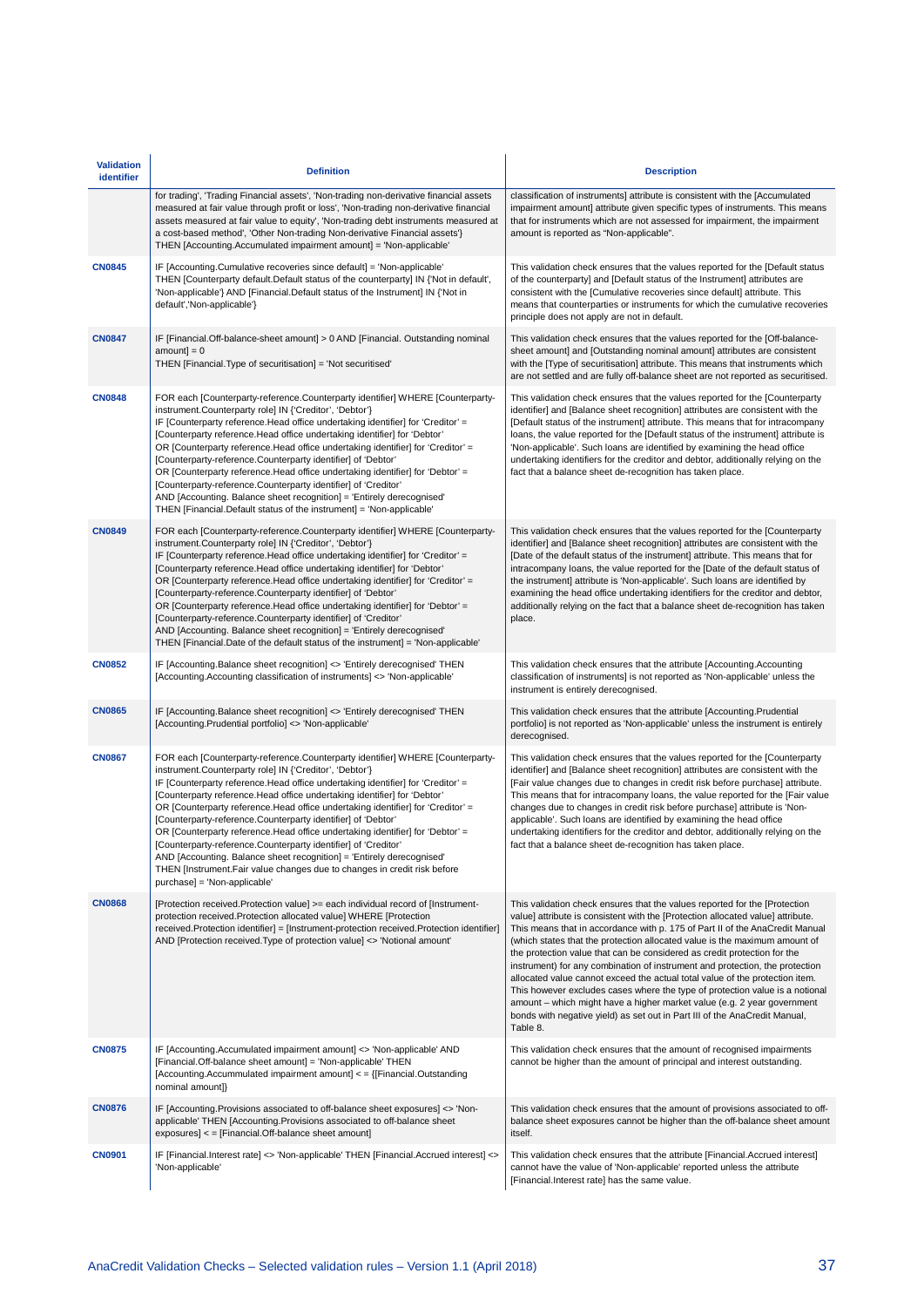| <b>Validation</b><br>identifier | <b>Definition</b>                                                                                                                                                                                                                                                                                                                                                                                                                                                                                                                                                                                                                                                                                                                                                                                   | <b>Description</b>                                                                                                                                                                                                                                                                                                                                                                                                                                                                                                                                                                                                                                                                                                                                                                                                           |
|---------------------------------|-----------------------------------------------------------------------------------------------------------------------------------------------------------------------------------------------------------------------------------------------------------------------------------------------------------------------------------------------------------------------------------------------------------------------------------------------------------------------------------------------------------------------------------------------------------------------------------------------------------------------------------------------------------------------------------------------------------------------------------------------------------------------------------------------------|------------------------------------------------------------------------------------------------------------------------------------------------------------------------------------------------------------------------------------------------------------------------------------------------------------------------------------------------------------------------------------------------------------------------------------------------------------------------------------------------------------------------------------------------------------------------------------------------------------------------------------------------------------------------------------------------------------------------------------------------------------------------------------------------------------------------------|
|                                 | for trading', 'Trading Financial assets', 'Non-trading non-derivative financial assets<br>measured at fair value through profit or loss', 'Non-trading non-derivative financial<br>assets measured at fair value to equity', 'Non-trading debt instruments measured at<br>a cost-based method', 'Other Non-trading Non-derivative Financial assets'}<br>THEN [Accounting.Accumulated impairment amount] = 'Non-applicable'                                                                                                                                                                                                                                                                                                                                                                          | classification of instruments] attribute is consistent with the [Accumulated<br>impairment amount] attribute given specific types of instruments. This means<br>that for instruments which are not assessed for impairment, the impairment<br>amount is reported as "Non-applicable".                                                                                                                                                                                                                                                                                                                                                                                                                                                                                                                                        |
| <b>CN0845</b>                   | IF [Accounting.Cumulative recoveries since default] = 'Non-applicable'<br>THEN [Counterparty default.Default status of the counterparty] IN {'Not in default',<br>'Non-applicable'} AND [Financial.Default status of the Instrument] IN {'Not in<br>default','Non-applicable'}                                                                                                                                                                                                                                                                                                                                                                                                                                                                                                                      | This validation check ensures that the values reported for the [Default status<br>of the counterparty] and [Default status of the Instrument] attributes are<br>consistent with the [Cumulative recoveries since default] attribute. This<br>means that counterparties or instruments for which the cumulative recoveries<br>principle does not apply are not in default.                                                                                                                                                                                                                                                                                                                                                                                                                                                    |
| <b>CN0847</b>                   | IF [Financial.Off-balance-sheet amount] > 0 AND [Financial. Outstanding nominal<br>$amount = 0$<br>THEN [Financial.Type of securitisation] = 'Not securitised'                                                                                                                                                                                                                                                                                                                                                                                                                                                                                                                                                                                                                                      | This validation check ensures that the values reported for the [Off-balance-<br>sheet amount] and [Outstanding nominal amount] attributes are consistent<br>with the [Type of securitisation] attribute. This means that instruments which<br>are not settled and are fully off-balance sheet are not reported as securitised.                                                                                                                                                                                                                                                                                                                                                                                                                                                                                               |
| <b>CN0848</b>                   | FOR each [Counterparty-reference.Counterparty identifier] WHERE [Counterparty-<br>instrument.Counterparty role] IN {'Creditor', 'Debtor'}<br>IF [Counterparty reference.Head office undertaking identifier] for 'Creditor' =<br>[Counterparty reference.Head office undertaking identifier] for 'Debtor'<br>OR [Counterparty reference.Head office undertaking identifier] for 'Creditor' =<br>[Counterparty-reference.Counterparty identifier] of 'Debtor'<br>OR [Counterparty reference.Head office undertaking identifier] for 'Debtor' =<br>[Counterparty-reference.Counterparty identifier] of 'Creditor'<br>AND [Accounting. Balance sheet recognition] = 'Entirely derecognised'<br>THEN [Financial.Default status of the instrument] = 'Non-applicable'                                     | This validation check ensures that the values reported for the [Counterparty<br>identifier] and [Balance sheet recognition] attributes are consistent with the<br>[Default status of the instrument] attribute. This means that for intracompany<br>loans, the value reported for the [Default status of the instrument] attribute is<br>'Non-applicable'. Such loans are identified by examining the head office<br>undertaking identifiers for the creditor and debtor, additionally relying on the<br>fact that a balance sheet de-recognition has taken place.                                                                                                                                                                                                                                                           |
| <b>CN0849</b>                   | FOR each [Counterparty-reference.Counterparty identifier] WHERE [Counterparty-<br>instrument.Counterparty role] IN {'Creditor', 'Debtor'}<br>IF [Counterparty reference.Head office undertaking identifier] for 'Creditor' =<br>[Counterparty reference.Head office undertaking identifier] for 'Debtor'<br>OR [Counterparty reference.Head office undertaking identifier] for 'Creditor' =<br>[Counterparty-reference.Counterparty identifier] of 'Debtor'<br>OR [Counterparty reference.Head office undertaking identifier] for 'Debtor' =<br>[Counterparty-reference.Counterparty identifier] of 'Creditor'<br>AND [Accounting. Balance sheet recognition] = 'Entirely derecognised'<br>THEN [Financial.Date of the default status of the instrument] = 'Non-applicable'                         | This validation check ensures that the values reported for the [Counterparty<br>identifier] and [Balance sheet recognition] attributes are consistent with the<br>[Date of the default status of the instrument] attribute. This means that for<br>intracompany loans, the value reported for the [Date of the default status of<br>the instrument] attribute is 'Non-applicable'. Such loans are identified by<br>examining the head office undertaking identifiers for the creditor and debtor,<br>additionally relying on the fact that a balance sheet de-recognition has taken<br>place.                                                                                                                                                                                                                                |
| <b>CN0852</b>                   | IF [Accounting.Balance sheet recognition] <> 'Entirely derecognised' THEN<br>[Accounting Accounting classification of instruments] <> 'Non-applicable'                                                                                                                                                                                                                                                                                                                                                                                                                                                                                                                                                                                                                                              | This validation check ensures that the attribute [Accounting.Accounting<br>classification of instruments] is not reported as 'Non-applicable' unless the<br>instrument is entirely derecognised.                                                                                                                                                                                                                                                                                                                                                                                                                                                                                                                                                                                                                             |
| <b>CN0865</b>                   | IF [Accounting.Balance sheet recognition] <> 'Entirely derecognised' THEN<br>[Accounting.Prudential portfolio] <> 'Non-applicable'                                                                                                                                                                                                                                                                                                                                                                                                                                                                                                                                                                                                                                                                  | This validation check ensures that the attribute [Accounting.Prudential<br>portfolio] is not reported as 'Non-applicable' unless the instrument is entirely<br>derecognised.                                                                                                                                                                                                                                                                                                                                                                                                                                                                                                                                                                                                                                                 |
| <b>CN0867</b>                   | FOR each [Counterparty-reference.Counterparty identifier] WHERE [Counterparty-<br>instrument.Counterparty role] IN {'Creditor', 'Debtor'}<br>IF [Counterparty reference.Head office undertaking identifier] for 'Creditor' =<br>[Counterparty reference.Head office undertaking identifier] for 'Debtor'<br>OR [Counterparty reference.Head office undertaking identifier] for 'Creditor' =<br>[Counterparty-reference.Counterparty identifier] of 'Debtor'<br>OR [Counterparty reference.Head office undertaking identifier] for 'Debtor' =<br>[Counterparty-reference.Counterparty identifier] of 'Creditor'<br>AND [Accounting. Balance sheet recognition] = 'Entirely derecognised'<br>THEN [Instrument.Fair value changes due to changes in credit risk before<br>purchase] = 'Non-applicable' | This validation check ensures that the values reported for the [Counterparty<br>identifier] and [Balance sheet recognition] attributes are consistent with the<br>[Fair value changes due to changes in credit risk before purchase] attribute.<br>This means that for intracompany loans, the value reported for the [Fair value<br>changes due to changes in credit risk before purchase] attribute is 'Non-<br>applicable'. Such loans are identified by examining the head office<br>undertaking identifiers for the creditor and debtor, additionally relying on the<br>fact that a balance sheet de-recognition has taken place.                                                                                                                                                                                       |
| <b>CN0868</b>                   | [Protection received.Protection value] >= each individual record of [Instrument-<br>protection received. Protection allocated value] WHERE [Protection<br>received.Protection identifier] = [Instrument-protection received.Protection identifier]<br>AND [Protection received. Type of protection value] <> 'Notional amount'                                                                                                                                                                                                                                                                                                                                                                                                                                                                      | This validation check ensures that the values reported for the [Protection<br>value] attribute is consistent with the [Protection allocated value] attribute.<br>This means that in accordance with p. 175 of Part II of the AnaCredit Manual<br>(which states that the protection allocated value is the maximum amount of<br>the protection value that can be considered as credit protection for the<br>instrument) for any combination of instrument and protection, the protection<br>allocated value cannot exceed the actual total value of the protection item.<br>This however excludes cases where the type of protection value is a notional<br>amount - which might have a higher market value (e.g. 2 year government<br>bonds with negative yield) as set out in Part III of the AnaCredit Manual,<br>Table 8. |
| <b>CN0875</b>                   | IF [Accounting.Accumulated impairment amount] <> 'Non-applicable' AND<br>[Financial.Off-balance sheet amount] = 'Non-applicable' THEN<br>[Accounting.Accummulated impairment amount] < = {[Financial.Outstanding<br>nominal amount]}                                                                                                                                                                                                                                                                                                                                                                                                                                                                                                                                                                | This validation check ensures that the amount of recognised impairments<br>cannot be higher than the amount of principal and interest outstanding.                                                                                                                                                                                                                                                                                                                                                                                                                                                                                                                                                                                                                                                                           |
| <b>CN0876</b>                   | IF [Accounting.Provisions associated to off-balance sheet exposures] <> 'Non-<br>applicable' THEN [Accounting Provisions associated to off-balance sheet<br>exposures] < = [Financial.Off-balance sheet amount]                                                                                                                                                                                                                                                                                                                                                                                                                                                                                                                                                                                     | This validation check ensures that the amount of provisions associated to off-<br>balance sheet exposures cannot be higher than the off-balance sheet amount<br>itself.                                                                                                                                                                                                                                                                                                                                                                                                                                                                                                                                                                                                                                                      |
| <b>CN0901</b>                   | IF [Financial.Interest rate] <> 'Non-applicable' THEN [Financial.Accrued interest] <><br>'Non-applicable'                                                                                                                                                                                                                                                                                                                                                                                                                                                                                                                                                                                                                                                                                           | This validation check ensures that the attribute [Financial.Accrued interest]<br>cannot have the value of 'Non-applicable' reported unless the attribute<br>[Financial.Interest rate] has the same value.                                                                                                                                                                                                                                                                                                                                                                                                                                                                                                                                                                                                                    |